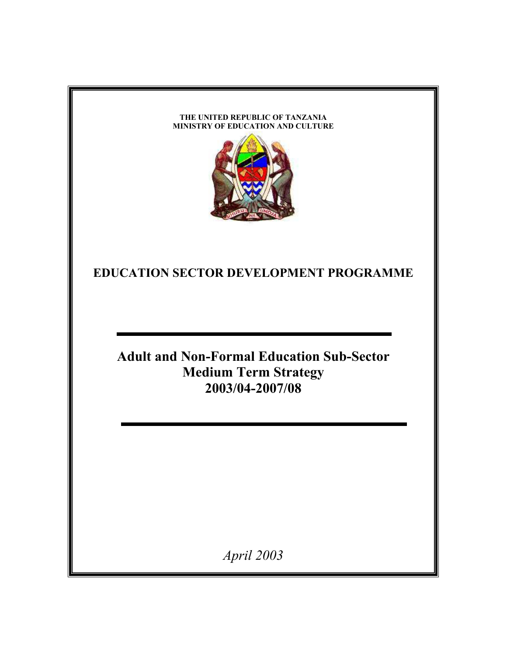#### **THE UNITED REPUBLIC OF TANZANIA MINISTRY OF EDUCATION AND CULTURE**



**EDUCATION SECTOR DEVELOPMENT PROGRAMME** 

**Adult and Non-Formal Education Sub-Sector Medium Term Strategy 2003/04-2007/08** 

*April 2003*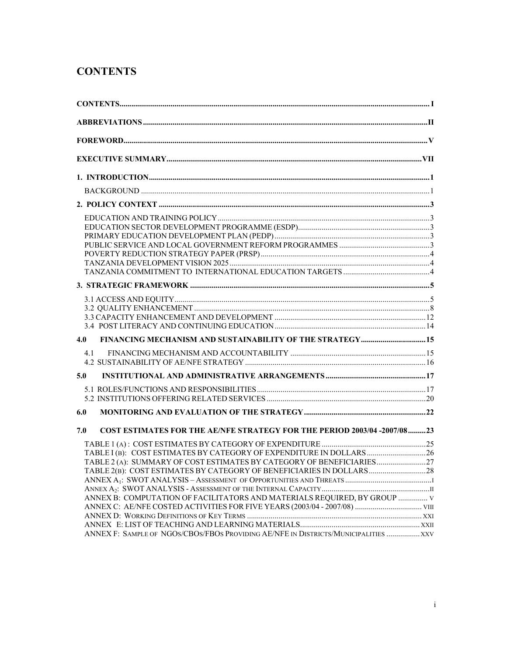## **CONTENTS**

|     | $CONTENTS 1$                                                                        |  |
|-----|-------------------------------------------------------------------------------------|--|
|     |                                                                                     |  |
|     |                                                                                     |  |
|     |                                                                                     |  |
|     |                                                                                     |  |
|     |                                                                                     |  |
|     |                                                                                     |  |
|     |                                                                                     |  |
|     |                                                                                     |  |
|     |                                                                                     |  |
|     |                                                                                     |  |
|     |                                                                                     |  |
|     |                                                                                     |  |
|     |                                                                                     |  |
|     |                                                                                     |  |
|     |                                                                                     |  |
|     |                                                                                     |  |
|     |                                                                                     |  |
|     |                                                                                     |  |
| 4.0 | FINANCING MECHANISM AND SUSTAINABILITY OF THE STRATEGY 15                           |  |
| 41  |                                                                                     |  |
|     |                                                                                     |  |
| 5.0 |                                                                                     |  |
|     |                                                                                     |  |
|     |                                                                                     |  |
| 6.0 |                                                                                     |  |
| 7.0 | <b>COST ESTIMATES FOR THE AE/NFE STRATEGY FOR THE PERIOD 2003/04 -2007/08 23</b>    |  |
|     |                                                                                     |  |
|     | TABLE I (B): COST ESTIMATES BY CATEGORY OF EXPENDITURE IN DOLLARS26                 |  |
|     | TABLE 2(A): SUMMARY OF COST ESTIMATES BY CATEGORY OF BENEFICIARIES                  |  |
|     | TABLE 2(B):  COST ESTIMATES BY CATEGORY OF BENEFICIARIES IN DOLLARS …………………………28    |  |
|     |                                                                                     |  |
|     |                                                                                     |  |
|     | ANNEX B: COMPUTATION OF FACILITATORS AND MATERIALS REQUIRED, BY GROUP  V            |  |
|     |                                                                                     |  |
|     |                                                                                     |  |
|     |                                                                                     |  |
|     | ANNEX F: SAMPLE OF NGOS/CBOS/FBOS PROVIDING AE/NFE IN DISTRICTS/MUNICIPALITIES  XXV |  |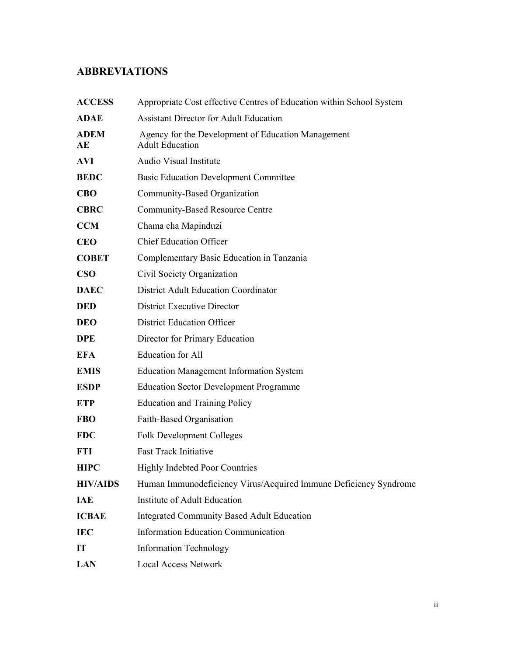## **ABBREVIATIONS**

| <b>ACCESS</b>     | Appropriate Cost effective Centres of Education within School System         |
|-------------------|------------------------------------------------------------------------------|
| <b>ADAE</b>       | <b>Assistant Director for Adult Education</b>                                |
| <b>ADEM</b><br>AE | Agency for the Development of Education Management<br><b>Adult Education</b> |
| <b>AVI</b>        | Audio Visual Institute                                                       |
| <b>BEDC</b>       | <b>Basic Education Development Committee</b>                                 |
| <b>CBO</b>        | Community-Based Organization                                                 |
| <b>CBRC</b>       | <b>Community-Based Resource Centre</b>                                       |
| <b>CCM</b>        | Chama cha Mapinduzi                                                          |
| <b>CEO</b>        | <b>Chief Education Officer</b>                                               |
| <b>COBET</b>      | Complementary Basic Education in Tanzania                                    |
| $\bf CSO$         | Civil Society Organization                                                   |
| <b>DAEC</b>       | <b>District Adult Education Coordinator</b>                                  |
| <b>DED</b>        | <b>District Executive Director</b>                                           |
| <b>DEO</b>        | <b>District Education Officer</b>                                            |
| <b>DPE</b>        | Director for Primary Education                                               |
| <b>EFA</b>        | <b>Education</b> for All                                                     |
| <b>EMIS</b>       | <b>Education Management Information System</b>                               |
| <b>ESDP</b>       | <b>Education Sector Development Programme</b>                                |
| <b>ETP</b>        | <b>Education and Training Policy</b>                                         |
| <b>FBO</b>        | Faith-Based Organisation                                                     |
| <b>FDC</b>        | <b>Folk Development Colleges</b>                                             |
| <b>FTI</b>        | <b>Fast Track Initiative</b>                                                 |
| <b>HIPC</b>       | <b>Highly Indebted Poor Countries</b>                                        |
| <b>HIV/AIDS</b>   | Human Immunodeficiency Virus/Acquired Immune Deficiency Syndrome             |
| <b>IAE</b>        | Institute of Adult Education                                                 |
| <b>ICBAE</b>      | <b>Integrated Community Based Adult Education</b>                            |
| <b>IEC</b>        | <b>Information Education Communication</b>                                   |
| IT                | <b>Information Technology</b>                                                |
| <b>LAN</b>        | <b>Local Access Network</b>                                                  |
|                   |                                                                              |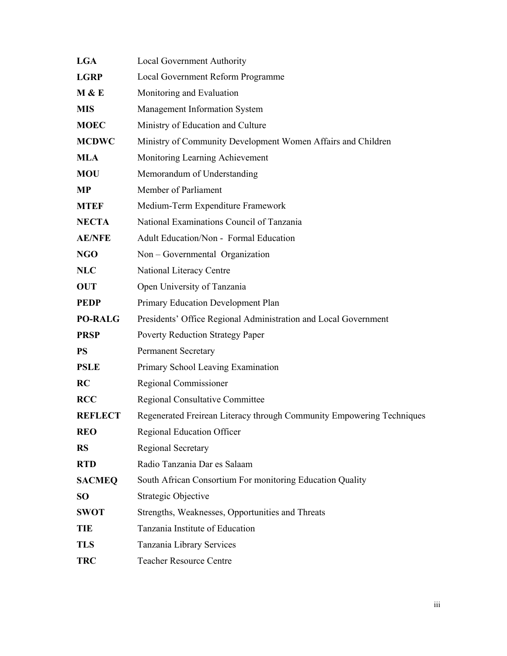| <b>LGA</b>     | Local Government Authority                                            |
|----------------|-----------------------------------------------------------------------|
| <b>LGRP</b>    | Local Government Reform Programme                                     |
| M & E          | Monitoring and Evaluation                                             |
| <b>MIS</b>     | Management Information System                                         |
| <b>MOEC</b>    | Ministry of Education and Culture                                     |
| <b>MCDWC</b>   | Ministry of Community Development Women Affairs and Children          |
| <b>MLA</b>     | Monitoring Learning Achievement                                       |
| <b>MOU</b>     | Memorandum of Understanding                                           |
| <b>MP</b>      | Member of Parliament                                                  |
| <b>MTEF</b>    | Medium-Term Expenditure Framework                                     |
| <b>NECTA</b>   | National Examinations Council of Tanzania                             |
| <b>AE/NFE</b>  | <b>Adult Education/Non - Formal Education</b>                         |
| <b>NGO</b>     | Non – Governmental Organization                                       |
| <b>NLC</b>     | National Literacy Centre                                              |
| <b>OUT</b>     | Open University of Tanzania                                           |
| <b>PEDP</b>    | Primary Education Development Plan                                    |
| <b>PO-RALG</b> | Presidents' Office Regional Administration and Local Government       |
| <b>PRSP</b>    | <b>Poverty Reduction Strategy Paper</b>                               |
| <b>PS</b>      | <b>Permanent Secretary</b>                                            |
| <b>PSLE</b>    | Primary School Leaving Examination                                    |
| <b>RC</b>      | Regional Commissioner                                                 |
| <b>RCC</b>     | <b>Regional Consultative Committee</b>                                |
| <b>REFLECT</b> | Regenerated Freirean Literacy through Community Empowering Techniques |
| <b>REO</b>     | <b>Regional Education Officer</b>                                     |
| <b>RS</b>      | <b>Regional Secretary</b>                                             |
| <b>RTD</b>     | Radio Tanzania Dar es Salaam                                          |
| <b>SACMEQ</b>  | South African Consortium For monitoring Education Quality             |
| <b>SO</b>      | <b>Strategic Objective</b>                                            |
| <b>SWOT</b>    | Strengths, Weaknesses, Opportunities and Threats                      |
| <b>TIE</b>     | Tanzania Institute of Education                                       |
| <b>TLS</b>     | Tanzania Library Services                                             |
| <b>TRC</b>     | <b>Teacher Resource Centre</b>                                        |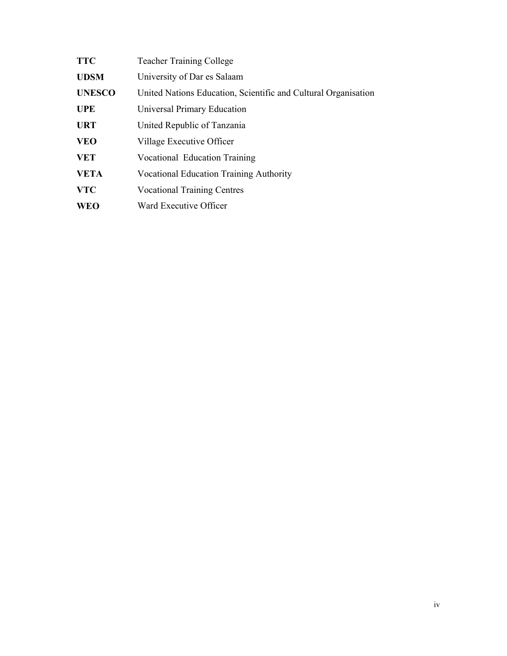| <b>TTC</b>    | <b>Teacher Training College</b>                                |
|---------------|----------------------------------------------------------------|
| <b>UDSM</b>   | University of Dar es Salaam                                    |
| <b>UNESCO</b> | United Nations Education, Scientific and Cultural Organisation |
| <b>UPE</b>    | <b>Universal Primary Education</b>                             |
| <b>URT</b>    | United Republic of Tanzania                                    |
| <b>VEO</b>    | Village Executive Officer                                      |
| <b>VET</b>    | Vocational Education Training                                  |
| <b>VETA</b>   | <b>Vocational Education Training Authority</b>                 |
| <b>VTC</b>    | <b>Vocational Training Centres</b>                             |
| <b>WEO</b>    | Ward Executive Officer                                         |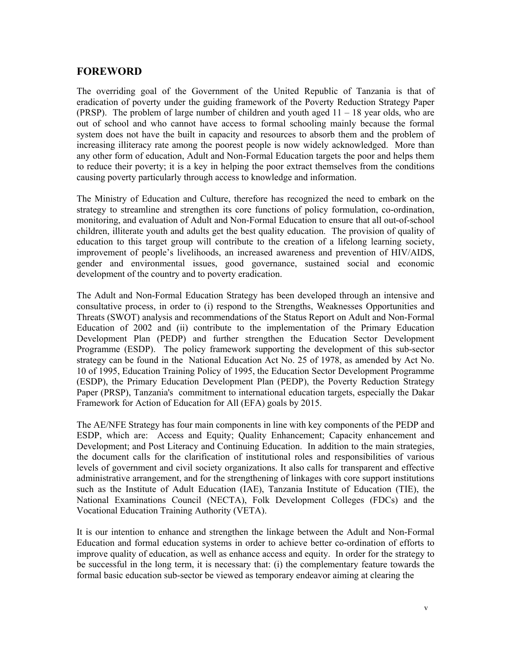### **FOREWORD**

The overriding goal of the Government of the United Republic of Tanzania is that of eradication of poverty under the guiding framework of the Poverty Reduction Strategy Paper (PRSP). The problem of large number of children and youth aged 11 – 18 year olds, who are out of school and who cannot have access to formal schooling mainly because the formal system does not have the built in capacity and resources to absorb them and the problem of increasing illiteracy rate among the poorest people is now widely acknowledged. More than any other form of education, Adult and Non-Formal Education targets the poor and helps them to reduce their poverty; it is a key in helping the poor extract themselves from the conditions causing poverty particularly through access to knowledge and information.

The Ministry of Education and Culture, therefore has recognized the need to embark on the strategy to streamline and strengthen its core functions of policy formulation, co-ordination, monitoring, and evaluation of Adult and Non-Formal Education to ensure that all out-of-school children, illiterate youth and adults get the best quality education. The provision of quality of education to this target group will contribute to the creation of a lifelong learning society, improvement of people's livelihoods, an increased awareness and prevention of HIV/AIDS, gender and environmental issues, good governance, sustained social and economic development of the country and to poverty eradication.

The Adult and Non-Formal Education Strategy has been developed through an intensive and consultative process, in order to (i) respond to the Strengths, Weaknesses Opportunities and Threats (SWOT) analysis and recommendations of the Status Report on Adult and Non-Formal Education of 2002 and (ii) contribute to the implementation of the Primary Education Development Plan (PEDP) and further strengthen the Education Sector Development Programme (ESDP). The policy framework supporting the development of this sub-sector strategy can be found in the National Education Act No. 25 of 1978, as amended by Act No. 10 of 1995, Education Training Policy of 1995, the Education Sector Development Programme (ESDP), the Primary Education Development Plan (PEDP), the Poverty Reduction Strategy Paper (PRSP), Tanzania's commitment to international education targets, especially the Dakar Framework for Action of Education for All (EFA) goals by 2015.

The AE/NFE Strategy has four main components in line with key components of the PEDP and ESDP, which are: Access and Equity; Quality Enhancement; Capacity enhancement and Development; and Post Literacy and Continuing Education. In addition to the main strategies, the document calls for the clarification of institutional roles and responsibilities of various levels of government and civil society organizations. It also calls for transparent and effective administrative arrangement, and for the strengthening of linkages with core support institutions such as the Institute of Adult Education (IAE), Tanzania Institute of Education (TIE), the National Examinations Council (NECTA), Folk Development Colleges (FDCs) and the Vocational Education Training Authority (VETA).

It is our intention to enhance and strengthen the linkage between the Adult and Non-Formal Education and formal education systems in order to achieve better co-ordination of efforts to improve quality of education, as well as enhance access and equity. In order for the strategy to be successful in the long term, it is necessary that: (i) the complementary feature towards the formal basic education sub-sector be viewed as temporary endeavor aiming at clearing the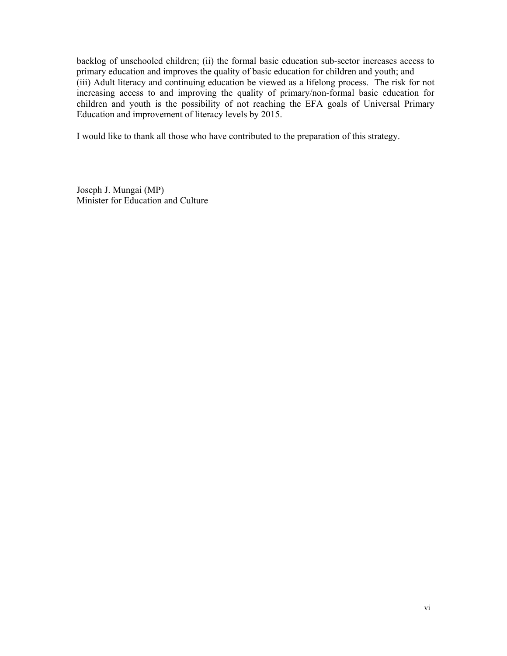backlog of unschooled children; (ii) the formal basic education sub-sector increases access to primary education and improves the quality of basic education for children and youth; and (iii) Adult literacy and continuing education be viewed as a lifelong process. The risk for not increasing access to and improving the quality of primary/non-formal basic education for children and youth is the possibility of not reaching the EFA goals of Universal Primary Education and improvement of literacy levels by 2015.

I would like to thank all those who have contributed to the preparation of this strategy.

Joseph J. Mungai (MP) Minister for Education and Culture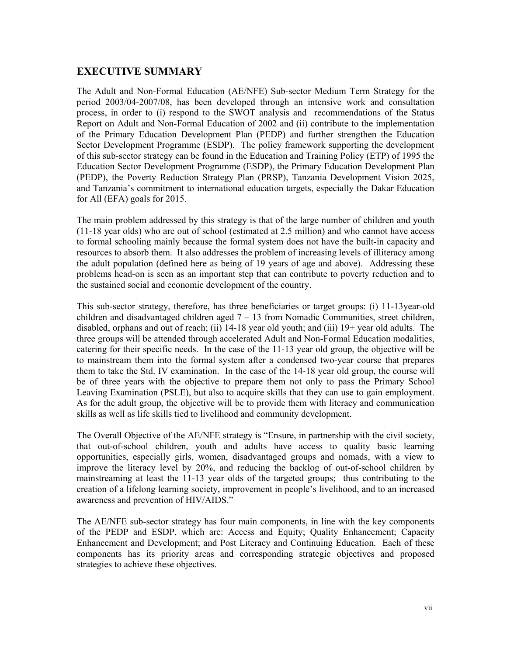### **EXECUTIVE SUMMARY**

The Adult and Non-Formal Education (AE/NFE) Sub-sector Medium Term Strategy for the period 2003/04-2007/08, has been developed through an intensive work and consultation process, in order to (i) respond to the SWOT analysis and recommendations of the Status Report on Adult and Non-Formal Education of 2002 and (ii) contribute to the implementation of the Primary Education Development Plan (PEDP) and further strengthen the Education Sector Development Programme (ESDP). The policy framework supporting the development of this sub-sector strategy can be found in the Education and Training Policy (ETP) of 1995 the Education Sector Development Programme (ESDP), the Primary Education Development Plan (PEDP), the Poverty Reduction Strategy Plan (PRSP), Tanzania Development Vision 2025, and Tanzania's commitment to international education targets, especially the Dakar Education for All (EFA) goals for 2015.

The main problem addressed by this strategy is that of the large number of children and youth (11-18 year olds) who are out of school (estimated at 2.5 million) and who cannot have access to formal schooling mainly because the formal system does not have the built-in capacity and resources to absorb them. It also addresses the problem of increasing levels of illiteracy among the adult population (defined here as being of 19 years of age and above). Addressing these problems head-on is seen as an important step that can contribute to poverty reduction and to the sustained social and economic development of the country.

This sub-sector strategy, therefore, has three beneficiaries or target groups: (i) 11-13year-old children and disadvantaged children aged  $7 - 13$  from Nomadic Communities, street children, disabled, orphans and out of reach; (ii) 14-18 year old youth; and (iii) 19+ year old adults. The three groups will be attended through accelerated Adult and Non-Formal Education modalities, catering for their specific needs. In the case of the 11-13 year old group, the objective will be to mainstream them into the formal system after a condensed two-year course that prepares them to take the Std. IV examination. In the case of the 14-18 year old group, the course will be of three years with the objective to prepare them not only to pass the Primary School Leaving Examination (PSLE), but also to acquire skills that they can use to gain employment. As for the adult group, the objective will be to provide them with literacy and communication skills as well as life skills tied to livelihood and community development.

The Overall Objective of the AE/NFE strategy is "Ensure, in partnership with the civil society, that out-of-school children, youth and adults have access to quality basic learning opportunities, especially girls, women, disadvantaged groups and nomads, with a view to improve the literacy level by 20%, and reducing the backlog of out-of-school children by mainstreaming at least the 11-13 year olds of the targeted groups; thus contributing to the creation of a lifelong learning society, improvement in people's livelihood, and to an increased awareness and prevention of HIV/AIDS."

The AE/NFE sub-sector strategy has four main components, in line with the key components of the PEDP and ESDP, which are: Access and Equity; Quality Enhancement; Capacity Enhancement and Development; and Post Literacy and Continuing Education. Each of these components has its priority areas and corresponding strategic objectives and proposed strategies to achieve these objectives.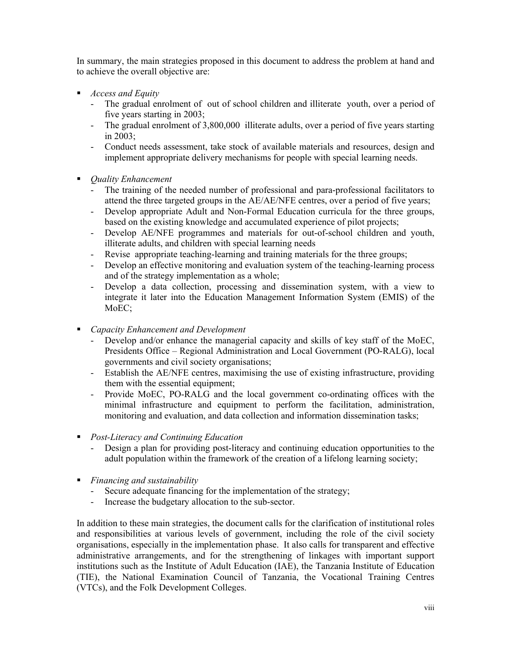In summary, the main strategies proposed in this document to address the problem at hand and to achieve the overall objective are:

- *Access and Equity* 
	- The gradual enrolment of out of school children and illiterate youth, over a period of five years starting in 2003;
	- The gradual enrolment of 3,800,000 illiterate adults, over a period of five years starting in 2003;
	- Conduct needs assessment, take stock of available materials and resources, design and implement appropriate delivery mechanisms for people with special learning needs.
- *Quality Enhancement* 
	- The training of the needed number of professional and para-professional facilitators to attend the three targeted groups in the AE/AE/NFE centres, over a period of five years;
	- Develop appropriate Adult and Non-Formal Education curricula for the three groups, based on the existing knowledge and accumulated experience of pilot projects;
	- Develop AE/NFE programmes and materials for out-of-school children and youth, illiterate adults, and children with special learning needs
	- Revise appropriate teaching-learning and training materials for the three groups;
	- Develop an effective monitoring and evaluation system of the teaching-learning process and of the strategy implementation as a whole;
	- Develop a data collection, processing and dissemination system, with a view to integrate it later into the Education Management Information System (EMIS) of the MoEC;
- *Capacity Enhancement and Development*
	- Develop and/or enhance the managerial capacity and skills of key staff of the MoEC, Presidents Office – Regional Administration and Local Government (PO-RALG), local governments and civil society organisations;
	- Establish the AE/NFE centres, maximising the use of existing infrastructure, providing them with the essential equipment;
	- Provide MoEC, PO-RALG and the local government co-ordinating offices with the minimal infrastructure and equipment to perform the facilitation, administration, monitoring and evaluation, and data collection and information dissemination tasks;
- *Post-Literacy and Continuing Education* 
	- Design a plan for providing post-literacy and continuing education opportunities to the adult population within the framework of the creation of a lifelong learning society;
- *Financing and sustainability* 
	- Secure adequate financing for the implementation of the strategy;
	- Increase the budgetary allocation to the sub-sector.

In addition to these main strategies, the document calls for the clarification of institutional roles and responsibilities at various levels of government, including the role of the civil society organisations, especially in the implementation phase. It also calls for transparent and effective administrative arrangements, and for the strengthening of linkages with important support institutions such as the Institute of Adult Education (IAE), the Tanzania Institute of Education (TIE), the National Examination Council of Tanzania, the Vocational Training Centres (VTCs), and the Folk Development Colleges.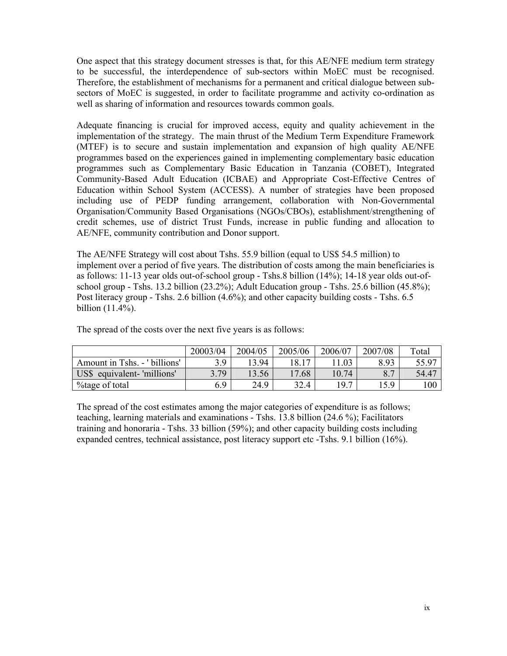One aspect that this strategy document stresses is that, for this AE/NFE medium term strategy to be successful, the interdependence of sub-sectors within MoEC must be recognised. Therefore, the establishment of mechanisms for a permanent and critical dialogue between subsectors of MoEC is suggested, in order to facilitate programme and activity co-ordination as well as sharing of information and resources towards common goals.

Adequate financing is crucial for improved access, equity and quality achievement in the implementation of the strategy. The main thrust of the Medium Term Expenditure Framework (MTEF) is to secure and sustain implementation and expansion of high quality AE/NFE programmes based on the experiences gained in implementing complementary basic education programmes such as Complementary Basic Education in Tanzania (COBET), Integrated Community-Based Adult Education (ICBAE) and Appropriate Cost-Effective Centres of Education within School System (ACCESS). A number of strategies have been proposed including use of PEDP funding arrangement, collaboration with Non-Governmental Organisation/Community Based Organisations (NGOs/CBOs), establishment/strengthening of credit schemes, use of district Trust Funds, increase in public funding and allocation to AE/NFE, community contribution and Donor support.

The AE/NFE Strategy will cost about Tshs. 55.9 billion (equal to US\$ 54.5 million) to implement over a period of five years. The distribution of costs among the main beneficiaries is as follows: 11-13 year olds out-of-school group - Tshs.8 billion (14%); 14-18 year olds out-ofschool group - Tshs. 13.2 billion (23.2%); Adult Education group - Tshs. 25.6 billion (45.8%); Post literacy group - Tshs. 2.6 billion (4.6%); and other capacity building costs - Tshs. 6.5 billion (11.4%).

 20003/04 2004/05 2005/06 2006/07 2007/08 Total Amount in Tshs. - ' billions' | 3.9 | 13.94 | 18.17 | 11.03 | 8.93 | 55.97 US\$ equivalent- 'millions' | 3.79 | 13.56 | 17.68 | 10.74 | 8.7 | 54.47 %tage of total 6.9 24.9 32.4 19.7 15.9 100

The spread of the costs over the next five years is as follows:

The spread of the cost estimates among the major categories of expenditure is as follows; teaching, learning materials and examinations - Tshs. 13.8 billion (24.6 %); Facilitators training and honoraria - Tshs. 33 billion (59%); and other capacity building costs including expanded centres, technical assistance, post literacy support etc -Tshs. 9.1 billion (16%).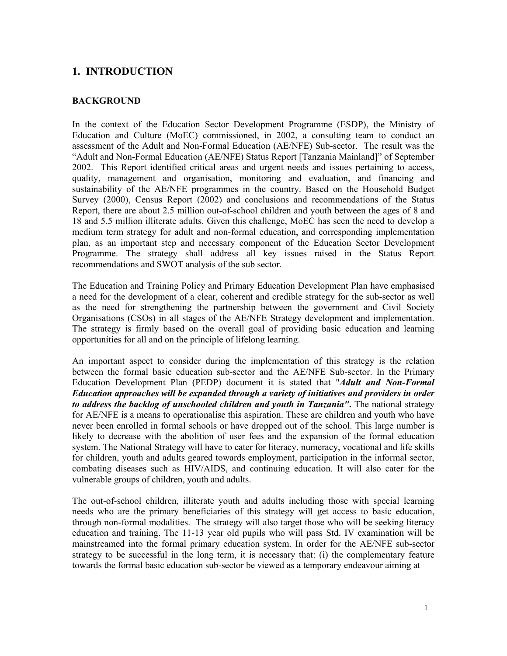### **1. INTRODUCTION**

#### **BACKGROUND**

In the context of the Education Sector Development Programme (ESDP), the Ministry of Education and Culture (MoEC) commissioned, in 2002, a consulting team to conduct an assessment of the Adult and Non-Formal Education (AE/NFE) Sub-sector. The result was the "Adult and Non-Formal Education (AE/NFE) Status Report [Tanzania Mainland]" of September 2002. This Report identified critical areas and urgent needs and issues pertaining to access, quality, management and organisation, monitoring and evaluation, and financing and sustainability of the AE/NFE programmes in the country. Based on the Household Budget Survey (2000), Census Report (2002) and conclusions and recommendations of the Status Report, there are about 2.5 million out-of-school children and youth between the ages of 8 and 18 and 5.5 million illiterate adults. Given this challenge, MoEC has seen the need to develop a medium term strategy for adult and non-formal education, and corresponding implementation plan, as an important step and necessary component of the Education Sector Development Programme. The strategy shall address all key issues raised in the Status Report recommendations and SWOT analysis of the sub sector.

The Education and Training Policy and Primary Education Development Plan have emphasised a need for the development of a clear, coherent and credible strategy for the sub-sector as well as the need for strengthening the partnership between the government and Civil Society Organisations (CSOs) in all stages of the AE/NFE Strategy development and implementation. The strategy is firmly based on the overall goal of providing basic education and learning opportunities for all and on the principle of lifelong learning.

An important aspect to consider during the implementation of this strategy is the relation between the formal basic education sub-sector and the AE/NFE Sub-sector. In the Primary Education Development Plan (PEDP) document it is stated that "*Adult and Non-Formal Education approaches will be expanded through a variety of initiatives and providers in order to address the backlog of unschooled children and youth in Tanzania"***.** The national strategy for AE/NFE is a means to operationalise this aspiration. These are children and youth who have never been enrolled in formal schools or have dropped out of the school. This large number is likely to decrease with the abolition of user fees and the expansion of the formal education system. The National Strategy will have to cater for literacy, numeracy, vocational and life skills for children, youth and adults geared towards employment, participation in the informal sector, combating diseases such as HIV/AIDS, and continuing education. It will also cater for the vulnerable groups of children, youth and adults.

The out-of-school children, illiterate youth and adults including those with special learning needs who are the primary beneficiaries of this strategy will get access to basic education, through non-formal modalities. The strategy will also target those who will be seeking literacy education and training. The 11-13 year old pupils who will pass Std. IV examination will be mainstreamed into the formal primary education system. In order for the AE/NFE sub-sector strategy to be successful in the long term, it is necessary that: (i) the complementary feature towards the formal basic education sub-sector be viewed as a temporary endeavour aiming at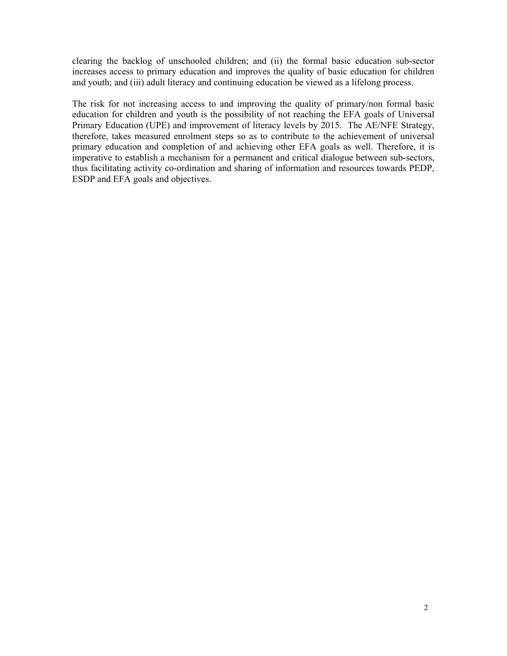clearing the backlog of unschooled children; and (ii) the formal basic education sub-sector increases access to primary education and improves the quality of basic education for children and youth; and (iii) adult literacy and continuing education be viewed as a lifelong process.

The risk for not increasing access to and improving the quality of primary/non formal basic education for children and youth is the possibility of not reaching the EFA goals of Universal Primary Education (UPE) and improvement of literacy levels by 2015. The AE/NFE Strategy, therefore, takes measured enrolment steps so as to contribute to the achievement of universal primary education and completion of and achieving other EFA goals as well. Therefore, it is imperative to establish a mechanism for a permanent and critical dialogue between sub-sectors, thus facilitating activity co-ordination and sharing of information and resources towards PEDP, ESDP and EFA goals and objectives.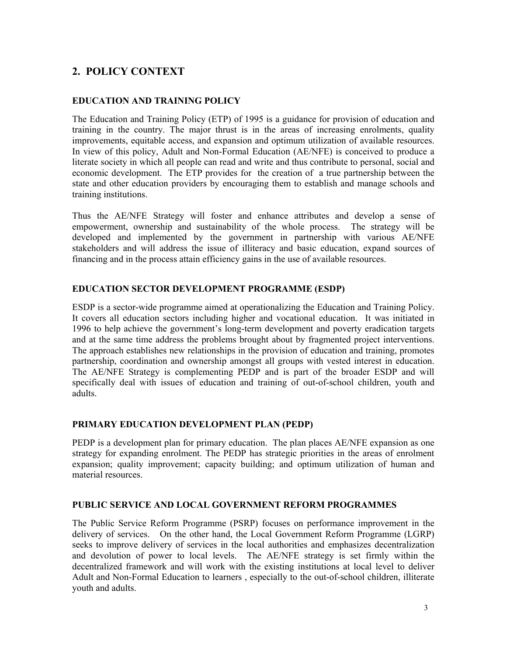## **2. POLICY CONTEXT**

#### **EDUCATION AND TRAINING POLICY**

The Education and Training Policy (ETP) of 1995 is a guidance for provision of education and training in the country. The major thrust is in the areas of increasing enrolments, quality improvements, equitable access, and expansion and optimum utilization of available resources. In view of this policy, Adult and Non-Formal Education (AE/NFE) is conceived to produce a literate society in which all people can read and write and thus contribute to personal, social and economic development. The ETP provides for the creation of a true partnership between the state and other education providers by encouraging them to establish and manage schools and training institutions.

Thus the AE/NFE Strategy will foster and enhance attributes and develop a sense of empowerment, ownership and sustainability of the whole process. The strategy will be developed and implemented by the government in partnership with various AE/NFE stakeholders and will address the issue of illiteracy and basic education, expand sources of financing and in the process attain efficiency gains in the use of available resources.

#### **EDUCATION SECTOR DEVELOPMENT PROGRAMME (ESDP)**

ESDP is a sector-wide programme aimed at operationalizing the Education and Training Policy. It covers all education sectors including higher and vocational education. It was initiated in 1996 to help achieve the government's long-term development and poverty eradication targets and at the same time address the problems brought about by fragmented project interventions. The approach establishes new relationships in the provision of education and training, promotes partnership, coordination and ownership amongst all groups with vested interest in education. The AE/NFE Strategy is complementing PEDP and is part of the broader ESDP and will specifically deal with issues of education and training of out-of-school children, youth and adults.

#### **PRIMARY EDUCATION DEVELOPMENT PLAN (PEDP)**

PEDP is a development plan for primary education. The plan places AE/NFE expansion as one strategy for expanding enrolment. The PEDP has strategic priorities in the areas of enrolment expansion; quality improvement; capacity building; and optimum utilization of human and material resources.

#### **PUBLIC SERVICE AND LOCAL GOVERNMENT REFORM PROGRAMMES**

The Public Service Reform Programme (PSRP) focuses on performance improvement in the delivery of services. On the other hand, the Local Government Reform Programme (LGRP) seeks to improve delivery of services in the local authorities and emphasizes decentralization and devolution of power to local levels. The AE/NFE strategy is set firmly within the decentralized framework and will work with the existing institutions at local level to deliver Adult and Non-Formal Education to learners , especially to the out-of-school children, illiterate youth and adults.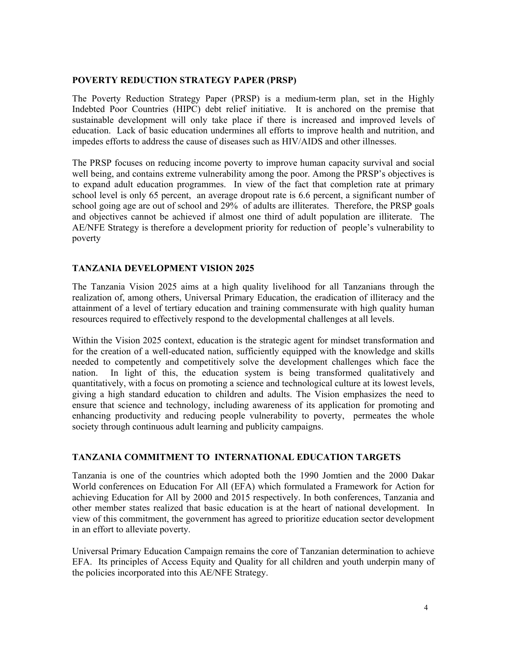#### **POVERTY REDUCTION STRATEGY PAPER (PRSP)**

The Poverty Reduction Strategy Paper (PRSP) is a medium-term plan, set in the Highly Indebted Poor Countries (HIPC) debt relief initiative. It is anchored on the premise that sustainable development will only take place if there is increased and improved levels of education. Lack of basic education undermines all efforts to improve health and nutrition, and impedes efforts to address the cause of diseases such as HIV/AIDS and other illnesses.

The PRSP focuses on reducing income poverty to improve human capacity survival and social well being, and contains extreme vulnerability among the poor. Among the PRSP's objectives is to expand adult education programmes. In view of the fact that completion rate at primary school level is only 65 percent, an average dropout rate is 6.6 percent, a significant number of school going age are out of school and 29% of adults are illiterates. Therefore, the PRSP goals and objectives cannot be achieved if almost one third of adult population are illiterate. The AE/NFE Strategy is therefore a development priority for reduction of people's vulnerability to poverty

#### **TANZANIA DEVELOPMENT VISION 2025**

The Tanzania Vision 2025 aims at a high quality livelihood for all Tanzanians through the realization of, among others, Universal Primary Education, the eradication of illiteracy and the attainment of a level of tertiary education and training commensurate with high quality human resources required to effectively respond to the developmental challenges at all levels.

Within the Vision 2025 context, education is the strategic agent for mindset transformation and for the creation of a well-educated nation, sufficiently equipped with the knowledge and skills needed to competently and competitively solve the development challenges which face the nation. In light of this, the education system is being transformed qualitatively and quantitatively, with a focus on promoting a science and technological culture at its lowest levels, giving a high standard education to children and adults. The Vision emphasizes the need to ensure that science and technology, including awareness of its application for promoting and enhancing productivity and reducing people vulnerability to poverty, permeates the whole society through continuous adult learning and publicity campaigns.

#### **TANZANIA COMMITMENT TO INTERNATIONAL EDUCATION TARGETS**

Tanzania is one of the countries which adopted both the 1990 Jomtien and the 2000 Dakar World conferences on Education For All (EFA) which formulated a Framework for Action for achieving Education for All by 2000 and 2015 respectively. In both conferences, Tanzania and other member states realized that basic education is at the heart of national development. In view of this commitment, the government has agreed to prioritize education sector development in an effort to alleviate poverty.

Universal Primary Education Campaign remains the core of Tanzanian determination to achieve EFA. Its principles of Access Equity and Quality for all children and youth underpin many of the policies incorporated into this AE/NFE Strategy.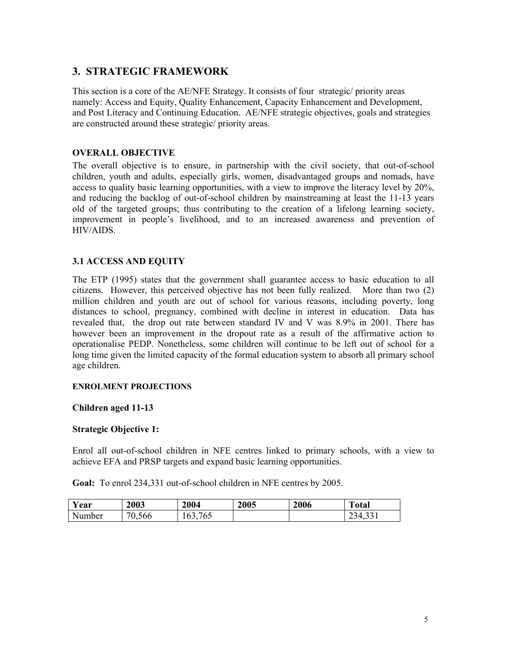### **3. STRATEGIC FRAMEWORK**

This section is a core of the AE/NFE Strategy. It consists of four strategic/ priority areas namely: Access and Equity, Quality Enhancement, Capacity Enhancement and Development, and Post Literacy and Continuing Education. AE/NFE strategic objectives, goals and strategies are constructed around these strategic/ priority areas.

#### **OVERALL OBJECTIVE**

The overall objective is to ensure, in partnership with the civil society, that out-of-school children, youth and adults, especially girls, women, disadvantaged groups and nomads, have access to quality basic learning opportunities, with a view to improve the literacy level by 20%, and reducing the backlog of out-of-school children by mainstreaming at least the 11-13 years old of the targeted groups; thus contributing to the creation of a lifelong learning society, improvement in people's livelihood, and to an increased awareness and prevention of HIV/AIDS.

#### **3.1 ACCESS AND EQUITY**

The ETP (1995) states that the government shall guarantee access to basic education to all citizens. However, this perceived objective has not been fully realized. More than two (2) million children and youth are out of school for various reasons, including poverty, long distances to school, pregnancy, combined with decline in interest in education. Data has revealed that, the drop out rate between standard IV and V was 8.9% in 2001. There has however been an improvement in the dropout rate as a result of the affirmative action to operationalise PEDP. Nonetheless, some children will continue to be left out of school for a long time given the limited capacity of the formal education system to absorb all primary school age children.

#### **ENROLMENT PROJECTIONS**

#### **Children aged 11-13**

#### **Strategic Objective 1:**

Enrol all out-of-school children in NFE centres linked to primary schools, with a view to achieve EFA and PRSP targets and expand basic learning opportunities.

**Goal:** To enrol 234,331 out-of-school children in NFE centres by 2005.

| <b>Y</b> ear | 2003                              | 2004                                   | 2005 | 2006 | <b>TILE</b><br>`otal |
|--------------|-----------------------------------|----------------------------------------|------|------|----------------------|
| Number       | $\pi$ $\alpha$ $\alpha$<br>'0.566 | $H$ $C$ $F$<br>$\sim$<br>h<br>v.<br>υJ |      |      | 34<br>231.JJ         |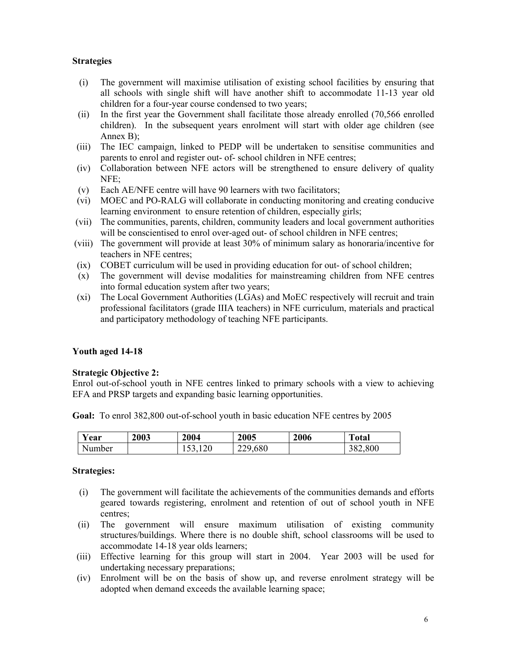#### **Strategies**

- (i) The government will maximise utilisation of existing school facilities by ensuring that all schools with single shift will have another shift to accommodate 11-13 year old children for a four-year course condensed to two years;
- (ii) In the first year the Government shall facilitate those already enrolled (70,566 enrolled children). In the subsequent years enrolment will start with older age children (see Annex B);
- (iii) The IEC campaign, linked to PEDP will be undertaken to sensitise communities and parents to enrol and register out- of- school children in NFE centres;
- (iv) Collaboration between NFE actors will be strengthened to ensure delivery of quality NFE;
- (v) Each AE/NFE centre will have 90 learners with two facilitators;
- (vi) MOEC and PO-RALG will collaborate in conducting monitoring and creating conducive learning environment to ensure retention of children, especially girls;
- (vii) The communities, parents, children, community leaders and local government authorities will be conscientised to enrol over-aged out- of school children in NFE centres;
- (viii) The government will provide at least 30% of minimum salary as honoraria/incentive for teachers in NFE centres;
- (ix) COBET curriculum will be used in providing education for out- of school children;
- (x) The government will devise modalities for mainstreaming children from NFE centres into formal education system after two years;
- (xi) The Local Government Authorities (LGAs) and MoEC respectively will recruit and train professional facilitators (grade IIIA teachers) in NFE curriculum, materials and practical and participatory methodology of teaching NFE participants.

#### **Youth aged 14-18**

#### **Strategic Objective 2:**

Enrol out-of-school youth in NFE centres linked to primary schools with a view to achieving EFA and PRSP targets and expanding basic learning opportunities.

**Goal:** To enrol 382,800 out-of-school youth in basic education NFE centres by 2005

| Y ear  | <b>2003</b> | 2004             | 2005    | 2006 | <b>Total</b> |
|--------|-------------|------------------|---------|------|--------------|
| Number |             | 1 <i>00</i> ,140 | 229,680 |      | 382,800      |

- (i) The government will facilitate the achievements of the communities demands and efforts geared towards registering, enrolment and retention of out of school youth in NFE centres;
- (ii) The government will ensure maximum utilisation of existing community structures/buildings. Where there is no double shift, school classrooms will be used to accommodate 14-18 year olds learners;
- (iii) Effective learning for this group will start in 2004. Year 2003 will be used for undertaking necessary preparations;
- (iv) Enrolment will be on the basis of show up, and reverse enrolment strategy will be adopted when demand exceeds the available learning space;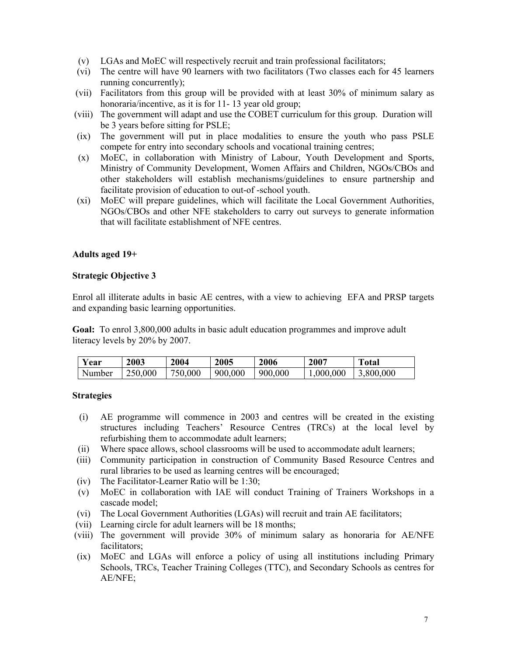- (v) LGAs and MoEC will respectively recruit and train professional facilitators;
- (vi) The centre will have 90 learners with two facilitators (Two classes each for 45 learners running concurrently);
- (vii) Facilitators from this group will be provided with at least 30% of minimum salary as honoraria/incentive, as it is for 11-13 year old group;
- (viii) The government will adapt and use the COBET curriculum for this group. Duration will be 3 years before sitting for PSLE;
- (ix) The government will put in place modalities to ensure the youth who pass PSLE compete for entry into secondary schools and vocational training centres;
- (x) MoEC, in collaboration with Ministry of Labour, Youth Development and Sports, Ministry of Community Development, Women Affairs and Children, NGOs/CBOs and other stakeholders will establish mechanisms/guidelines to ensure partnership and facilitate provision of education to out-of -school youth.
- (xi) MoEC will prepare guidelines, which will facilitate the Local Government Authorities, NGOs/CBOs and other NFE stakeholders to carry out surveys to generate information that will facilitate establishment of NFE centres.

#### **Adults aged 19+**

#### **Strategic Objective 3**

Enrol all illiterate adults in basic AE centres, with a view to achieving EFA and PRSP targets and expanding basic learning opportunities.

**Goal:** To enrol 3,800,000 adults in basic adult education programmes and improve adult literacy levels by 20% by 2007.

| Year   | 2003    | 2004    | 2005    | 2006    | 2007     | <b>Total</b> |
|--------|---------|---------|---------|---------|----------|--------------|
| Number | 250,000 | 750,000 | 900,000 | 900,000 | 000,000, | 3,800,000    |

- (i) AE programme will commence in 2003 and centres will be created in the existing structures including Teachers' Resource Centres (TRCs) at the local level by refurbishing them to accommodate adult learners;
- (ii) Where space allows, school classrooms will be used to accommodate adult learners;
- (iii) Community participation in construction of Community Based Resource Centres and rural libraries to be used as learning centres will be encouraged;
- (iv) The Facilitator-Learner Ratio will be 1:30;
- (v) MoEC in collaboration with IAE will conduct Training of Trainers Workshops in a cascade model;
- (vi) The Local Government Authorities (LGAs) will recruit and train AE facilitators;
- (vii) Learning circle for adult learners will be 18 months;
- (viii) The government will provide 30% of minimum salary as honoraria for AE/NFE facilitators;
- (ix) MoEC and LGAs will enforce a policy of using all institutions including Primary Schools, TRCs, Teacher Training Colleges (TTC), and Secondary Schools as centres for AE/NFE;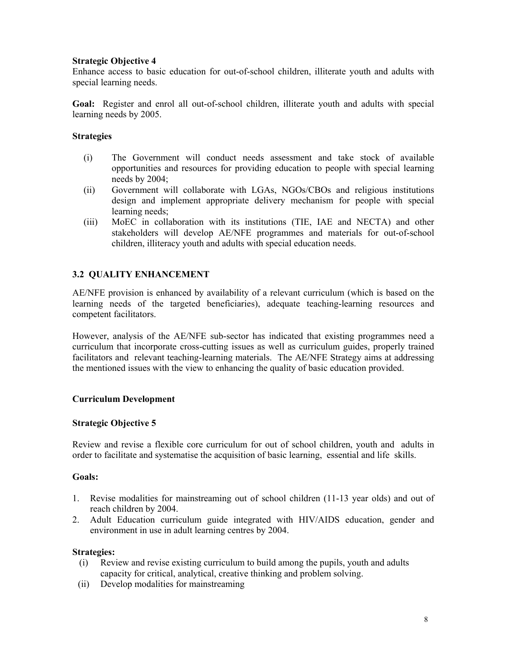#### **Strategic Objective 4**

Enhance access to basic education for out-of-school children, illiterate youth and adults with special learning needs.

**Goal:** Register and enrol all out-of-school children, illiterate youth and adults with special learning needs by 2005.

#### **Strategies**

- (i) The Government will conduct needs assessment and take stock of available opportunities and resources for providing education to people with special learning needs by 2004;
- (ii) Government will collaborate with LGAs, NGOs/CBOs and religious institutions design and implement appropriate delivery mechanism for people with special learning needs;
- (iii) MoEC in collaboration with its institutions (TIE, IAE and NECTA) and other stakeholders will develop AE/NFE programmes and materials for out-of-school children, illiteracy youth and adults with special education needs.

#### **3.2 QUALITY ENHANCEMENT**

AE/NFE provision is enhanced by availability of a relevant curriculum (which is based on the learning needs of the targeted beneficiaries), adequate teaching-learning resources and competent facilitators.

However, analysis of the AE/NFE sub-sector has indicated that existing programmes need a curriculum that incorporate cross-cutting issues as well as curriculum guides, properly trained facilitators and relevant teaching-learning materials. The AE/NFE Strategy aims at addressing the mentioned issues with the view to enhancing the quality of basic education provided.

#### **Curriculum Development**

#### **Strategic Objective 5**

Review and revise a flexible core curriculum for out of school children, youth and adults in order to facilitate and systematise the acquisition of basic learning, essential and life skills.

#### **Goals:**

- 1. Revise modalities for mainstreaming out of school children (11-13 year olds) and out of reach children by 2004.
- 2. Adult Education curriculum guide integrated with HIV/AIDS education, gender and environment in use in adult learning centres by 2004.

- (i) Review and revise existing curriculum to build among the pupils, youth and adults capacity for critical, analytical, creative thinking and problem solving.
- (ii) Develop modalities for mainstreaming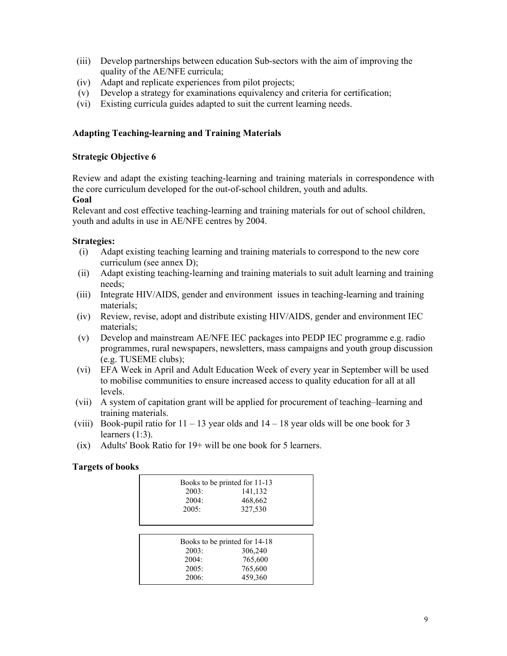- (iii) Develop partnerships between education Sub-sectors with the aim of improving the quality of the AE/NFE curricula;
- (iv) Adapt and replicate experiences from pilot projects;
- (v) Develop a strategy for examinations equivalency and criteria for certification;
- (vi) Existing curricula guides adapted to suit the current learning needs.

#### **Adapting Teaching-learning and Training Materials**

#### **Strategic Objective 6**

Review and adapt the existing teaching-learning and training materials in correspondence with the core curriculum developed for the out-of-school children, youth and adults.

#### **Goal**

Relevant and cost effective teaching-learning and training materials for out of school children, youth and adults in use in AE/NFE centres by 2004.

#### **Strategies:**

- (i) Adapt existing teaching learning and training materials to correspond to the new core curriculum (see annex D);
- (ii) Adapt existing teaching-learning and training materials to suit adult learning and training needs;
- (iii) Integrate HIV/AIDS, gender and environment issues in teaching-learning and training materials;
- (iv) Review, revise, adopt and distribute existing HIV/AIDS, gender and environment IEC materials;
- (v) Develop and mainstream AE/NFE IEC packages into PEDP IEC programme e.g. radio programmes, rural newspapers, newsletters, mass campaigns and youth group discussion (e.g. TUSEME clubs);
- (vi) EFA Week in April and Adult Education Week of every year in September will be used to mobilise communities to ensure increased access to quality education for all at all levels.
- (vii) A system of capitation grant will be applied for procurement of teaching–learning and training materials.
- (viii) Book-pupil ratio for  $11 13$  year olds and  $14 18$  year olds will be one book for 3 learners (1:3).
- (ix) Adults' Book Ratio for 19+ will be one book for 5 learners.

#### **Targets of books**

| Books to be printed for 11-13 |       |                               |  |  |  |
|-------------------------------|-------|-------------------------------|--|--|--|
|                               | 2003: | 141,132                       |  |  |  |
|                               | 2004: | 468,662                       |  |  |  |
|                               | 2005: | 327,530                       |  |  |  |
|                               |       |                               |  |  |  |
|                               |       |                               |  |  |  |
|                               |       | Books to be printed for 14-18 |  |  |  |
|                               | 2003: | 306,240                       |  |  |  |
|                               | 2004: | 765,600                       |  |  |  |
|                               | 2005: | 765,600                       |  |  |  |
|                               | 2006: | 459,360                       |  |  |  |
|                               |       |                               |  |  |  |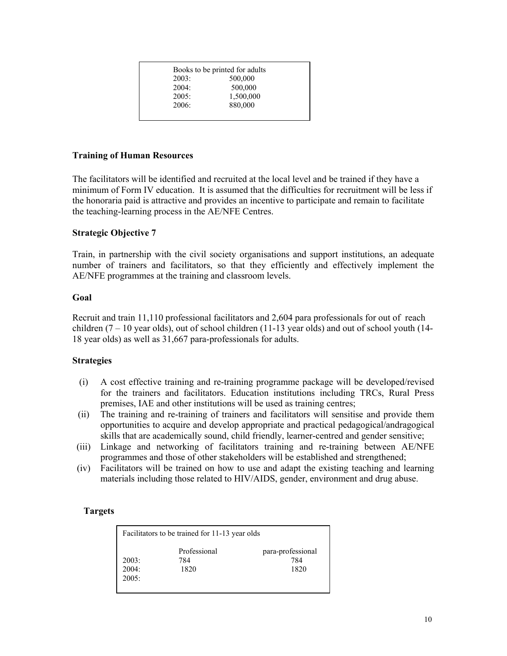|       | Books to be printed for adults |
|-------|--------------------------------|
| 2003: | 500,000                        |
| 2004: | 500,000                        |
| 2005: | 1,500,000                      |
| 2006: | 880,000                        |
|       |                                |

#### **Training of Human Resources**

The facilitators will be identified and recruited at the local level and be trained if they have a minimum of Form IV education. It is assumed that the difficulties for recruitment will be less if the honoraria paid is attractive and provides an incentive to participate and remain to facilitate the teaching-learning process in the AE/NFE Centres.

#### **Strategic Objective 7**

Train, in partnership with the civil society organisations and support institutions, an adequate number of trainers and facilitators, so that they efficiently and effectively implement the AE/NFE programmes at the training and classroom levels.

#### **Goal**

Recruit and train 11,110 professional facilitators and 2,604 para professionals for out of reach children  $(7 - 10$  year olds), out of school children  $(11-13$  year olds) and out of school youth  $(14-$ 18 year olds) as well as 31,667 para-professionals for adults.

#### **Strategies**

- (i) A cost effective training and re-training programme package will be developed/revised for the trainers and facilitators. Education institutions including TRCs, Rural Press premises, IAE and other institutions will be used as training centres;
- (ii) The training and re-training of trainers and facilitators will sensitise and provide them opportunities to acquire and develop appropriate and practical pedagogical/andragogical skills that are academically sound, child friendly, learner-centred and gender sensitive;
- (iii) Linkage and networking of facilitators training and re-training between AE/NFE programmes and those of other stakeholders will be established and strengthened;
- (iv) Facilitators will be trained on how to use and adapt the existing teaching and learning materials including those related to HIV/AIDS, gender, environment and drug abuse.

#### **Targets**

| Facilitators to be trained for 11-13 year olds |              |                   |  |  |  |  |
|------------------------------------------------|--------------|-------------------|--|--|--|--|
| 2003:                                          | Professional | para-professional |  |  |  |  |
| 2004:                                          | 784          | 784               |  |  |  |  |
| 2005:                                          | 1820         | 1820              |  |  |  |  |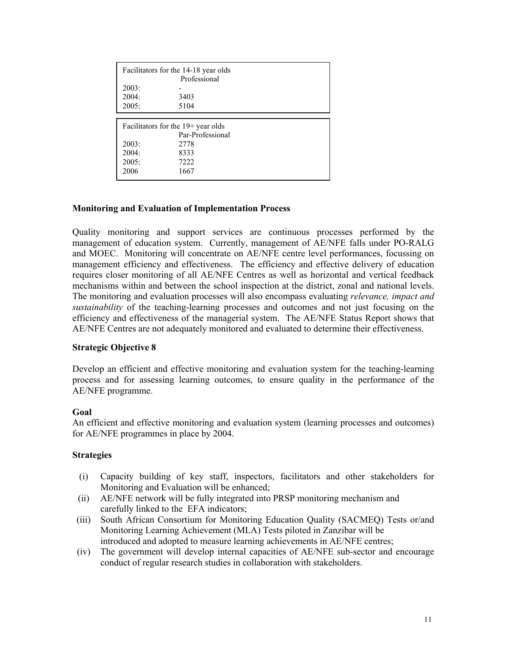|       | Facilitators for the 14-18 year olds<br>Professional |  |  |  |  |
|-------|------------------------------------------------------|--|--|--|--|
| 2003: |                                                      |  |  |  |  |
| 2004: | 3403                                                 |  |  |  |  |
| 2005: | 5104                                                 |  |  |  |  |
|       |                                                      |  |  |  |  |
|       | Facilitators for the $19+$ year olds                 |  |  |  |  |
|       | Par-Professional                                     |  |  |  |  |
| 2003: | 2778                                                 |  |  |  |  |
| 2004: | 8333                                                 |  |  |  |  |
| 2005: | 7222                                                 |  |  |  |  |
| 2006  | 1667                                                 |  |  |  |  |

#### **Monitoring and Evaluation of Implementation Process**

Quality monitoring and support services are continuous processes performed by the management of education system. Currently, management of AE/NFE falls under PO-RALG and MOEC. Monitoring will concentrate on AE/NFE centre level performances, focussing on management efficiency and effectiveness. The efficiency and effective delivery of education requires closer monitoring of all AE/NFE Centres as well as horizontal and vertical feedback mechanisms within and between the school inspection at the district, zonal and national levels. The monitoring and evaluation processes will also encompass evaluating *relevance, impact and sustainability* of the teaching-learning processes and outcomes and not just focusing on the efficiency and effectiveness of the managerial system. The AE/NFE Status Report shows that AE/NFE Centres are not adequately monitored and evaluated to determine their effectiveness.

#### **Strategic Objective 8**

Develop an efficient and effective monitoring and evaluation system for the teaching-learning process and for assessing learning outcomes, to ensure quality in the performance of the AE/NFE programme.

#### **Goal**

An efficient and effective monitoring and evaluation system (learning processes and outcomes) for AE/NFE programmes in place by 2004.

- (i) Capacity building of key staff, inspectors, facilitators and other stakeholders for Monitoring and Evaluation will be enhanced;
- (ii) AE/NFE network will be fully integrated into PRSP monitoring mechanism and carefully linked to the EFA indicators;
- (iii) South African Consortium for Monitoring Education Quality (SACMEQ) Tests or/and Monitoring Learning Achievement (MLA) Tests piloted in Zanzibar will be introduced and adopted to measure learning achievements in AE/NFE centres;
- (iv) The government will develop internal capacities of AE/NFE sub-sector and encourage conduct of regular research studies in collaboration with stakeholders.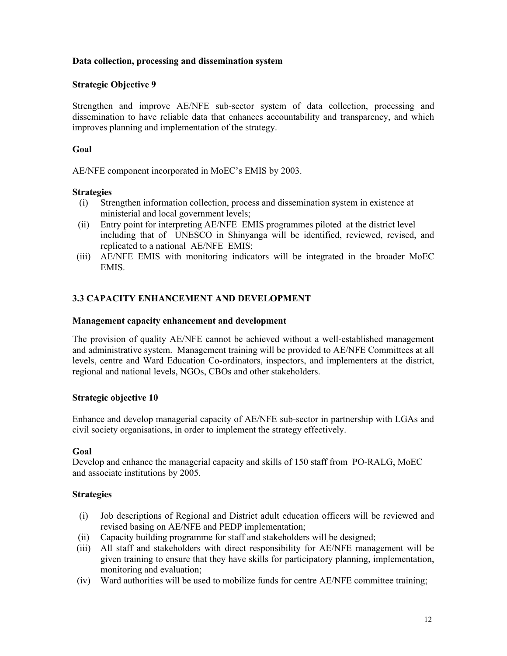#### **Data collection, processing and dissemination system**

#### **Strategic Objective 9**

Strengthen and improve AE/NFE sub-sector system of data collection, processing and dissemination to have reliable data that enhances accountability and transparency, and which improves planning and implementation of the strategy.

#### **Goal**

AE/NFE component incorporated in MoEC's EMIS by 2003.

#### **Strategies**

- (i) Strengthen information collection, process and dissemination system in existence at ministerial and local government levels;
- (ii) Entry point for interpreting AE/NFE EMIS programmes piloted at the district level including that of UNESCO in Shinyanga will be identified, reviewed, revised, and replicated to a national AE/NFE EMIS;
- (iii) AE/NFE EMIS with monitoring indicators will be integrated in the broader MoEC EMIS.

### **3.3 CAPACITY ENHANCEMENT AND DEVELOPMENT**

#### **Management capacity enhancement and development**

The provision of quality AE/NFE cannot be achieved without a well-established management and administrative system. Management training will be provided to AE/NFE Committees at all levels, centre and Ward Education Co-ordinators, inspectors, and implementers at the district, regional and national levels, NGOs, CBOs and other stakeholders.

#### **Strategic objective 10**

Enhance and develop managerial capacity of AE/NFE sub-sector in partnership with LGAs and civil society organisations, in order to implement the strategy effectively.

#### **Goal**

Develop and enhance the managerial capacity and skills of 150 staff from PO-RALG, MoEC and associate institutions by 2005.

- (i) Job descriptions of Regional and District adult education officers will be reviewed and revised basing on AE/NFE and PEDP implementation;
- (ii) Capacity building programme for staff and stakeholders will be designed;
- (iii) All staff and stakeholders with direct responsibility for AE/NFE management will be given training to ensure that they have skills for participatory planning, implementation, monitoring and evaluation;
- (iv) Ward authorities will be used to mobilize funds for centre AE/NFE committee training;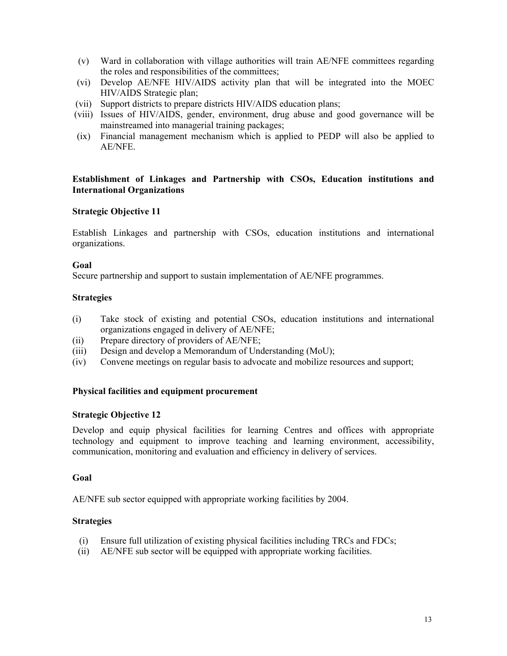- (v) Ward in collaboration with village authorities will train AE/NFE committees regarding the roles and responsibilities of the committees;
- (vi) Develop AE/NFE HIV/AIDS activity plan that will be integrated into the MOEC HIV/AIDS Strategic plan;
- (vii) Support districts to prepare districts HIV/AIDS education plans;
- (viii) Issues of HIV/AIDS, gender, environment, drug abuse and good governance will be mainstreamed into managerial training packages;
- (ix) Financial management mechanism which is applied to PEDP will also be applied to AE/NFE.

#### **Establishment of Linkages and Partnership with CSOs, Education institutions and International Organizations**

#### **Strategic Objective 11**

Establish Linkages and partnership with CSOs, education institutions and international organizations.

#### **Goal**

Secure partnership and support to sustain implementation of AE/NFE programmes.

#### **Strategies**

- (i) Take stock of existing and potential CSOs, education institutions and international organizations engaged in delivery of AE/NFE;
- (ii) Prepare directory of providers of AE/NFE;
- (iii) Design and develop a Memorandum of Understanding (MoU);
- (iv) Convene meetings on regular basis to advocate and mobilize resources and support;

#### **Physical facilities and equipment procurement**

#### **Strategic Objective 12**

Develop and equip physical facilities for learning Centres and offices with appropriate technology and equipment to improve teaching and learning environment, accessibility, communication, monitoring and evaluation and efficiency in delivery of services.

#### **Goal**

AE/NFE sub sector equipped with appropriate working facilities by 2004.

- (i) Ensure full utilization of existing physical facilities including TRCs and FDCs;
- (ii) AE/NFE sub sector will be equipped with appropriate working facilities.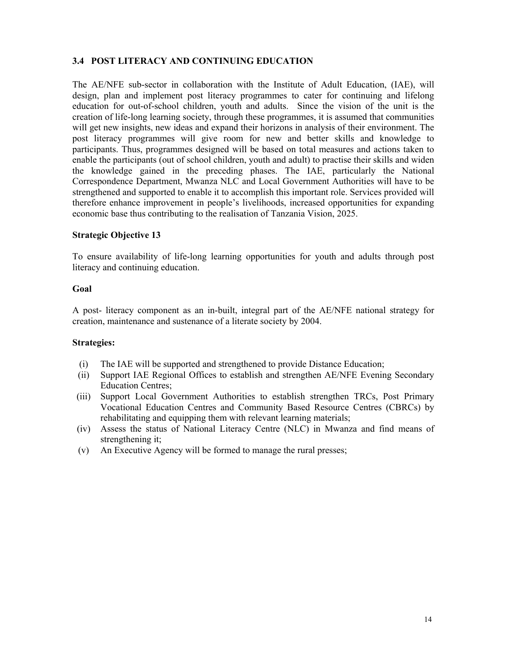### **3.4 POST LITERACY AND CONTINUING EDUCATION**

The AE/NFE sub-sector in collaboration with the Institute of Adult Education, (IAE), will design, plan and implement post literacy programmes to cater for continuing and lifelong education for out-of-school children, youth and adults. Since the vision of the unit is the creation of life-long learning society, through these programmes, it is assumed that communities will get new insights, new ideas and expand their horizons in analysis of their environment. The post literacy programmes will give room for new and better skills and knowledge to participants. Thus, programmes designed will be based on total measures and actions taken to enable the participants (out of school children, youth and adult) to practise their skills and widen the knowledge gained in the preceding phases. The IAE, particularly the National Correspondence Department, Mwanza NLC and Local Government Authorities will have to be strengthened and supported to enable it to accomplish this important role. Services provided will therefore enhance improvement in people's livelihoods, increased opportunities for expanding economic base thus contributing to the realisation of Tanzania Vision, 2025.

#### **Strategic Objective 13**

To ensure availability of life-long learning opportunities for youth and adults through post literacy and continuing education.

#### **Goal**

A post- literacy component as an in-built, integral part of the AE/NFE national strategy for creation, maintenance and sustenance of a literate society by 2004.

- (i) The IAE will be supported and strengthened to provide Distance Education;
- (ii) Support IAE Regional Offices to establish and strengthen AE/NFE Evening Secondary Education Centres;
- (iii) Support Local Government Authorities to establish strengthen TRCs, Post Primary Vocational Education Centres and Community Based Resource Centres (CBRCs) by rehabilitating and equipping them with relevant learning materials;
- (iv) Assess the status of National Literacy Centre (NLC) in Mwanza and find means of strengthening it;
- (v) An Executive Agency will be formed to manage the rural presses;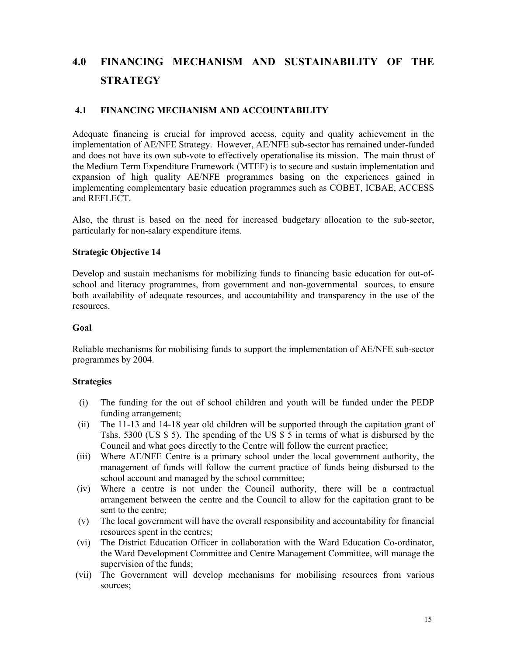# **4.0 FINANCING MECHANISM AND SUSTAINABILITY OF THE STRATEGY**

#### **4.1 FINANCING MECHANISM AND ACCOUNTABILITY**

Adequate financing is crucial for improved access, equity and quality achievement in the implementation of AE/NFE Strategy. However, AE/NFE sub-sector has remained under-funded and does not have its own sub-vote to effectively operationalise its mission. The main thrust of the Medium Term Expenditure Framework (MTEF) is to secure and sustain implementation and expansion of high quality AE/NFE programmes basing on the experiences gained in implementing complementary basic education programmes such as COBET, ICBAE, ACCESS and REFLECT.

Also, the thrust is based on the need for increased budgetary allocation to the sub-sector, particularly for non-salary expenditure items.

#### **Strategic Objective 14**

Develop and sustain mechanisms for mobilizing funds to financing basic education for out-ofschool and literacy programmes, from government and non-governmental sources, to ensure both availability of adequate resources, and accountability and transparency in the use of the resources.

#### **Goal**

Reliable mechanisms for mobilising funds to support the implementation of AE/NFE sub-sector programmes by 2004.

- (i) The funding for the out of school children and youth will be funded under the PEDP funding arrangement;
- (ii) The 11-13 and 14-18 year old children will be supported through the capitation grant of Tshs. 5300 (US \$ 5). The spending of the US \$ 5 in terms of what is disbursed by the Council and what goes directly to the Centre will follow the current practice;
- (iii) Where AE/NFE Centre is a primary school under the local government authority, the management of funds will follow the current practice of funds being disbursed to the school account and managed by the school committee;
- (iv) Where a centre is not under the Council authority, there will be a contractual arrangement between the centre and the Council to allow for the capitation grant to be sent to the centre;
- (v) The local government will have the overall responsibility and accountability for financial resources spent in the centres;
- (vi) The District Education Officer in collaboration with the Ward Education Co-ordinator, the Ward Development Committee and Centre Management Committee, will manage the supervision of the funds;
- (vii) The Government will develop mechanisms for mobilising resources from various sources;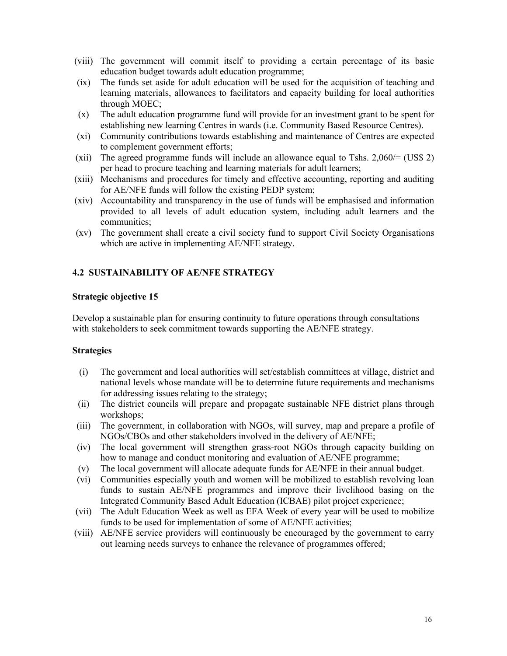- (viii) The government will commit itself to providing a certain percentage of its basic education budget towards adult education programme;
- (ix) The funds set aside for adult education will be used for the acquisition of teaching and learning materials, allowances to facilitators and capacity building for local authorities through MOEC;
- (x) The adult education programme fund will provide for an investment grant to be spent for establishing new learning Centres in wards (i.e. Community Based Resource Centres).
- (xi) Community contributions towards establishing and maintenance of Centres are expected to complement government efforts;
- (xii) The agreed programme funds will include an allowance equal to Tshs.  $2,060/=(USS 2)$ per head to procure teaching and learning materials for adult learners;
- (xiii) Mechanisms and procedures for timely and effective accounting, reporting and auditing for AE/NFE funds will follow the existing PEDP system;
- (xiv) Accountability and transparency in the use of funds will be emphasised and information provided to all levels of adult education system, including adult learners and the communities;
- (xv) The government shall create a civil society fund to support Civil Society Organisations which are active in implementing AE/NFE strategy.

### **4.2 SUSTAINABILITY OF AE/NFE STRATEGY**

#### **Strategic objective 15**

Develop a sustainable plan for ensuring continuity to future operations through consultations with stakeholders to seek commitment towards supporting the AE/NFE strategy.

- (i) The government and local authorities will set/establish committees at village, district and national levels whose mandate will be to determine future requirements and mechanisms for addressing issues relating to the strategy;
- (ii) The district councils will prepare and propagate sustainable NFE district plans through workshops;
- (iii) The government, in collaboration with NGOs, will survey, map and prepare a profile of NGOs/CBOs and other stakeholders involved in the delivery of AE/NFE;
- (iv) The local government will strengthen grass-root NGOs through capacity building on how to manage and conduct monitoring and evaluation of AE/NFE programme;
- (v) The local government will allocate adequate funds for AE/NFE in their annual budget.
- (vi) Communities especially youth and women will be mobilized to establish revolving loan funds to sustain AE/NFE programmes and improve their livelihood basing on the Integrated Community Based Adult Education (ICBAE) pilot project experience;
- (vii) The Adult Education Week as well as EFA Week of every year will be used to mobilize funds to be used for implementation of some of AE/NFE activities;
- (viii) AE/NFE service providers will continuously be encouraged by the government to carry out learning needs surveys to enhance the relevance of programmes offered;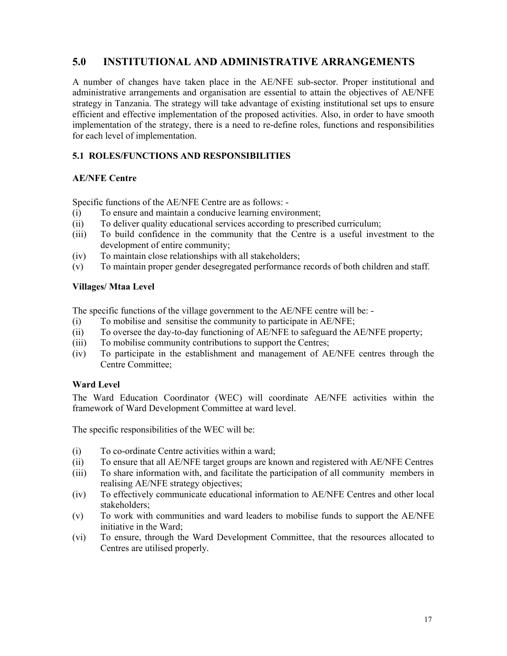### **5.0 INSTITUTIONAL AND ADMINISTRATIVE ARRANGEMENTS**

A number of changes have taken place in the AE/NFE sub-sector. Proper institutional and administrative arrangements and organisation are essential to attain the objectives of AE/NFE strategy in Tanzania. The strategy will take advantage of existing institutional set ups to ensure efficient and effective implementation of the proposed activities. Also, in order to have smooth implementation of the strategy, there is a need to re-define roles, functions and responsibilities for each level of implementation.

### **5.1 ROLES/FUNCTIONS AND RESPONSIBILITIES**

#### **AE/NFE Centre**

Specific functions of the AE/NFE Centre are as follows: -

- (i) To ensure and maintain a conducive learning environment;
- (ii) To deliver quality educational services according to prescribed curriculum;
- (iii) To build confidence in the community that the Centre is a useful investment to the development of entire community;
- (iv) To maintain close relationships with all stakeholders;
- (v) To maintain proper gender desegregated performance records of both children and staff.

#### **Villages/ Mtaa Level**

The specific functions of the village government to the AE/NFE centre will be: -

- (i) To mobilise and sensitise the community to participate in AE/NFE;
- (ii) To oversee the day-to-day functioning of AE/NFE to safeguard the AE/NFE property;
- (iii) To mobilise community contributions to support the Centres;
- (iv) To participate in the establishment and management of AE/NFE centres through the Centre Committee;

#### **Ward Level**

The Ward Education Coordinator (WEC) will coordinate AE/NFE activities within the framework of Ward Development Committee at ward level.

The specific responsibilities of the WEC will be:

- (i) To co-ordinate Centre activities within a ward;
- (ii) To ensure that all AE/NFE target groups are known and registered with AE/NFE Centres
- (iii) To share information with, and facilitate the participation of all community members in realising AE/NFE strategy objectives;
- (iv) To effectively communicate educational information to AE/NFE Centres and other local stakeholders;
- (v) To work with communities and ward leaders to mobilise funds to support the AE/NFE initiative in the Ward;
- (vi) To ensure, through the Ward Development Committee, that the resources allocated to Centres are utilised properly.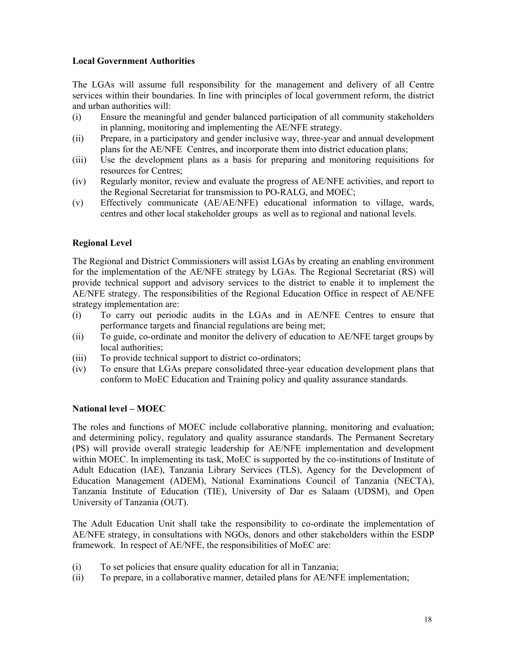#### **Local Government Authorities**

The LGAs will assume full responsibility for the management and delivery of all Centre services within their boundaries. In line with principles of local government reform, the district and urban authorities will:

- (i) Ensure the meaningful and gender balanced participation of all community stakeholders in planning, monitoring and implementing the AE/NFE strategy.
- (ii) Prepare, in a participatory and gender inclusive way, three-year and annual development plans for the AE/NFE Centres, and incorporate them into district education plans;
- (iii) Use the development plans as a basis for preparing and monitoring requisitions for resources for Centres;
- (iv) Regularly monitor, review and evaluate the progress of AE/NFE activities, and report to the Regional Secretariat for transmission to PO-RALG, and MOEC;
- (v) Effectively communicate (AE/AE/NFE) educational information to village, wards, centres and other local stakeholder groups as well as to regional and national levels.

#### **Regional Level**

The Regional and District Commissioners will assist LGAs by creating an enabling environment for the implementation of the AE/NFE strategy by LGAs. The Regional Secretariat (RS) will provide technical support and advisory services to the district to enable it to implement the AE/NFE strategy. The responsibilities of the Regional Education Office in respect of AE/NFE strategy implementation are:

- (i) To carry out periodic audits in the LGAs and in AE/NFE Centres to ensure that performance targets and financial regulations are being met;
- (ii) To guide, co-ordinate and monitor the delivery of education to AE/NFE target groups by local authorities:
- (iii) To provide technical support to district co-ordinators;
- (iv) To ensure that LGAs prepare consolidated three-year education development plans that conform to MoEC Education and Training policy and quality assurance standards.

#### **National level – MOEC**

The roles and functions of MOEC include collaborative planning, monitoring and evaluation; and determining policy, regulatory and quality assurance standards. The Permanent Secretary (PS) will provide overall strategic leadership for AE/NFE implementation and development within MOEC. In implementing its task, MoEC is supported by the co-institutions of Institute of Adult Education (IAE), Tanzania Library Services (TLS), Agency for the Development of Education Management (ADEM), National Examinations Council of Tanzania (NECTA), Tanzania Institute of Education (TIE), University of Dar es Salaam (UDSM), and Open University of Tanzania (OUT).

The Adult Education Unit shall take the responsibility to co-ordinate the implementation of AE/NFE strategy, in consultations with NGOs, donors and other stakeholders within the ESDP framework. In respect of AE/NFE, the responsibilities of MoEC are:

- (i) To set policies that ensure quality education for all in Tanzania;
- (ii) To prepare, in a collaborative manner, detailed plans for AE/NFE implementation;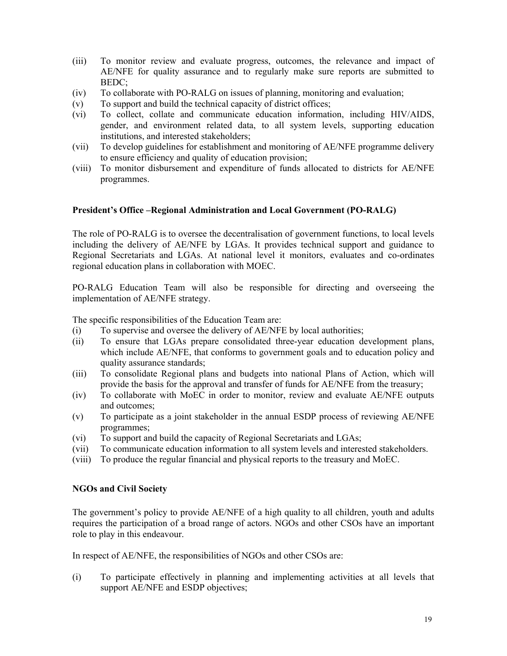- (iii) To monitor review and evaluate progress, outcomes, the relevance and impact of AE/NFE for quality assurance and to regularly make sure reports are submitted to BEDC;
- (iv) To collaborate with PO-RALG on issues of planning, monitoring and evaluation;
- (v) To support and build the technical capacity of district offices;
- (vi) To collect, collate and communicate education information, including HIV/AIDS, gender, and environment related data, to all system levels, supporting education institutions, and interested stakeholders;
- (vii) To develop guidelines for establishment and monitoring of AE/NFE programme delivery to ensure efficiency and quality of education provision;
- (viii) To monitor disbursement and expenditure of funds allocated to districts for AE/NFE programmes.

#### **President's Office –Regional Administration and Local Government (PO-RALG)**

The role of PO-RALG is to oversee the decentralisation of government functions, to local levels including the delivery of AE/NFE by LGAs. It provides technical support and guidance to Regional Secretariats and LGAs. At national level it monitors, evaluates and co-ordinates regional education plans in collaboration with MOEC.

PO-RALG Education Team will also be responsible for directing and overseeing the implementation of AE/NFE strategy.

The specific responsibilities of the Education Team are:

- (i) To supervise and oversee the delivery of AE/NFE by local authorities;
- (ii) To ensure that LGAs prepare consolidated three-year education development plans, which include AE/NFE, that conforms to government goals and to education policy and quality assurance standards;
- (iii) To consolidate Regional plans and budgets into national Plans of Action, which will provide the basis for the approval and transfer of funds for AE/NFE from the treasury;
- (iv) To collaborate with MoEC in order to monitor, review and evaluate AE/NFE outputs and outcomes;
- (v) To participate as a joint stakeholder in the annual ESDP process of reviewing AE/NFE programmes;
- (vi) To support and build the capacity of Regional Secretariats and LGAs;
- (vii) To communicate education information to all system levels and interested stakeholders.
- (viii) To produce the regular financial and physical reports to the treasury and MoEC.

#### **NGOs and Civil Society**

The government's policy to provide AE/NFE of a high quality to all children, youth and adults requires the participation of a broad range of actors. NGOs and other CSOs have an important role to play in this endeavour.

In respect of AE/NFE, the responsibilities of NGOs and other CSOs are:

(i) To participate effectively in planning and implementing activities at all levels that support AE/NFE and ESDP objectives;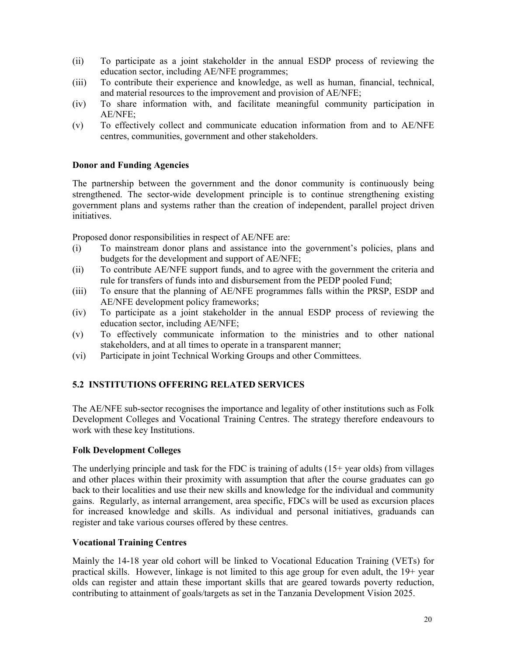- (ii) To participate as a joint stakeholder in the annual ESDP process of reviewing the education sector, including AE/NFE programmes;
- (iii) To contribute their experience and knowledge, as well as human, financial, technical, and material resources to the improvement and provision of AE/NFE;
- (iv) To share information with, and facilitate meaningful community participation in AE/NFE;
- (v) To effectively collect and communicate education information from and to AE/NFE centres, communities, government and other stakeholders.

#### **Donor and Funding Agencies**

The partnership between the government and the donor community is continuously being strengthened. The sector-wide development principle is to continue strengthening existing government plans and systems rather than the creation of independent, parallel project driven initiatives.

Proposed donor responsibilities in respect of AE/NFE are:

- (i) To mainstream donor plans and assistance into the government's policies, plans and budgets for the development and support of AE/NFE;
- (ii) To contribute AE/NFE support funds, and to agree with the government the criteria and rule for transfers of funds into and disbursement from the PEDP pooled Fund;
- (iii) To ensure that the planning of AE/NFE programmes falls within the PRSP, ESDP and AE/NFE development policy frameworks;
- (iv) To participate as a joint stakeholder in the annual ESDP process of reviewing the education sector, including AE/NFE;
- (v) To effectively communicate information to the ministries and to other national stakeholders, and at all times to operate in a transparent manner;
- (vi) Participate in joint Technical Working Groups and other Committees.

#### **5.2 INSTITUTIONS OFFERING RELATED SERVICES**

The AE/NFE sub-sector recognises the importance and legality of other institutions such as Folk Development Colleges and Vocational Training Centres. The strategy therefore endeavours to work with these key Institutions.

#### **Folk Development Colleges**

The underlying principle and task for the FDC is training of adults (15+ year olds) from villages and other places within their proximity with assumption that after the course graduates can go back to their localities and use their new skills and knowledge for the individual and community gains. Regularly, as internal arrangement, area specific, FDCs will be used as excursion places for increased knowledge and skills. As individual and personal initiatives, graduands can register and take various courses offered by these centres.

#### **Vocational Training Centres**

Mainly the 14-18 year old cohort will be linked to Vocational Education Training (VETs) for practical skills. However, linkage is not limited to this age group for even adult, the 19+ year olds can register and attain these important skills that are geared towards poverty reduction, contributing to attainment of goals/targets as set in the Tanzania Development Vision 2025.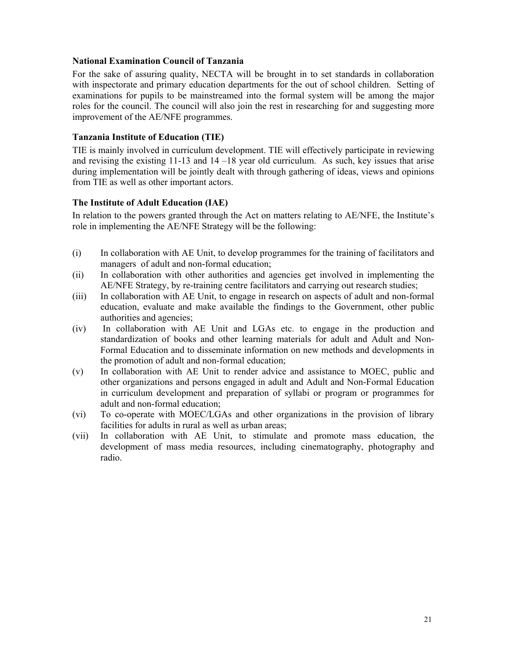#### **National Examination Council of Tanzania**

For the sake of assuring quality, NECTA will be brought in to set standards in collaboration with inspectorate and primary education departments for the out of school children. Setting of examinations for pupils to be mainstreamed into the formal system will be among the major roles for the council. The council will also join the rest in researching for and suggesting more improvement of the AE/NFE programmes.

#### **Tanzania Institute of Education (TIE)**

TIE is mainly involved in curriculum development. TIE will effectively participate in reviewing and revising the existing 11-13 and 14 –18 year old curriculum. As such, key issues that arise during implementation will be jointly dealt with through gathering of ideas, views and opinions from TIE as well as other important actors.

#### **The Institute of Adult Education (IAE)**

In relation to the powers granted through the Act on matters relating to AE/NFE, the Institute's role in implementing the AE/NFE Strategy will be the following:

- (i) In collaboration with AE Unit, to develop programmes for the training of facilitators and managers of adult and non-formal education;
- (ii) In collaboration with other authorities and agencies get involved in implementing the AE/NFE Strategy, by re-training centre facilitators and carrying out research studies;
- (iii) In collaboration with AE Unit, to engage in research on aspects of adult and non-formal education, evaluate and make available the findings to the Government, other public authorities and agencies;
- (iv) In collaboration with AE Unit and LGAs etc. to engage in the production and standardization of books and other learning materials for adult and Adult and Non-Formal Education and to disseminate information on new methods and developments in the promotion of adult and non-formal education;
- (v) In collaboration with AE Unit to render advice and assistance to MOEC, public and other organizations and persons engaged in adult and Adult and Non-Formal Education in curriculum development and preparation of syllabi or program or programmes for adult and non-formal education;
- (vi) To co-operate with MOEC/LGAs and other organizations in the provision of library facilities for adults in rural as well as urban areas;
- (vii) In collaboration with AE Unit, to stimulate and promote mass education, the development of mass media resources, including cinematography, photography and radio.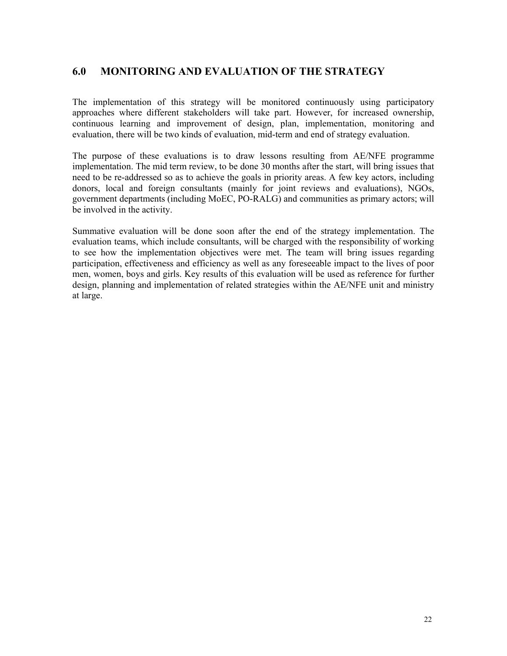### **6.0 MONITORING AND EVALUATION OF THE STRATEGY**

The implementation of this strategy will be monitored continuously using participatory approaches where different stakeholders will take part. However, for increased ownership, continuous learning and improvement of design, plan, implementation, monitoring and evaluation, there will be two kinds of evaluation, mid-term and end of strategy evaluation.

The purpose of these evaluations is to draw lessons resulting from AE/NFE programme implementation. The mid term review, to be done 30 months after the start, will bring issues that need to be re-addressed so as to achieve the goals in priority areas. A few key actors, including donors, local and foreign consultants (mainly for joint reviews and evaluations), NGOs, government departments (including MoEC, PO-RALG) and communities as primary actors; will be involved in the activity.

Summative evaluation will be done soon after the end of the strategy implementation. The evaluation teams, which include consultants, will be charged with the responsibility of working to see how the implementation objectives were met. The team will bring issues regarding participation, effectiveness and efficiency as well as any foreseeable impact to the lives of poor men, women, boys and girls. Key results of this evaluation will be used as reference for further design, planning and implementation of related strategies within the AE/NFE unit and ministry at large.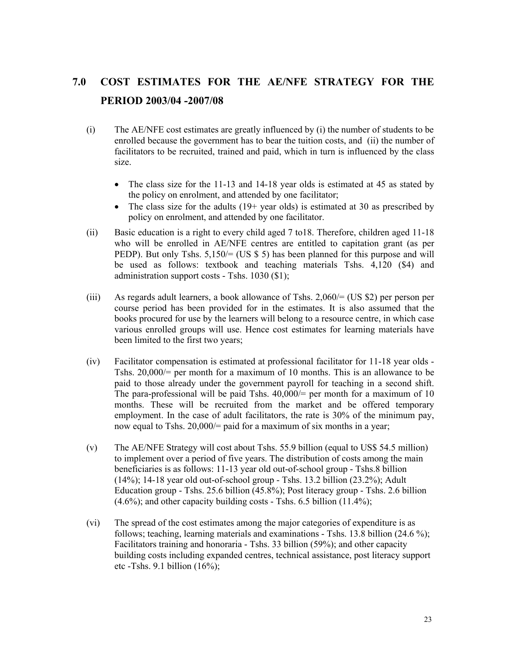# **7.0 COST ESTIMATES FOR THE AE/NFE STRATEGY FOR THE PERIOD 2003/04 -2007/08**

- (i) The AE/NFE cost estimates are greatly influenced by (i) the number of students to be enrolled because the government has to bear the tuition costs, and (ii) the number of facilitators to be recruited, trained and paid, which in turn is influenced by the class size.
	- The class size for the 11-13 and 14-18 year olds is estimated at 45 as stated by the policy on enrolment, and attended by one facilitator;
	- The class size for the adults  $(19+)$  year olds) is estimated at 30 as prescribed by policy on enrolment, and attended by one facilitator.
- (ii) Basic education is a right to every child aged 7 to18. Therefore, children aged 11-18 who will be enrolled in AE/NFE centres are entitled to capitation grant (as per PEDP). But only Tshs. 5,150/= (US \$ 5) has been planned for this purpose and will be used as follows: textbook and teaching materials Tshs. 4,120 (\$4) and administration support costs - Tshs. 1030 (\$1);
- (iii) As regards adult learners, a book allowance of Tshs. 2,060/= (US \$2) per person per course period has been provided for in the estimates. It is also assumed that the books procured for use by the learners will belong to a resource centre, in which case various enrolled groups will use. Hence cost estimates for learning materials have been limited to the first two years;
- (iv) Facilitator compensation is estimated at professional facilitator for 11-18 year olds Tshs. 20,000/= per month for a maximum of 10 months. This is an allowance to be paid to those already under the government payroll for teaching in a second shift. The para-professional will be paid Tshs.  $40,000/=$  per month for a maximum of 10 months. These will be recruited from the market and be offered temporary employment. In the case of adult facilitators, the rate is 30% of the minimum pay, now equal to Tshs. 20,000/= paid for a maximum of six months in a year;
- (v) The AE/NFE Strategy will cost about Tshs. 55.9 billion (equal to US\$ 54.5 million) to implement over a period of five years. The distribution of costs among the main beneficiaries is as follows: 11-13 year old out-of-school group - Tshs.8 billion (14%); 14-18 year old out-of-school group - Tshs. 13.2 billion (23.2%); Adult Education group - Tshs. 25.6 billion (45.8%); Post literacy group - Tshs. 2.6 billion  $(4.6\%)$ ; and other capacity building costs - Tshs. 6.5 billion  $(11.4\%)$ ;
- (vi) The spread of the cost estimates among the major categories of expenditure is as follows; teaching, learning materials and examinations - Tshs. 13.8 billion (24.6 %); Facilitators training and honoraria - Tshs. 33 billion (59%); and other capacity building costs including expanded centres, technical assistance, post literacy support etc -Tshs. 9.1 billion  $(16\%)$ ;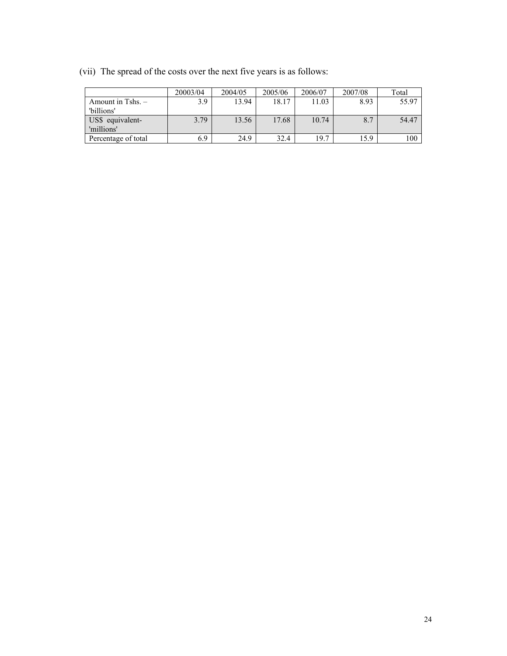|                     | 20003/04 | 2004/05 | 2005/06 | 2006/07 | 2007/08 | Total |
|---------------------|----------|---------|---------|---------|---------|-------|
| Amount in Tshs. $-$ | 3.9      | 13.94   | 18.17   | 11.03   | 8.93    | 55.97 |
| 'billions'          |          |         |         |         |         |       |
| US\$ equivalent-    | 3.79     | 13.56   | 17.68   | 10.74   | 8.7     | 54.47 |
| 'millions'          |          |         |         |         |         |       |
| Percentage of total | 6.9      | 24.9    | 32.4    | 19.7    | 15.9    | 100   |

(vii) The spread of the costs over the next five years is as follows: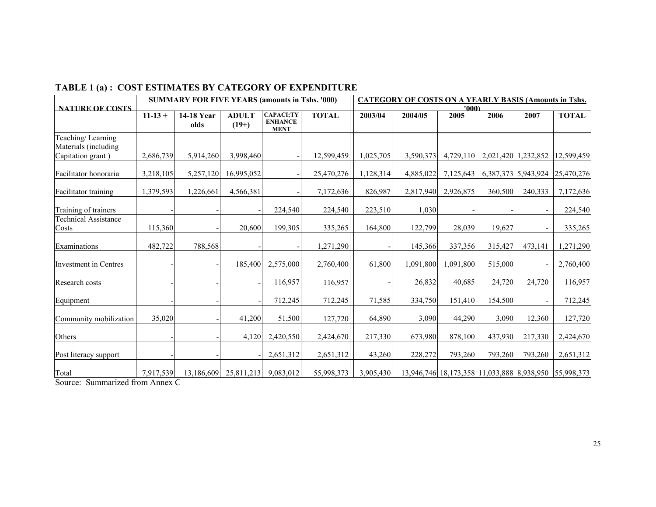# **TABLE 1 (a) : COST ESTIMATES BY CATEGORY OF EXPENDITURE**

|                                                                |           | <b>SUMMARY FOR FIVE YEARS (amounts in Tshs. '000)</b> |                                 |                                                   |              | <b>CATEGORY OF COSTS ON A YEARLY BASIS (Amounts in Tshs.</b> |           |               |         |                     |                                                       |  |
|----------------------------------------------------------------|-----------|-------------------------------------------------------|---------------------------------|---------------------------------------------------|--------------|--------------------------------------------------------------|-----------|---------------|---------|---------------------|-------------------------------------------------------|--|
| <b>NATURE OF COSTS</b>                                         | $11-13 +$ | 14-18 Year<br>olds                                    | <b>ADULT</b><br>$(19+)$         | <b>CAPACI;TY</b><br><b>ENHANCE</b><br><b>MENT</b> | <b>TOTAL</b> | 2003/04                                                      | 2004/05   | '000)<br>2005 | 2006    | 2007                | <b>TOTAL</b>                                          |  |
| Teaching/Learning<br>Materials (including<br>Capitation grant) | 2,686,739 | 5,914,260                                             | 3,998,460                       |                                                   | 12,599,459   | 1,025,705                                                    | 3,590,373 | 4,729,110     |         | 2,021,420 1,232,852 | 12,599,459                                            |  |
| Facilitator honoraria                                          | 3,218,105 | 5,257,120                                             | 16,995,052                      |                                                   | 25,470,276   | 1,128,314                                                    | 4,885,022 | 7,125,643     |         |                     | 6, 387, 373 5, 943, 924 25, 470, 276                  |  |
| Facilitator training                                           | 1,379,593 | 1,226,661                                             | 4,566,381                       |                                                   | 7,172,636    | 826,987                                                      | 2,817,940 | 2,926,875     | 360,500 | 240,333             | 7,172,636                                             |  |
| Training of trainers                                           |           |                                                       |                                 | 224,540                                           | 224,540      | 223,510                                                      | 1,030     |               |         |                     | 224,540                                               |  |
| <b>Technical Assistance</b><br>Costs                           | 115,360   |                                                       | 20,600                          | 199,305                                           | 335,265      | 164,800                                                      | 122,799   | 28,039        | 19,627  |                     | 335,265                                               |  |
| Examinations                                                   | 482,722   | 788,568                                               |                                 |                                                   | 1,271,290    |                                                              | 145,366   | 337,356       | 315,427 | 473,141             | 1,271,290                                             |  |
| Investment in Centres                                          |           |                                                       | 185,400                         | 2,575,000                                         | 2,760,400    | 61,800                                                       | 1,091,800 | 1,091,800     | 515,000 |                     | 2,760,400                                             |  |
| Research costs                                                 |           |                                                       |                                 | 116,957                                           | 116,957      |                                                              | 26,832    | 40,685        | 24,720  | 24,720              | 116,957                                               |  |
| Equipment                                                      |           |                                                       |                                 | 712,245                                           | 712,245      | 71,585                                                       | 334,750   | 151,410       | 154,500 |                     | 712,245                                               |  |
| Community mobilization                                         | 35,020    |                                                       | 41,200                          | 51,500                                            | 127,720      | 64,890                                                       | 3,090     | 44,290        | 3,090   | 12,360              | 127,720                                               |  |
| Others                                                         |           |                                                       | 4,120                           | 2,420,550                                         | 2,424,670    | 217,330                                                      | 673,980   | 878,100       | 437,930 | 217,330             | 2,424,670                                             |  |
| Post literacy support                                          |           |                                                       |                                 | 2,651,312                                         | 2,651,312    | 43,260                                                       | 228,272   | 793,260       | 793,260 | 793,260             | 2,651,312                                             |  |
| Total                                                          | 7,917,539 |                                                       | 13,186,609 25,811,213 9,083,012 |                                                   | 55,998,373   | 3,905,430                                                    |           |               |         |                     | 13,946,746 18,173,358 11,033,888 8,938,950 55,998,373 |  |

Source: Summarized from Annex C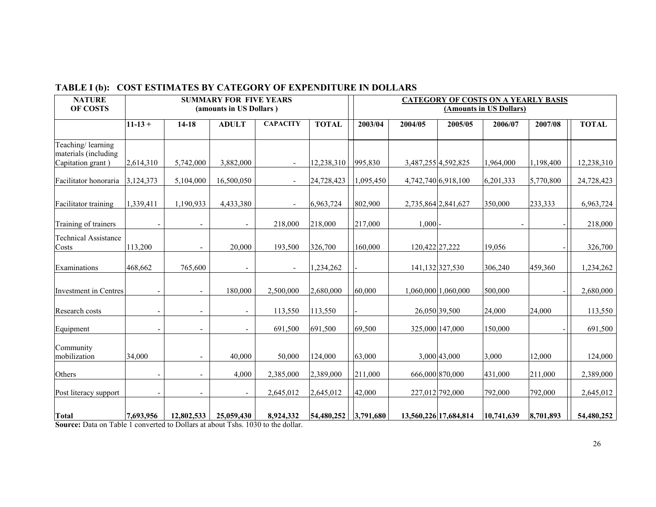| <b>NATURE</b><br>OF COSTS                                      |                          |                      | <b>SUMMARY FOR FIVE YEARS</b><br>(amounts in US Dollars) |                          |              | <b>CATEGORY OF COSTS ON A YEARLY BASIS</b><br>(Amounts in US Dollars) |                                |            |           |              |  |  |
|----------------------------------------------------------------|--------------------------|----------------------|----------------------------------------------------------|--------------------------|--------------|-----------------------------------------------------------------------|--------------------------------|------------|-----------|--------------|--|--|
|                                                                | $11 - 13 +$              | $14 - 18$            | <b>ADULT</b>                                             | <b>CAPACITY</b>          | <b>TOTAL</b> | 2003/04                                                               | 2004/05<br>2005/05             | 2006/07    | 2007/08   | <b>TOTAL</b> |  |  |
| Teaching/learning<br>materials (including<br>Capitation grant) | 2,614,310                | 5,742,000            | 3,882,000                                                |                          | 12,238,310   | 995,830                                                               | 3,487,255 4,592,825            | 1,964,000  | 1,198,400 | 12,238,310   |  |  |
| Facilitator honoraria                                          | 3,124,373                | 5,104,000            | 16,500,050                                               |                          | 24,728,423   | 1,095,450                                                             | 4,742,740 6,918,100            | 6,201,333  | 5,770,800 | 24,728,423   |  |  |
| Facilitator training                                           | 1,339,411                | 1,190,933            | 4,433,380                                                | $\overline{\phantom{a}}$ | 6,963,724    | 802,900                                                               | 2,735,864 2,841,627<br>350,000 |            | 233,333   | 6,963,724    |  |  |
| Training of trainers                                           |                          |                      |                                                          | 218,000                  | 218,000      | 217,000                                                               | 1,000                          |            |           | 218,000      |  |  |
| <b>Technical Assistance</b><br>Costs                           | 113,200                  | $\sim$               | 20,000                                                   | 193,500                  | 326,700      | 160,000                                                               | 120,422 27,222                 | 19,056     |           | 326,700      |  |  |
| Examinations                                                   | 468,662                  | 765,600              |                                                          | $\sim$                   | 1,234,262    |                                                                       | 141, 132 327, 530              | 306,240    | 459,360   | 1,234,262    |  |  |
| Investment in Centres                                          |                          |                      | 180,000                                                  | 2,500,000                | 2,680,000    | 60,000                                                                | 1,060,000 1,060,000            | 500,000    |           | 2,680,000    |  |  |
| Research costs                                                 | $\overline{\phantom{0}}$ | $\blacksquare$       | $\overline{\phantom{a}}$                                 | 113,550                  | 113,550      |                                                                       | 26,050 39,500                  | 24,000     | 24,000    | 113,550      |  |  |
| Equipment                                                      | $\overline{\phantom{a}}$ | $\overline{a}$       | $\overline{\phantom{a}}$                                 | 691,500                  | 691,500      | 69,500                                                                | 325,000 147,000                | 150,000    |           | 691,500      |  |  |
| Community<br>mobilization                                      | 34,000                   |                      | 40.000                                                   | 50,000                   | 124,000      | 63,000                                                                | 3,000 43,000                   | 3,000      | 12,000    | 124,000      |  |  |
| Others                                                         |                          |                      | 4,000                                                    | 2,385,000                | 2,389,000    | 211,000                                                               | 666,000 870,000                | 431,000    | 211,000   | 2,389,000    |  |  |
| Post literacy support                                          |                          |                      |                                                          | 2,645,012                | 2,645,012    | 42,000                                                                | 227,012 792,000                | 792,000    | 792,000   | 2,645,012    |  |  |
| <b>Total</b><br>$P_{11}$ $P_{21}$ $P_{31}$ $P_{41}$            | 7,693,956                | 12,802,533<br>11.771 | 25,059,430<br>$1.1 \times T$ 1.000 $1.11$                | 8,924,332                | 54,480,252   | 3,791,680                                                             | 13,560,226 17,684,814          | 10,741,639 | 8,701,893 | 54,480,252   |  |  |

### **TABLE I (b): COST ESTIMATES BY CATEGORY OF EXPENDITURE IN DOLLARS**

**Source:** Data on Table 1 converted to Dollars at about Tshs. 1030 to the dollar.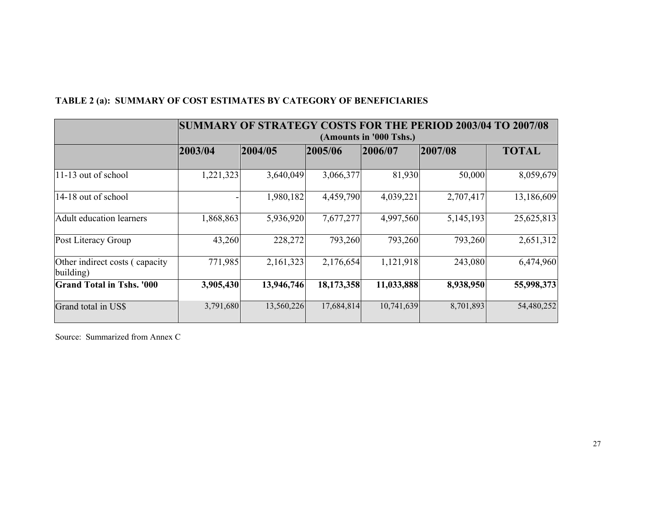|  | TABLE 2 (a): SUMMARY OF COST ESTIMATES BY CATEGORY OF BENEFICIARIES |
|--|---------------------------------------------------------------------|
|  |                                                                     |

|                                              |           | SUMMARY OF STRATEGY COSTS FOR THE PERIOD 2003/04 TO 2007/08 |            |                         |           |              |  |  |  |  |  |  |  |  |
|----------------------------------------------|-----------|-------------------------------------------------------------|------------|-------------------------|-----------|--------------|--|--|--|--|--|--|--|--|
|                                              |           |                                                             |            | (Amounts in '000 Tshs.) |           |              |  |  |  |  |  |  |  |  |
|                                              | 2003/04   | 2004/05                                                     | 2005/06    | 2006/07                 | 2007/08   | <b>TOTAL</b> |  |  |  |  |  |  |  |  |
|                                              |           |                                                             |            |                         |           |              |  |  |  |  |  |  |  |  |
| 11-13 out of school                          | 1,221,323 | 3,640,049                                                   | 3,066,377  | 81,930                  | 50,000    | 8,059,679    |  |  |  |  |  |  |  |  |
| 14-18 out of school                          |           | 1,980,182                                                   | 4,459,790  | 4,039,221               | 2,707,417 | 13,186,609   |  |  |  |  |  |  |  |  |
| <b>Adult education learners</b>              | 1,868,863 | 5,936,920                                                   | 7,677,277  | 4,997,560               | 5,145,193 | 25,625,813   |  |  |  |  |  |  |  |  |
| Post Literacy Group                          | 43,260    | 228,272                                                     | 793,260    | 793,260                 | 793,260   | 2,651,312    |  |  |  |  |  |  |  |  |
| Other indirect costs (capacity)<br>building) | 771,985   | 2,161,323                                                   | 2,176,654  | 1,121,918               | 243,080   | 6,474,960    |  |  |  |  |  |  |  |  |
| <b>Grand Total in Tshs. '000</b>             | 3,905,430 | 13,946,746                                                  | 18,173,358 | 11,033,888              | 8,938,950 | 55,998,373   |  |  |  |  |  |  |  |  |
| Grand total in US\$                          | 3,791,680 | 13,560,226                                                  | 17,684,814 | 10,741,639              | 8,701,893 | 54,480,252   |  |  |  |  |  |  |  |  |

Source: Summarized from Annex C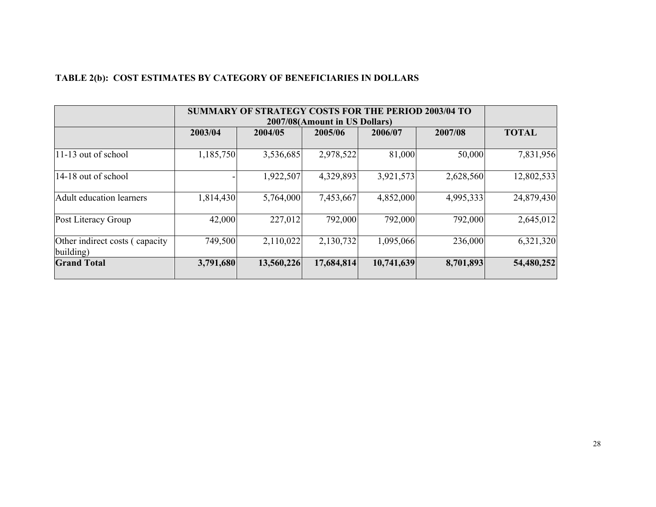| TABLE 2(b): COST ESTIMATES BY CATEGORY OF BENEFICIARIES IN DOLLARS |  |
|--------------------------------------------------------------------|--|
|--------------------------------------------------------------------|--|

|                                              |           | SUMMARY OF STRATEGY COSTS FOR THE PERIOD 2003/04 TO<br>2007/08(Amount in US Dollars) |            |            |           |              |  |  |  |  |  |  |
|----------------------------------------------|-----------|--------------------------------------------------------------------------------------|------------|------------|-----------|--------------|--|--|--|--|--|--|
|                                              | 2003/04   | 2004/05                                                                              | 2005/06    | 2006/07    | 2007/08   | <b>TOTAL</b> |  |  |  |  |  |  |
| $ 11-13$ out of school                       | 1,185,750 | 3,536,685                                                                            | 2,978,522  | 81,000     | 50,000    | 7,831,956    |  |  |  |  |  |  |
| $ 14-18$ out of school                       |           | 1,922,507                                                                            | 4,329,893  | 3,921,573  | 2,628,560 | 12,802,533   |  |  |  |  |  |  |
| <b>Adult education learners</b>              | 1,814,430 | 5,764,000                                                                            | 7,453,667  | 4,852,000  | 4,995,333 | 24,879,430   |  |  |  |  |  |  |
| Post Literacy Group                          | 42,000    | 227,012                                                                              | 792,000    | 792,000    | 792,000   | 2,645,012    |  |  |  |  |  |  |
| Other indirect costs (capacity)<br>building) | 749,500   | 2,110,022                                                                            | 2,130,732  | 1,095,066  | 236,000   | 6,321,320    |  |  |  |  |  |  |
| <b>Grand Total</b>                           | 3,791,680 | 13,560,226                                                                           | 17,684,814 | 10,741,639 | 8,701,893 | 54,480,252   |  |  |  |  |  |  |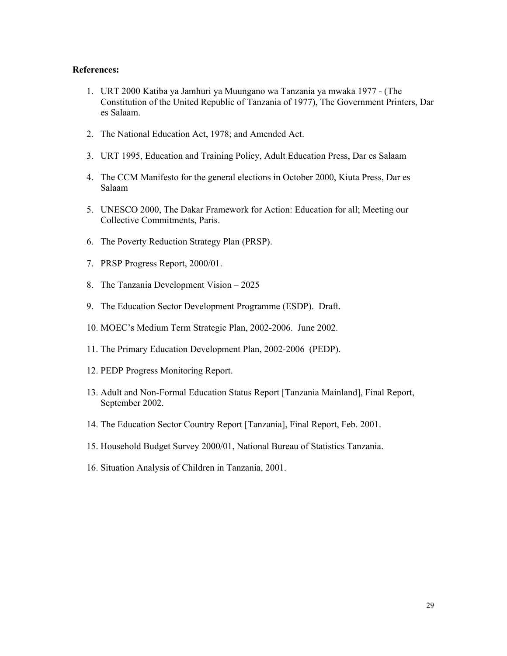#### **References:**

- 1. URT 2000 Katiba ya Jamhuri ya Muungano wa Tanzania ya mwaka 1977 (The Constitution of the United Republic of Tanzania of 1977), The Government Printers, Dar es Salaam.
- 2. The National Education Act, 1978; and Amended Act.
- 3. URT 1995, Education and Training Policy, Adult Education Press, Dar es Salaam
- 4. The CCM Manifesto for the general elections in October 2000, Kiuta Press, Dar es Salaam
- 5. UNESCO 2000, The Dakar Framework for Action: Education for all; Meeting our Collective Commitments, Paris.
- 6. The Poverty Reduction Strategy Plan (PRSP).
- 7. PRSP Progress Report, 2000/01.
- 8. The Tanzania Development Vision 2025
- 9. The Education Sector Development Programme (ESDP). Draft.
- 10. MOEC's Medium Term Strategic Plan, 2002-2006. June 2002.
- 11. The Primary Education Development Plan, 2002-2006 (PEDP).
- 12. PEDP Progress Monitoring Report.
- 13. Adult and Non-Formal Education Status Report [Tanzania Mainland], Final Report, September 2002.
- 14. The Education Sector Country Report [Tanzania], Final Report, Feb. 2001.
- 15. Household Budget Survey 2000/01, National Bureau of Statistics Tanzania.
- 16. Situation Analysis of Children in Tanzania, 2001.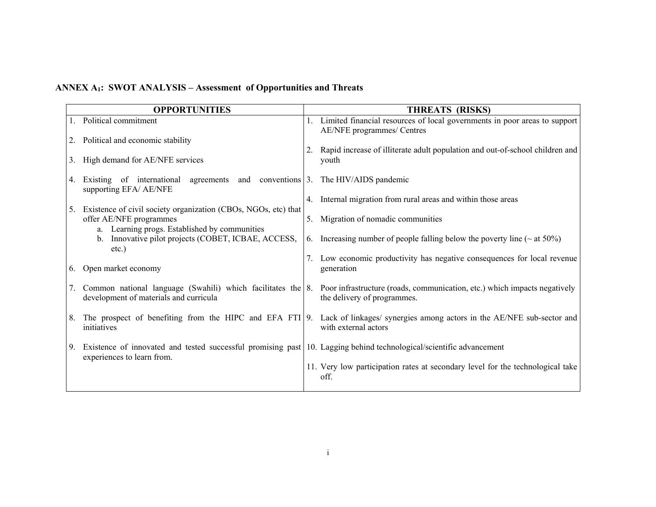# **ANNEX A1: SWOT ANALYSIS – Assessment of Opportunities and Threats**

|    | <b>OPPORTUNITIES</b>                                                                                                                              |    | THREATS (RISKS)                                                                                                                                                      |
|----|---------------------------------------------------------------------------------------------------------------------------------------------------|----|----------------------------------------------------------------------------------------------------------------------------------------------------------------------|
|    | 1. Political commitment                                                                                                                           |    | 1. Limited financial resources of local governments in poor areas to support<br>AE/NFE programmes/ Centres                                                           |
| 2. | Political and economic stability                                                                                                                  |    | 2. Rapid increase of illiterate adult population and out-of-school children and                                                                                      |
|    | 3. High demand for AE/NFE services                                                                                                                |    | youth                                                                                                                                                                |
| 4. | Existing of international agreements and conventions 3. The HIV/AIDS pandemic<br>supporting EFA/ AE/NFE                                           |    |                                                                                                                                                                      |
| 5. | Existence of civil society organization (CBOs, NGOs, etc) that                                                                                    |    | 4. Internal migration from rural areas and within those areas                                                                                                        |
|    | offer AE/NFE programmes<br>a. Learning progs. Established by communities                                                                          | 5. | Migration of nomadic communities                                                                                                                                     |
|    | b. Innovative pilot projects (COBET, ICBAE, ACCESS,<br>$etc.$ )                                                                                   |    | 6. Increasing number of people falling below the poverty line ( $\sim$ at 50%)                                                                                       |
| 6. | Open market economy                                                                                                                               |    | 7. Low economic productivity has negative consequences for local revenue<br>generation                                                                               |
| 7. | development of materials and curricula                                                                                                            |    | Common national language (Swahili) which facilitates the 8. Poor infrastructure (roads, communication, etc.) which impacts negatively<br>the delivery of programmes. |
| 8. | initiatives                                                                                                                                       |    | The prospect of benefiting from the HIPC and EFA FTI 9. Lack of linkages/ synergies among actors in the AE/NFE sub-sector and<br>with external actors                |
| 9. | Existence of innovated and tested successful promising past 10. Lagging behind technological/scientific advancement<br>experiences to learn from. |    |                                                                                                                                                                      |
|    |                                                                                                                                                   |    | 11. Very low participation rates at secondary level for the technological take<br>off.                                                                               |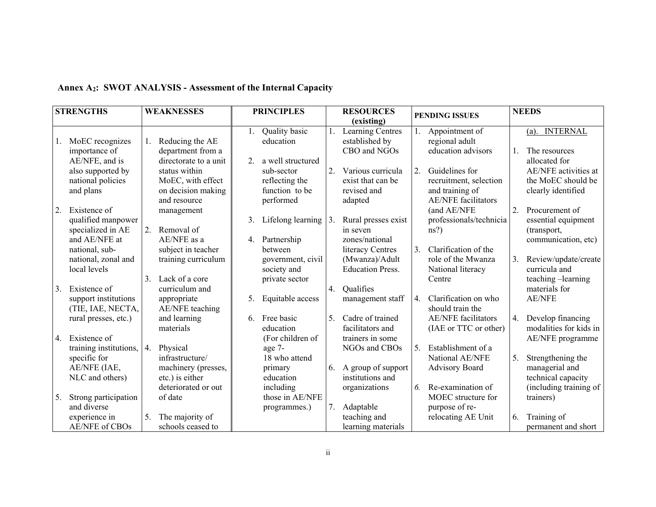|    | <b>STRENGTHS</b>                                          | <b>WEAKNESSES</b> |                                                                          |    | <b>PRINCIPLES</b>                                           |    | <b>RESOURCES</b>                                                 |    |                                                                                           | <b>NEEDS</b> |                                                                  |
|----|-----------------------------------------------------------|-------------------|--------------------------------------------------------------------------|----|-------------------------------------------------------------|----|------------------------------------------------------------------|----|-------------------------------------------------------------------------------------------|--------------|------------------------------------------------------------------|
|    |                                                           |                   |                                                                          |    |                                                             |    | (existing)                                                       |    | <b>PENDING ISSUES</b>                                                                     |              |                                                                  |
|    | MoEC recognizes<br>importance of<br>AE/NFE, and is        | 1.                | Reducing the AE<br>department from a<br>directorate to a unit            | 2. | Quality basic<br>education<br>a well structured             |    | <b>Learning Centres</b><br>established by<br>CBO and NGOs        |    | Appointment of<br>regional adult<br>education advisors                                    |              | <b>INTERNAL</b><br>(a).<br>The resources<br>allocated for        |
|    | also supported by<br>national policies<br>and plans       |                   | status within<br>MoEC, with effect<br>on decision making<br>and resource |    | sub-sector<br>reflecting the<br>function to be<br>performed | 2. | Various curricula<br>exist that can be<br>revised and<br>adapted | 2. | Guidelines for<br>recruitment, selection<br>and training of<br><b>AE/NFE</b> facilitators |              | AE/NFE activities at<br>the MoEC should be<br>clearly identified |
| 2. | Existence of<br>qualified manpower<br>specialized in AE   | 2.                | management<br>Removal of                                                 | 3. | Lifelong learning $ 3$ .                                    |    | Rural presses exist<br>in seven                                  |    | (and AE/NFE<br>professionals/technicia<br>ns?                                             | 2.           | Procurement of<br>essential equipment<br>(transport,             |
|    | and AE/NFE at<br>national, sub-                           |                   | AE/NFE as a<br>subject in teacher                                        | 4. | Partnership<br>between                                      |    | zones/national<br>literacy Centres                               | 3. | Clarification of the                                                                      |              | communication, etc)                                              |
|    | national, zonal and<br>local levels                       | 3.                | training curriculum<br>Lack of a core                                    |    | government, civil<br>society and<br>private sector          |    | (Mwanza)/Adult<br><b>Education Press.</b>                        |    | role of the Mwanza<br>National literacy<br>Centre                                         | 3.           | Review/update/create<br>curricula and<br>teaching -learning      |
| 3. | Existence of<br>support institutions<br>(TIE, IAE, NECTA, |                   | curriculum and<br>appropriate<br>AE/NFE teaching                         | 5. | Equitable access                                            | 4. | Qualifies<br>management staff                                    | 4. | Clarification on who<br>should train the                                                  |              | materials for<br><b>AE/NFE</b>                                   |
|    | rural presses, etc.)<br>4. Existence of                   |                   | and learning<br>materials                                                | 6. | Free basic<br>education<br>(For children of                 | 5. | Cadre of trained<br>facilitators and<br>trainers in some         |    | <b>AE/NFE</b> facilitators<br>(IAE or TTC or other)                                       | 4.           | Develop financing<br>modalities for kids in<br>AE/NFE programme  |
|    | training institutions,<br>specific for                    | 4.                | Physical<br>infrastructure/                                              |    | age 7-<br>18 who attend                                     |    | NGOs and CBOs                                                    | 5. | Establishment of a<br>National AE/NFE                                                     | 5.           | Strengthening the                                                |
|    | AE/NFE (IAE,<br>NLC and others)                           |                   | machinery (presses,<br>etc.) is either                                   |    | primary<br>education                                        | 6. | A group of support<br>institutions and                           |    | <b>Advisory Board</b>                                                                     |              | managerial and<br>technical capacity                             |
| 5. | Strong participation<br>and diverse                       |                   | deteriorated or out<br>of date                                           |    | including<br>those in AE/NFE<br>programmes.)                | 7. | organizations<br>Adaptable                                       | 6. | Re-examination of<br>MOEC structure for<br>purpose of re-                                 |              | (including training of<br>trainers)                              |
|    | experience in<br><b>AE/NFE</b> of CBOs                    | 5.                | The majority of<br>schools ceased to                                     |    |                                                             |    | teaching and<br>learning materials                               |    | relocating AE Unit                                                                        | 6.           | Training of<br>permanent and short                               |

### **Annex A2: SWOT ANALYSIS - Assessment of the Internal Capacity**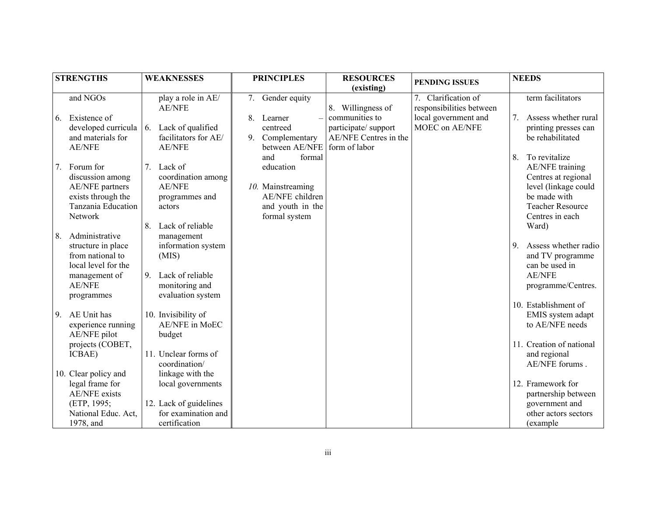|    | <b>STRENGTHS</b>                                                                                                                |          | <b>WEAKNESSES</b>                                                                                                        |    | <b>PRINCIPLES</b>                                                                                       | <b>RESOURCES</b><br>(existing)                                                  | PENDING ISSUES                                  |                | <b>NEEDS</b>                                                                                                                                         |
|----|---------------------------------------------------------------------------------------------------------------------------------|----------|--------------------------------------------------------------------------------------------------------------------------|----|---------------------------------------------------------------------------------------------------------|---------------------------------------------------------------------------------|-------------------------------------------------|----------------|------------------------------------------------------------------------------------------------------------------------------------------------------|
|    | and NGOs                                                                                                                        |          | play a role in AE/<br><b>AE/NFE</b>                                                                                      | 7. | Gender equity                                                                                           | 8. Willingness of                                                               | 7. Clarification of<br>responsibilities between |                | term facilitators                                                                                                                                    |
| 6. | Existence of<br>developed curricula<br>and materials for<br><b>AE/NFE</b>                                                       | 6.       | Lack of qualified<br>facilitators for AE/<br><b>AE/NFE</b>                                                               | 9. | 8. Learner<br>centreed<br>Complementary<br>between AE/NFE                                               | communities to<br>participate/support<br>AE/NFE Centres in the<br>form of labor | local government and<br>MOEC on AE/NFE          | 7 <sub>1</sub> | Assess whether rural<br>printing presses can<br>be rehabilitated                                                                                     |
| 7. | Forum for<br>discussion among<br>AE/NFE partners<br>exists through the<br>Tanzania Education<br>Network                         | 7.       | Lack of<br>coordination among<br><b>AE/NFE</b><br>programmes and<br>actors                                               |    | and<br>formal<br>education<br>10. Mainstreaming<br>AE/NFE children<br>and youth in the<br>formal system |                                                                                 |                                                 | 8.             | To revitalize<br><b>AE/NFE</b> training<br>Centres at regional<br>level (linkage could<br>be made with<br><b>Teacher Resource</b><br>Centres in each |
| 8. | Administrative<br>structure in place<br>from national to<br>local level for the<br>management of<br><b>AE/NFE</b><br>programmes | 8.<br>9. | Lack of reliable<br>management<br>information system<br>(MIS)<br>Lack of reliable<br>monitoring and<br>evaluation system |    |                                                                                                         |                                                                                 |                                                 | 9              | Ward)<br>Assess whether radio<br>and TV programme<br>can be used in<br><b>AE/NFE</b><br>programme/Centres.<br>10. Establishment of                   |
| 9. | AE Unit has<br>experience running<br>AE/NFE pilot                                                                               |          | 10. Invisibility of<br><b>AE/NFE</b> in MoEC<br>budget                                                                   |    |                                                                                                         |                                                                                 |                                                 |                | EMIS system adapt<br>to AE/NFE needs                                                                                                                 |
|    | projects (COBET,<br>ICBAE)<br>10. Clear policy and                                                                              |          | 11. Unclear forms of<br>coordination/<br>linkage with the                                                                |    |                                                                                                         |                                                                                 |                                                 |                | 11. Creation of national<br>and regional<br>AE/NFE forums.                                                                                           |
|    | legal frame for<br><b>AE/NFE</b> exists<br>(ETP, 1995;<br>National Educ. Act,<br>1978, and                                      |          | local governments<br>12. Lack of guidelines<br>for examination and<br>certification                                      |    |                                                                                                         |                                                                                 |                                                 |                | 12. Framework for<br>partnership between<br>government and<br>other actors sectors<br>(example)                                                      |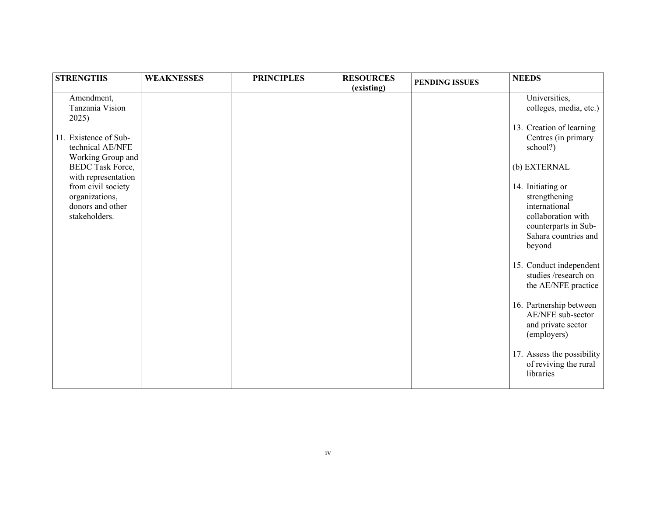| <b>STRENGTHS</b>                                                          | <b>WEAKNESSES</b> | <b>PRINCIPLES</b> | <b>RESOURCES</b><br>(existing) | <b>PENDING ISSUES</b> | <b>NEEDS</b>                                                                                                                        |
|---------------------------------------------------------------------------|-------------------|-------------------|--------------------------------|-----------------------|-------------------------------------------------------------------------------------------------------------------------------------|
| Amendment,<br>Tanzania Vision<br>2025)                                    |                   |                   |                                |                       | Universities,<br>colleges, media, etc.)                                                                                             |
| 11. Existence of Sub-<br>technical AE/NFE<br>Working Group and            |                   |                   |                                |                       | 13. Creation of learning<br>Centres (in primary<br>school?)                                                                         |
| <b>BEDC</b> Task Force,<br>with representation                            |                   |                   |                                |                       | (b) EXTERNAL                                                                                                                        |
| from civil society<br>organizations,<br>donors and other<br>stakeholders. |                   |                   |                                |                       | 14. Initiating or<br>strengthening<br>international<br>collaboration with<br>counterparts in Sub-<br>Sahara countries and<br>beyond |
|                                                                           |                   |                   |                                |                       | 15. Conduct independent<br>studies /research on<br>the AE/NFE practice                                                              |
|                                                                           |                   |                   |                                |                       | 16. Partnership between<br>AE/NFE sub-sector<br>and private sector<br>(employers)                                                   |
|                                                                           |                   |                   |                                |                       | 17. Assess the possibility<br>of reviving the rural<br>libraries                                                                    |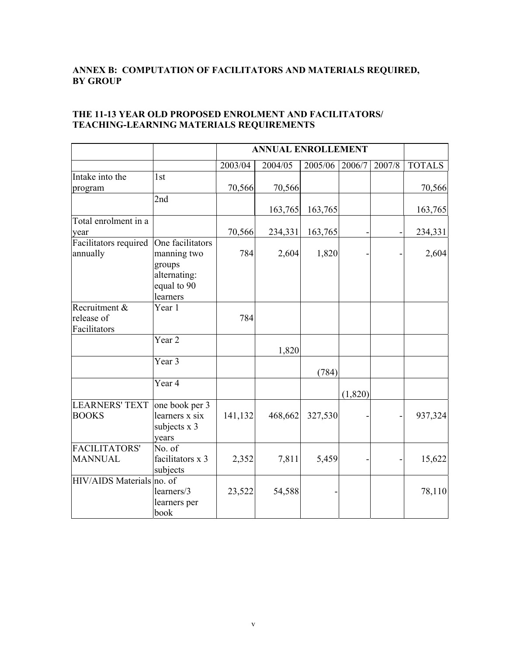### **ANNEX B: COMPUTATION OF FACILITATORS AND MATERIALS REQUIRED, BY GROUP**

|                                             |                                                                                      |         | <b>ANNUAL ENROLLEMENT</b> |         |         |        |               |  |  |
|---------------------------------------------|--------------------------------------------------------------------------------------|---------|---------------------------|---------|---------|--------|---------------|--|--|
|                                             |                                                                                      | 2003/04 | 2004/05                   | 2005/06 | 2006/7  | 2007/8 | <b>TOTALS</b> |  |  |
| Intake into the<br>program                  | 1st                                                                                  | 70,566  | 70,566                    |         |         |        | 70,566        |  |  |
|                                             | 2nd                                                                                  |         | 163,765                   | 163,765 |         |        | 163,765       |  |  |
| Total enrolment in a<br>year                |                                                                                      | 70,566  | 234,331                   | 163,765 |         |        | 234,331       |  |  |
| Facilitators required<br>annually           | One facilitators<br>manning two<br>groups<br>alternating:<br>equal to 90<br>learners | 784     | 2,604                     | 1,820   |         |        | 2,604         |  |  |
| Recruitment &<br>release of<br>Facilitators | Year 1                                                                               | 784     |                           |         |         |        |               |  |  |
|                                             | Year <sub>2</sub>                                                                    |         | 1,820                     |         |         |        |               |  |  |
|                                             | Year 3                                                                               |         |                           | (784)   |         |        |               |  |  |
|                                             | Year 4                                                                               |         |                           |         | (1,820) |        |               |  |  |
| <b>LEARNERS' TEXT</b><br><b>BOOKS</b>       | one book per 3<br>learners x six<br>subjects x 3<br>years                            | 141,132 | 468,662                   | 327,530 |         |        | 937,324       |  |  |
| FACILITATORS'<br><b>MANNUAL</b>             | No. of<br>facilitators x 3<br>subjects                                               | 2,352   | 7,811                     | 5,459   |         |        | 15,622        |  |  |
| <b>HIV/AIDS</b> Materials                   | no. of<br>learners/3<br>learners per<br>book                                         | 23,522  | 54,588                    |         |         |        | 78,110        |  |  |

### **THE 11-13 YEAR OLD PROPOSED ENROLMENT AND FACILITATORS/ TEACHING-LEARNING MATERIALS REQUIREMENTS**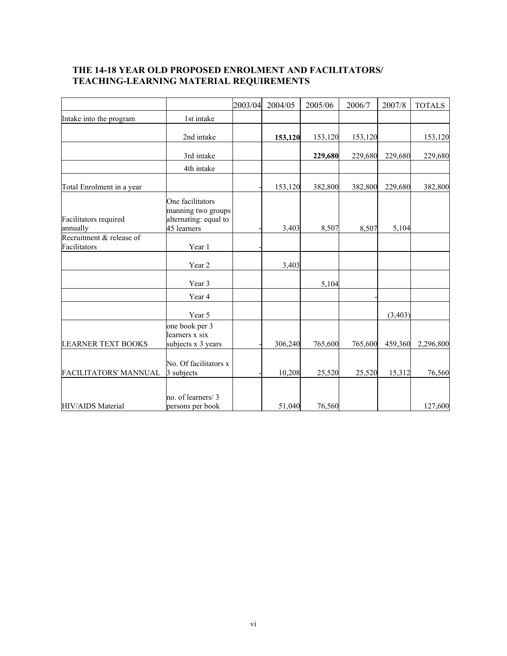### **THE 14-18 YEAR OLD PROPOSED ENROLMENT AND FACILITATORS/ TEACHING-LEARNING MATERIAL REQUIREMENTS**

|                                          |                                                                                | 2003/04 | 2004/05 | 2005/06 | 2006/7  | 2007/8   | <b>TOTALS</b> |
|------------------------------------------|--------------------------------------------------------------------------------|---------|---------|---------|---------|----------|---------------|
| Intake into the program                  | 1st intake                                                                     |         |         |         |         |          |               |
|                                          | 2nd intake                                                                     |         | 153,120 | 153,120 | 153,120 |          | 153,120       |
|                                          | 3rd intake                                                                     |         |         | 229,680 | 229,680 | 229,680  | 229,680       |
|                                          | 4th intake                                                                     |         |         |         |         |          |               |
| Total Enrolment in a year                |                                                                                |         | 153,120 | 382,800 | 382,800 | 229,680  | 382,800       |
| Facilitators required<br>annually        | One facilitators<br>manning two groups<br>alternating: equal to<br>45 learners |         | 3,403   | 8,507   | 8,507   | 5,104    |               |
| Recruitment & release of<br>Facilitators | Year 1                                                                         |         |         |         |         |          |               |
|                                          | Year 2                                                                         |         | 3,403   |         |         |          |               |
|                                          | Year 3                                                                         |         |         | 5,104   |         |          |               |
|                                          | Year 4                                                                         |         |         |         |         |          |               |
|                                          | Year 5                                                                         |         |         |         |         | (3, 403) |               |
| <b>LEARNER TEXT BOOKS</b>                | one book per 3<br>learners x six<br>subjects x 3 years                         |         | 306,240 | 765,600 | 765,600 | 459,360  | 2,296,800     |
| FACILITATORS' MANNUAL                    | No. Of facilitators x<br>3 subjects                                            |         | 10,208  | 25,520  | 25,520  | 15,312   | 76,560        |
| HIV/AIDS Material                        | no. of learners/3<br>persons per book                                          |         | 51,040  | 76,560  |         |          | 127,600       |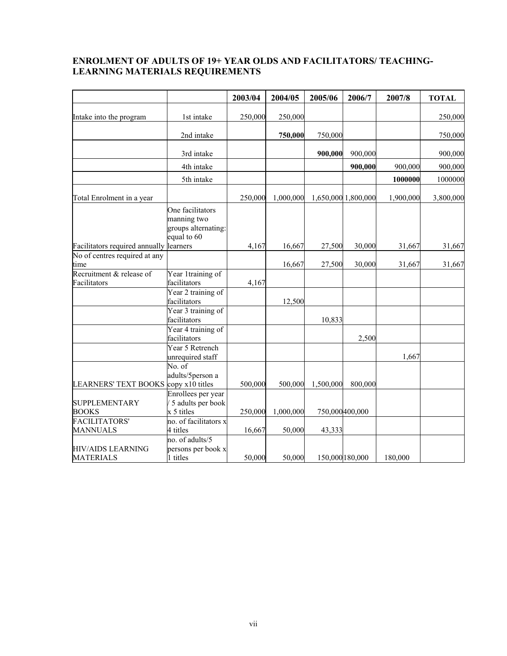### **ENROLMENT OF ADULTS OF 19+ YEAR OLDS AND FACILITATORS/ TEACHING-LEARNING MATERIALS REQUIREMENTS**

|                                              |                                                                       | 2003/04 | 2004/05   | 2005/06         | 2006/7              | 2007/8    | <b>TOTAL</b> |
|----------------------------------------------|-----------------------------------------------------------------------|---------|-----------|-----------------|---------------------|-----------|--------------|
| Intake into the program                      | 1st intake                                                            | 250,000 | 250,000   |                 |                     |           | 250,000      |
|                                              | 2nd intake                                                            |         | 750,000   | 750,000         |                     |           | 750,000      |
|                                              | 3rd intake                                                            |         |           | 900,000         | 900,000             |           | 900,000      |
|                                              | 4th intake                                                            |         |           |                 | 900,000             | 900,000   | 900,000      |
|                                              | 5th intake                                                            |         |           |                 |                     | 1000000   | 1000000      |
| Total Enrolment in a year                    |                                                                       | 250,000 | 1,000,000 |                 | 1,650,000 1,800,000 | 1,900,000 | 3,800,000    |
|                                              | One facilitators<br>manning two<br>groups alternating:<br>equal to 60 |         |           |                 |                     |           |              |
| Facilitators required annually learners      |                                                                       | 4,167   | 16,667    | 27,500          | 30,000              | 31,667    | 31,667       |
| No of centres required at any<br>time        |                                                                       |         | 16,667    | 27,500          | 30,000              | 31,667    | 31,667       |
| Recruitment & release of<br>Facilitators     | Year 1training of<br>facilitators                                     | 4,167   |           |                 |                     |           |              |
|                                              | Year 2 training of<br>facilitators                                    |         | 12,500    |                 |                     |           |              |
|                                              | Year 3 training of<br>facilitators                                    |         |           | 10,833          |                     |           |              |
|                                              | Year 4 training of<br>facilitators                                    |         |           |                 | 2,500               |           |              |
|                                              | Year 5 Retrench<br>unrequired staff                                   |         |           |                 |                     | 1,667     |              |
| <b>LEARNERS' TEXT BOOKS</b>                  | No. of<br>adults/5person a<br>copy x10 titles                         | 500,000 | 500,000   | 1,500,000       | 800,000             |           |              |
| <b>SUPPLEMENTARY</b><br><b>BOOKS</b>         | Enrollees per year<br>5 adults per book<br>x 5 titles                 | 250,000 | 1,000,000 |                 | 750,000400,000      |           |              |
| <b>FACILITATORS'</b>                         | no. of facilitators x                                                 |         |           |                 |                     |           |              |
| <b>MANNUALS</b>                              | 4 titles                                                              | 16,667  | 50,000    | 43,333          |                     |           |              |
| <b>HIV/AIDS LEARNING</b><br><b>MATERIALS</b> | no. of adults/5<br>persons per book x<br>1 titles                     | 50,000  | 50,000    | 150,000 180,000 |                     | 180,000   |              |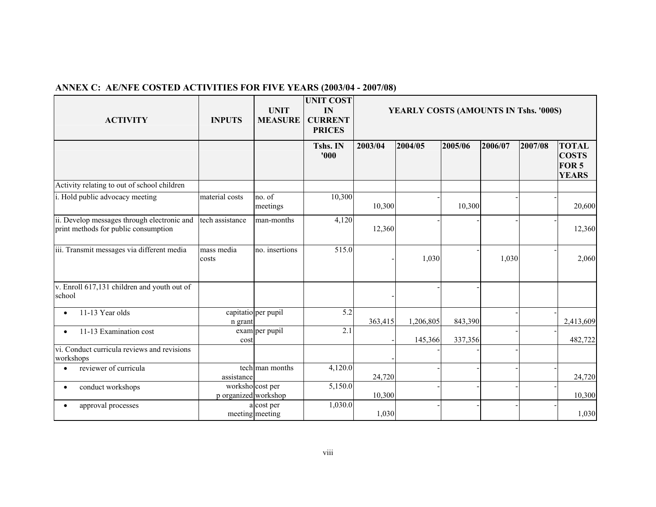| <b>ACTIVITY</b>                                                                     | <b>INPUTS</b>                            | <b>UNIT</b><br><b>MEASURE</b> | <b>UNIT COST</b><br>IN<br><b>CURRENT</b><br><b>PRICES</b> | YEARLY COSTS (AMOUNTS IN Tshs. '000S) |           |         |         |         |                                                                  |
|-------------------------------------------------------------------------------------|------------------------------------------|-------------------------------|-----------------------------------------------------------|---------------------------------------|-----------|---------|---------|---------|------------------------------------------------------------------|
|                                                                                     |                                          |                               | Tshs. IN<br>'000                                          | 2003/04                               | 2004/05   | 2005/06 | 2006/07 | 2007/08 | <b>TOTAL</b><br><b>COSTS</b><br>FOR <sub>5</sub><br><b>YEARS</b> |
| Activity relating to out of school children                                         |                                          |                               |                                                           |                                       |           |         |         |         |                                                                  |
| i. Hold public advocacy meeting                                                     | material costs                           | no. of<br>meetings            | 10,300                                                    | 10,300                                |           | 10,300  |         |         | 20,600                                                           |
| ii. Develop messages through electronic and<br>print methods for public consumption | tech assistance                          | man-months                    | 4,120                                                     | 12,360                                |           |         |         |         | 12,360                                                           |
| iii. Transmit messages via different media                                          | mass media<br>costs                      | no. insertions                | 515.0                                                     |                                       | 1,030     |         | 1,030   |         | 2,060                                                            |
| v. Enroll 617,131 children and youth out of<br>school                               |                                          |                               |                                                           |                                       |           |         |         |         |                                                                  |
| 11-13 Year olds<br>$\bullet$                                                        | n grant                                  | capitatio per pupil           | 5.2                                                       | 363,415                               | 1,206,805 | 843,390 |         |         | 2,413,609                                                        |
| 11-13 Examination cost<br>$\bullet$                                                 | cost                                     | $exam per$ pupil              | 2.1                                                       |                                       | 145,366   | 337,356 |         |         | 482,722                                                          |
| vi. Conduct curricula reviews and revisions<br>workshops                            |                                          |                               |                                                           |                                       |           |         |         |         |                                                                  |
| reviewer of curricula<br>$\bullet$                                                  | assistance                               | tech man months               | 4,120.0                                                   | 24,720                                |           |         |         |         | 24,720                                                           |
| conduct workshops<br>$\bullet$                                                      | worksho cost per<br>p organized workshop |                               | 5,150.0                                                   | 10,300                                |           |         |         |         | 10,300                                                           |
| approval processes                                                                  |                                          | a cost per<br>meeting meeting | 1,030.0                                                   | 1,030                                 |           |         |         |         | 1,030                                                            |

# **ANNEX C: AE/NFE COSTED ACTIVITIES FOR FIVE YEARS (2003/04 - 2007/08)**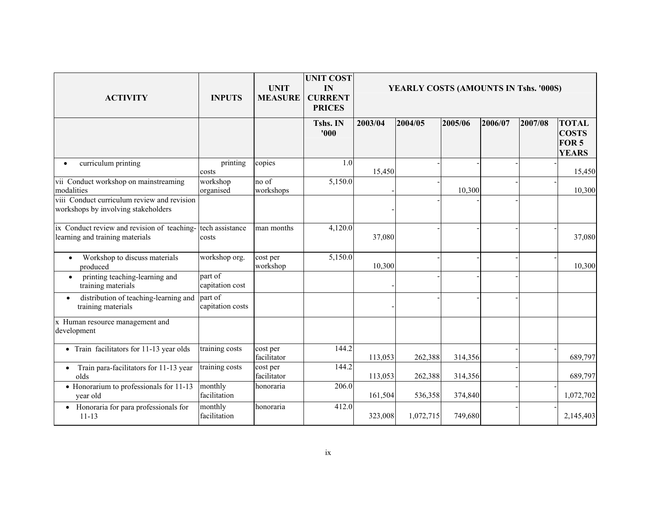| <b>ACTIVITY</b>                                                                    | <b>INPUTS</b>               | <b>UNIT</b><br><b>MEASURE</b> | <b>UNIT COST</b><br>IN<br><b>CURRENT</b><br><b>PRICES</b> | YEARLY COSTS (AMOUNTS IN Tshs. '000S) |           |         |         |         |                                                                  |
|------------------------------------------------------------------------------------|-----------------------------|-------------------------------|-----------------------------------------------------------|---------------------------------------|-----------|---------|---------|---------|------------------------------------------------------------------|
|                                                                                    |                             |                               | Tshs. IN<br>'000                                          | 2003/04                               | 2004/05   | 2005/06 | 2006/07 | 2007/08 | <b>TOTAL</b><br><b>COSTS</b><br>FOR <sub>5</sub><br><b>YEARS</b> |
| curriculum printing                                                                | printing<br>costs           | copies                        | 1.0                                                       | 15,450                                |           |         |         |         | 15,450                                                           |
| vii Conduct workshop on mainstreaming<br>modalities                                | workshop<br>organised       | no of<br>workshops            | 5,150.0                                                   |                                       |           | 10,300  |         |         | 10,300                                                           |
| viii Conduct curriculum review and revision<br>workshops by involving stakeholders |                             |                               |                                                           |                                       |           |         |         |         |                                                                  |
| ix Conduct review and revision of teaching-<br>learning and training materials     | tech assistance<br>costs    | man months                    | 4,120.0                                                   | 37,080                                |           |         |         |         | 37,080                                                           |
| Workshop to discuss materials<br>$\bullet$<br>produced                             | workshop org.               | cost per<br>workshop          | 5,150.0                                                   | 10,300                                |           |         |         |         | 10,300                                                           |
| printing teaching-learning and<br>$\bullet$<br>training materials                  | part of<br>capitation cost  |                               |                                                           |                                       |           |         |         |         |                                                                  |
| distribution of teaching-learning and<br>$\bullet$<br>training materials           | part of<br>capitation costs |                               |                                                           |                                       |           |         |         |         |                                                                  |
| x Human resource management and<br>development                                     |                             |                               |                                                           |                                       |           |         |         |         |                                                                  |
| • Train facilitators for 11-13 year olds                                           | training costs              | cost per<br>facilitator       | 144.2                                                     | 113,053                               | 262,388   | 314,356 |         |         | 689,797                                                          |
| Train para-facilitators for 11-13 year<br>$\bullet$<br>olds                        | training costs              | cost per<br>facilitator       | 144.2                                                     | 113,053                               | 262,388   | 314,356 |         |         | 689,797                                                          |
| • Honorarium to professionals for 11-13<br>year old                                | monthly<br>facilitation     | honoraria                     | 206.0                                                     | 161,504                               | 536,358   | 374,840 |         |         | 1,072,702                                                        |
| Honoraria for para professionals for<br>$11 - 13$                                  | monthly<br>facilitation     | honoraria                     | 412.0                                                     | 323,008                               | 1,072,715 | 749,680 |         |         | 2,145,403                                                        |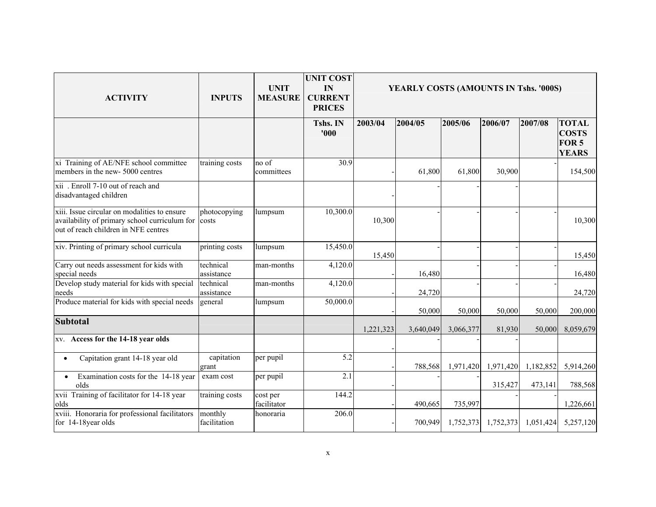| <b>ACTIVITY</b>                                                                                                                       | <b>INPUTS</b>           | <b>UNIT</b><br><b>MEASURE</b> | <b>UNIT COST</b><br>IN<br><b>CURRENT</b><br><b>PRICES</b> | YEARLY COSTS (AMOUNTS IN Tshs. '000S) |           |           |           |           |                                                                  |  |
|---------------------------------------------------------------------------------------------------------------------------------------|-------------------------|-------------------------------|-----------------------------------------------------------|---------------------------------------|-----------|-----------|-----------|-----------|------------------------------------------------------------------|--|
|                                                                                                                                       |                         |                               | Tshs. IN<br>'000'                                         | 2003/04                               | 2004/05   | 2005/06   | 2006/07   | 2007/08   | <b>TOTAL</b><br><b>COSTS</b><br>FOR <sub>5</sub><br><b>YEARS</b> |  |
| xi Training of AE/NFE school committee<br>members in the new-5000 centres                                                             | training costs          | no of<br>committees           | 30.9                                                      |                                       | 61,800    | 61,800    | 30,900    |           | 154,500                                                          |  |
| xii . Enroll 7-10 out of reach and<br>disadvantaged children                                                                          |                         |                               |                                                           |                                       |           |           |           |           |                                                                  |  |
| xiii. Issue circular on modalities to ensure<br>availability of primary school curriculum for<br>out of reach children in NFE centres | photocopying<br>costs   | lumpsum                       | 10,300.0                                                  | 10,300                                |           |           |           |           | 10,300                                                           |  |
| xiv. Printing of primary school curricula                                                                                             | printing costs          | lumpsum                       | 15,450.0                                                  | 15,450                                |           |           |           |           | 15,450                                                           |  |
| Carry out needs assessment for kids with<br>special needs                                                                             | technical<br>assistance | man-months                    | 4,120.0                                                   |                                       | 16,480    |           |           |           | 16,480                                                           |  |
| Develop study material for kids with special<br>needs                                                                                 | technical<br>assistance | man-months                    | 4,120.0                                                   |                                       | 24,720    |           |           |           | 24,720                                                           |  |
| Produce material for kids with special needs                                                                                          | general                 | lumpsum                       | 50,000.0                                                  |                                       | 50,000    | 50,000    | 50,000    | 50,000    | 200,000                                                          |  |
| <b>Subtotal</b>                                                                                                                       |                         |                               |                                                           | 1,221,323                             | 3,640,049 | 3,066,377 | 81,930    | 50,000    | 8,059,679                                                        |  |
| xv. Access for the 14-18 year olds                                                                                                    |                         |                               |                                                           |                                       |           |           |           |           |                                                                  |  |
| Capitation grant 14-18 year old<br>$\bullet$                                                                                          | capitation<br>grant     | per pupil                     | 5.2                                                       |                                       | 788,568   | 1,971,420 | 1,971,420 | 1,182,852 | 5,914,260                                                        |  |
| Examination costs for the 14-18 year<br>$\bullet$<br>olds                                                                             | exam cost               | per pupil                     | 2.1                                                       |                                       |           |           | 315,427   | 473,141   | 788,568                                                          |  |
| xvii Training of facilitator for 14-18 year<br>olds                                                                                   | training costs          | cost per<br>facilitator       | 144.2                                                     |                                       | 490,665   | 735,997   |           |           | 1,226,661                                                        |  |
| xviii. Honoraria for professional facilitators<br>for 14-18year olds                                                                  | monthly<br>facilitation | honoraria                     | $\overline{206.0}$                                        |                                       | 700,949   | 1,752,373 | 1,752,373 | 1,051,424 | 5,257,120                                                        |  |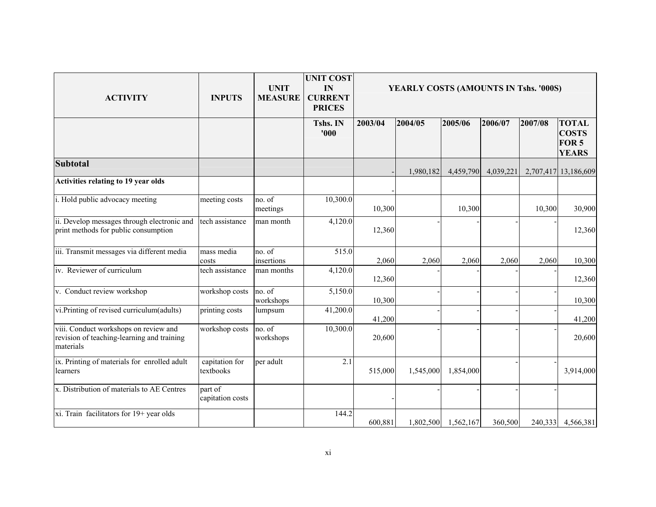| <b>ACTIVITY</b>                                                                                  | <b>INPUTS</b>               | <b>UNIT</b><br><b>MEASURE</b> | <b>UNIT COST</b><br>IN<br><b>CURRENT</b><br><b>PRICES</b> | YEARLY COSTS (AMOUNTS IN Tshs. '000S) |           |           |           |         |                                                                  |  |
|--------------------------------------------------------------------------------------------------|-----------------------------|-------------------------------|-----------------------------------------------------------|---------------------------------------|-----------|-----------|-----------|---------|------------------------------------------------------------------|--|
|                                                                                                  |                             |                               | Tshs. IN<br>'000                                          | 2003/04                               | 2004/05   | 2005/06   | 2006/07   | 2007/08 | <b>TOTAL</b><br><b>COSTS</b><br>FOR <sub>5</sub><br><b>YEARS</b> |  |
| <b>Subtotal</b>                                                                                  |                             |                               |                                                           |                                       | 1,980,182 | 4,459,790 | 4,039,221 |         | 2,707,417 13,186,609                                             |  |
| Activities relating to 19 year olds                                                              |                             |                               |                                                           |                                       |           |           |           |         |                                                                  |  |
| i. Hold public advocacy meeting                                                                  | meeting costs               | no. of<br>meetings            | 10,300.0                                                  | 10,300                                |           | 10,300    |           | 10,300  | 30,900                                                           |  |
| ii. Develop messages through electronic and<br>print methods for public consumption              | tech assistance             | man month                     | 4,120.0                                                   | 12,360                                |           |           |           |         | 12,360                                                           |  |
| iii. Transmit messages via different media                                                       | mass media<br>costs         | no. of<br>insertions          | 515.0                                                     | 2,060                                 | 2,060     | 2,060     | 2,060     | 2,060   | 10,300                                                           |  |
| iv. Reviewer of curriculum                                                                       | tech assistance             | man months                    | 4,120.0                                                   | 12,360                                |           |           |           |         | 12,360                                                           |  |
| v. Conduct review workshop                                                                       | workshop costs              | no. of<br>workshops           | 5,150.0                                                   | 10,300                                |           |           |           |         | 10,300                                                           |  |
| vi. Printing of revised curriculum(adults)                                                       | printing costs              | lumpsum                       | 41,200.0                                                  | 41,200                                |           |           |           |         | 41,200                                                           |  |
| viii. Conduct workshops on review and<br>revision of teaching-learning and training<br>materials | workshop costs              | no. of<br>workshops           | 10,300.0                                                  | 20,600                                |           |           |           |         | 20,600                                                           |  |
| ix. Printing of materials for enrolled adult<br>learners                                         | capitation for<br>textbooks | per adult                     | 2.1                                                       | 515,000                               | 1,545,000 | 1,854,000 |           |         | 3,914,000                                                        |  |
| x. Distribution of materials to AE Centres                                                       | part of<br>capitation costs |                               |                                                           |                                       |           |           |           |         |                                                                  |  |
| xi. Train facilitators for 19+ year olds                                                         |                             |                               | 144.2                                                     | 600,881                               | 1,802,500 | 1,562,167 | 360,500   |         | 240,333 4,566,381                                                |  |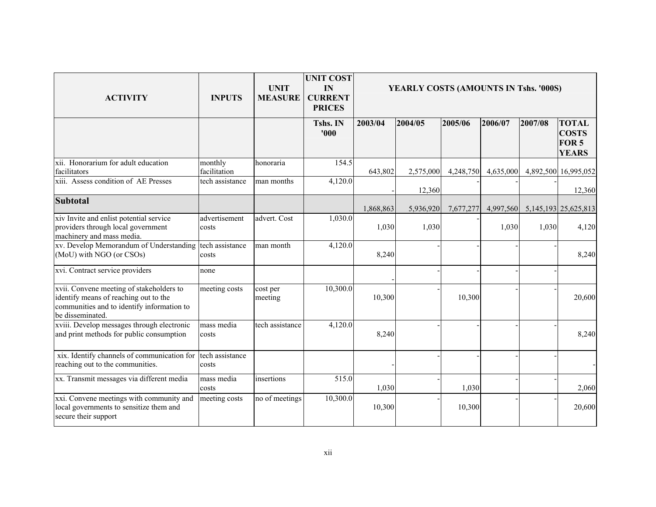| <b>ACTIVITY</b>                                                                                                                                     | <b>INPUTS</b>            | <b>UNIT</b><br><b>MEASURE</b> | <b>UNIT COST</b><br>IN<br><b>CURRENT</b><br><b>PRICES</b> | YEARLY COSTS (AMOUNTS IN Tshs. '000S) |           |           |           |         |                                                       |  |
|-----------------------------------------------------------------------------------------------------------------------------------------------------|--------------------------|-------------------------------|-----------------------------------------------------------|---------------------------------------|-----------|-----------|-----------|---------|-------------------------------------------------------|--|
|                                                                                                                                                     |                          |                               | Tshs. IN<br>'000                                          | 2003/04                               | 2004/05   | 2005/06   | 2006/07   | 2007/08 | <b>TOTAL</b><br><b>COSTS</b><br>FOR 5<br><b>YEARS</b> |  |
| xii. Honorarium for adult education<br>facilitators                                                                                                 | monthly<br>facilitation  | honoraria                     | 154.5                                                     | 643,802                               | 2,575,000 | 4,248,750 | 4,635,000 |         | 4,892,500 16,995,052                                  |  |
| xiii. Assess condition of AE Presses                                                                                                                | tech assistance          | man months                    | 4,120.0                                                   |                                       | 12,360    |           |           |         | 12,360                                                |  |
| <b>Subtotal</b>                                                                                                                                     |                          |                               |                                                           | 1,868,863                             | 5,936,920 | 7,677,277 | 4,997,560 |         | 5, 145, 193 25, 625, 813                              |  |
| xiv Invite and enlist potential service<br>providers through local government<br>machinery and mass media.                                          | advertisement<br>costs   | advert. Cost                  | 1,030.0                                                   | 1,030                                 | 1,030     |           | 1,030     | 1,030   | 4,120                                                 |  |
| xv. Develop Memorandum of Understanding tech assistance<br>(MoU) with NGO (or CSOs)                                                                 | costs                    | man month                     | 4,120.0                                                   | 8,240                                 |           |           |           |         | 8,240                                                 |  |
| xvi. Contract service providers                                                                                                                     | none                     |                               |                                                           |                                       |           |           |           |         |                                                       |  |
| xvii. Convene meeting of stakeholders to<br>identify means of reaching out to the<br>communities and to identify information to<br>be disseminated. | meeting costs            | cost per<br>meeting           | 10,300.0                                                  | 10,300                                |           | 10,300    |           |         | 20,600                                                |  |
| xviii. Develop messages through electronic<br>and print methods for public consumption                                                              | mass media<br>costs      | tech assistance               | 4,120.0                                                   | 8,240                                 |           |           |           |         | 8,240                                                 |  |
| xix. Identify channels of communication for<br>reaching out to the communities.                                                                     | tech assistance<br>costs |                               |                                                           |                                       |           |           |           |         |                                                       |  |
| xx. Transmit messages via different media                                                                                                           | mass media<br>costs      | insertions                    | $\overline{5}15.0$                                        | 1,030                                 |           | 1,030     |           |         | 2,060                                                 |  |
| xxi. Convene meetings with community and<br>local governments to sensitize them and<br>secure their support                                         | meeting costs            | no of meetings                | 10,300.0                                                  | 10,300                                |           | 10,300    |           |         | 20,600                                                |  |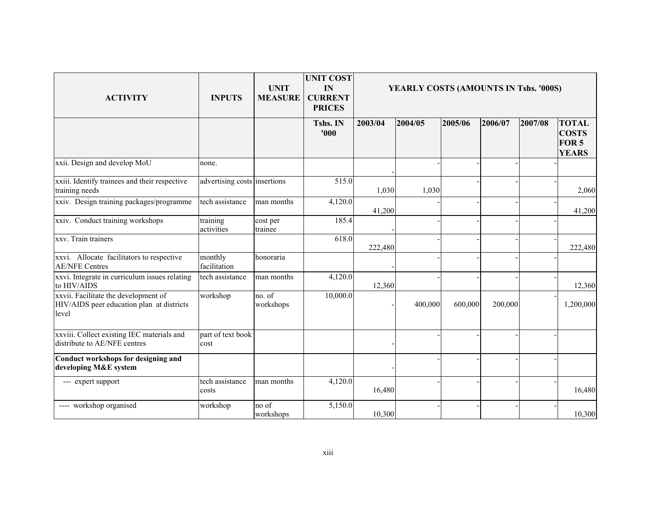| <b>ACTIVITY</b>                                                                            | <b>INPUTS</b>                | <b>UNIT</b><br><b>MEASURE</b> | <b>UNIT COST</b><br>IN<br><b>CURRENT</b><br><b>PRICES</b> | YEARLY COSTS (AMOUNTS IN Tshs. '000S) |         |         |         |         |                                                                  |
|--------------------------------------------------------------------------------------------|------------------------------|-------------------------------|-----------------------------------------------------------|---------------------------------------|---------|---------|---------|---------|------------------------------------------------------------------|
|                                                                                            |                              |                               | Tshs. IN<br>'000                                          | 2003/04                               | 2004/05 | 2005/06 | 2006/07 | 2007/08 | <b>TOTAL</b><br><b>COSTS</b><br>FOR <sub>5</sub><br><b>YEARS</b> |
| xxii. Design and develop MoU                                                               | none.                        |                               |                                                           |                                       |         |         |         |         |                                                                  |
| xxiii. Identify trainees and their respective<br>training needs                            | advertising costs insertions |                               | 515.0                                                     | 1,030                                 | 1,030   |         |         |         | 2,060                                                            |
| xxiv. Design training packages/programme                                                   | tech assistance              | man months                    | 4,120.0                                                   | 41,200                                |         |         |         |         | 41,200                                                           |
| xxiv. Conduct training workshops                                                           | training<br>activities       | cost per<br>trainee           | 185.4                                                     |                                       |         |         |         |         |                                                                  |
| xxv. Train trainers                                                                        |                              |                               | 618.0                                                     | 222,480                               |         |         |         |         | 222,480                                                          |
| xxvi. Allocate facilitators to respective<br><b>AE/NFE Centres</b>                         | monthly<br>facilitation      | honoraria                     |                                                           |                                       |         |         |         |         |                                                                  |
| xxvi. Integrate in curriculum issues relating<br>to HIV/AIDS                               | tech assistance              | man months                    | 4,120.0                                                   | 12,360                                |         |         |         |         | 12,360                                                           |
| xxvii. Facilitate the development of<br>HIV/AIDS peer education plan at districts<br>level | workshop                     | no. of<br>workshops           | 10,000.0                                                  |                                       | 400,000 | 600,000 | 200,000 |         | 1,200,000                                                        |
| xxviii. Collect existing IEC materials and<br>distribute to AE/NFE centres                 | part of text book<br>cost    |                               |                                                           |                                       |         |         |         |         |                                                                  |
| Conduct workshops for designing and<br>developing M&E system                               |                              |                               |                                                           |                                       |         |         |         |         |                                                                  |
| --- expert support                                                                         | tech assistance<br>costs     | man months                    | 4,120.0                                                   | 16,480                                |         |         |         |         | 16,480                                                           |
| ---- workshop organised                                                                    | workshop                     | no of<br>workshops            | 5,150.0                                                   | 10,300                                |         |         |         |         | 10,300                                                           |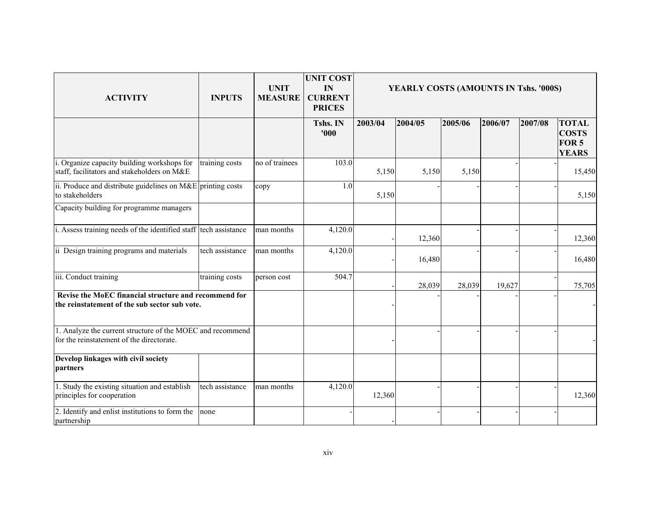| <b>ACTIVITY</b>                                                                                         | <b>INPUTS</b>   | <b>UNIT</b><br><b>MEASURE</b> | <b>UNIT COST</b><br>IN<br><b>CURRENT</b><br><b>PRICES</b> | YEARLY COSTS (AMOUNTS IN Tshs. '000S) |         |         |         |         |                                                                  |
|---------------------------------------------------------------------------------------------------------|-----------------|-------------------------------|-----------------------------------------------------------|---------------------------------------|---------|---------|---------|---------|------------------------------------------------------------------|
|                                                                                                         |                 |                               | Tshs. IN<br>'000                                          | 2003/04                               | 2004/05 | 2005/06 | 2006/07 | 2007/08 | <b>TOTAL</b><br><b>COSTS</b><br>FOR <sub>5</sub><br><b>YEARS</b> |
| i. Organize capacity building workshops for<br>staff, facilitators and stakeholders on M&E              | training costs  | no of trainees                | 103.0                                                     | 5,150                                 | 5,150   | 5,150   |         |         | 15,450                                                           |
| ii. Produce and distribute guidelines on $M\&E$ printing costs<br>to stakeholders                       |                 | copy                          | 1.0                                                       | 5,150                                 |         |         |         |         | 5,150                                                            |
| Capacity building for programme managers                                                                |                 |                               |                                                           |                                       |         |         |         |         |                                                                  |
| i. Assess training needs of the identified staff tech assistance                                        |                 | man months                    | 4,120.0                                                   |                                       | 12,360  |         |         |         | 12,360                                                           |
| ii Design training programs and materials                                                               | tech assistance | man months                    | 4,120.0                                                   |                                       | 16,480  |         |         |         | 16,480                                                           |
| iii. Conduct training                                                                                   | training costs  | person cost                   | 504.7                                                     |                                       | 28,039  | 28,039  | 19,627  |         | 75,705                                                           |
| Revise the MoEC financial structure and recommend for<br>the reinstatement of the sub sector sub vote.  |                 |                               |                                                           |                                       |         |         |         |         |                                                                  |
| 1. Analyze the current structure of the MOEC and recommend<br>for the reinstatement of the directorate. |                 |                               |                                                           |                                       |         |         |         |         |                                                                  |
| Develop linkages with civil society<br>partners                                                         |                 |                               |                                                           |                                       |         |         |         |         |                                                                  |
| 1. Study the existing situation and establish<br>principles for cooperation                             | tech assistance | man months                    | 4,120.0                                                   | 12,360                                |         |         |         |         | 12,360                                                           |
| 2. Identify and enlist institutions to form the<br>partnership                                          | none            |                               |                                                           |                                       |         |         |         |         |                                                                  |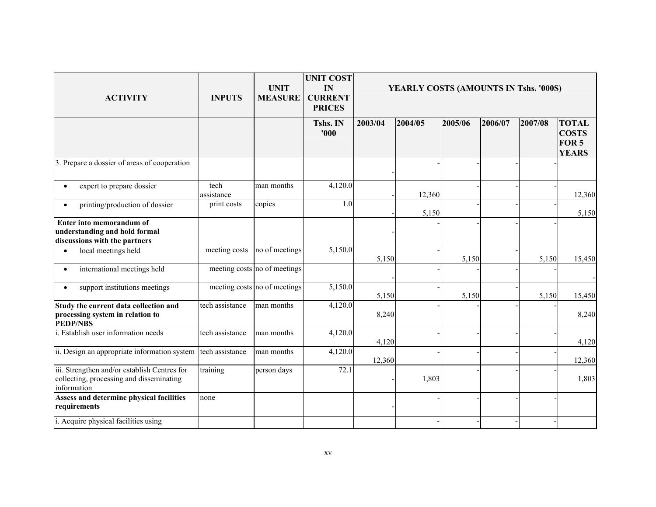| <b>ACTIVITY</b>                                                                                         | <b>INPUTS</b>      | <b>UNIT</b><br><b>MEASURE</b> | <b>UNIT COST</b><br>IN<br><b>CURRENT</b><br><b>PRICES</b> | YEARLY COSTS (AMOUNTS IN Tshs. '000S) |         |         |         |         |                                                              |
|---------------------------------------------------------------------------------------------------------|--------------------|-------------------------------|-----------------------------------------------------------|---------------------------------------|---------|---------|---------|---------|--------------------------------------------------------------|
|                                                                                                         |                    |                               | Tshs. IN<br>'000                                          | 2003/04                               | 2004/05 | 2005/06 | 2006/07 | 2007/08 | <b>TOTAL</b><br><b>COSTS</b><br><b>FOR 5</b><br><b>YEARS</b> |
| 3. Prepare a dossier of areas of cooperation                                                            |                    |                               |                                                           |                                       |         |         |         |         |                                                              |
| expert to prepare dossier<br>٠                                                                          | tech<br>assistance | man months                    | 4,120.0                                                   |                                       | 12,360  |         |         |         | 12,360                                                       |
| printing/production of dossier<br>$\bullet$                                                             | print costs        | copies                        | 1.0                                                       |                                       | 5,150   |         |         |         | 5,150                                                        |
| Enter into memorandum of<br>understanding and hold formal<br>discussions with the partners              |                    |                               |                                                           |                                       |         |         |         |         |                                                              |
| local meetings held<br>$\bullet$                                                                        | meeting costs      | no of meetings                | 5,150.0                                                   | 5,150                                 |         | 5,150   |         | 5,150   | 15,450                                                       |
| international meetings held<br>$\bullet$                                                                |                    | meeting costs no of meetings  |                                                           |                                       |         |         |         |         |                                                              |
| support institutions meetings<br>$\bullet$                                                              |                    | meeting costs no of meetings  | 5,150.0                                                   | 5,150                                 |         | 5,150   |         | 5,150   | 15,450                                                       |
| Study the current data collection and<br>processing system in relation to<br><b>PEDP/NBS</b>            | tech assistance    | man months                    | 4,120.0                                                   | 8,240                                 |         |         |         |         | 8,240                                                        |
| i. Establish user information needs                                                                     | tech assistance    | man months                    | 4,120.0                                                   | 4,120                                 |         |         |         |         | 4,120                                                        |
| ii. Design an appropriate information system                                                            | tech assistance    | man months                    | 4,120.0                                                   | 12,360                                |         |         |         |         | 12,360                                                       |
| iii. Strengthen and/or establish Centres for<br>collecting, processing and disseminating<br>information | training           | person days                   | 72.1                                                      |                                       | 1,803   |         |         |         | 1,803                                                        |
| Assess and determine physical facilities<br>requirements                                                | none               |                               |                                                           |                                       |         |         |         |         |                                                              |
| i. Acquire physical facilities using                                                                    |                    |                               |                                                           |                                       |         |         |         |         |                                                              |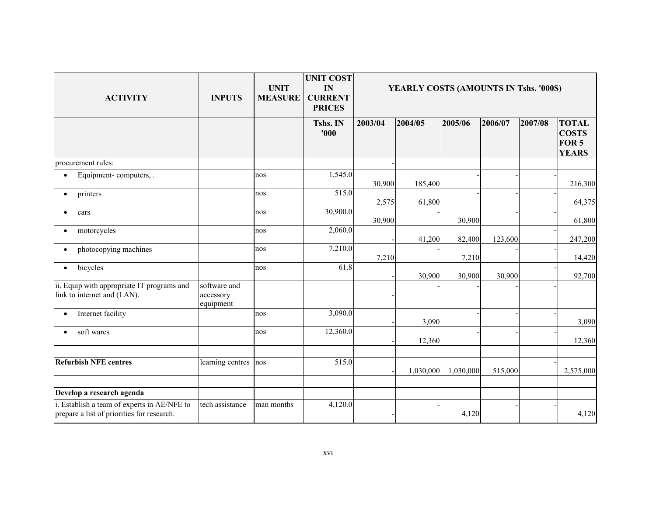| <b>ACTIVITY</b>                                                                           | <b>INPUTS</b>                          | <b>UNIT</b><br><b>MEASURE</b> | <b>UNIT COST</b><br>IN<br><b>CURRENT</b><br><b>PRICES</b> | YEARLY COSTS (AMOUNTS IN Tshs. '000S) |           |           |         |         |                                                                  |
|-------------------------------------------------------------------------------------------|----------------------------------------|-------------------------------|-----------------------------------------------------------|---------------------------------------|-----------|-----------|---------|---------|------------------------------------------------------------------|
|                                                                                           |                                        |                               | Tshs. IN<br>'000                                          | 2003/04                               | 2004/05   | 2005/06   | 2006/07 | 2007/08 | <b>TOTAL</b><br><b>COSTS</b><br>FOR <sub>5</sub><br><b>YEARS</b> |
| procurement rules:                                                                        |                                        |                               |                                                           |                                       |           |           |         |         |                                                                  |
| Equipment-computers, .<br>$\bullet$                                                       |                                        | nos                           | 1,545.0                                                   | 30,900                                | 185,400   |           |         |         | 216,300                                                          |
| printers<br>$\bullet$                                                                     |                                        | nos                           | 515.0                                                     | 2,575                                 | 61,800    |           |         |         | 64,375                                                           |
| cars<br>$\bullet$                                                                         |                                        | nos                           | 30,900.0                                                  | 30,900                                |           | 30,900    |         |         | 61,800                                                           |
| motorcycles<br>$\bullet$                                                                  |                                        | nos                           | 2,060.0                                                   |                                       | 41,200    | 82,400    | 123,600 |         | 247,200                                                          |
| photocopying machines<br>$\bullet$                                                        |                                        | nos                           | 7,210.0                                                   | 7,210                                 |           | 7,210     |         |         | 14,420                                                           |
| bicycles<br>$\bullet$                                                                     |                                        | nos                           | 61.8                                                      |                                       | 30,900    | 30,900    | 30,900  |         | 92,700                                                           |
| ii. Equip with appropriate IT programs and<br>link to internet and (LAN).                 | software and<br>accessory<br>equipment |                               |                                                           |                                       |           |           |         |         |                                                                  |
| Internet facility<br>$\bullet$                                                            |                                        | nos                           | 3,090.0                                                   |                                       | 3,090     |           |         |         | 3,090                                                            |
| soft wares<br>$\bullet$                                                                   |                                        | nos                           | 12,360.0                                                  |                                       | 12,360    |           |         |         | 12,360                                                           |
| <b>Refurbish NFE centres</b>                                                              | learning centres                       | nos                           | 515.0                                                     |                                       | 1,030,000 | 1,030,000 | 515,000 |         | 2,575,000                                                        |
| Develop a research agenda                                                                 |                                        |                               |                                                           |                                       |           |           |         |         |                                                                  |
| i. Establish a team of experts in AE/NFE to<br>prepare a list of priorities for research. | tech assistance                        | man months                    | 4,120.0                                                   |                                       |           | 4,120     |         |         | 4,120                                                            |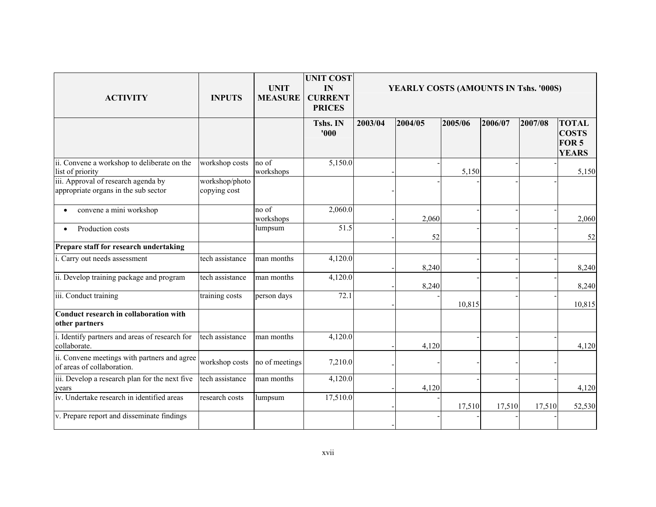| <b>ACTIVITY</b>                                                             | <b>INPUTS</b>                  | <b>UNIT</b><br><b>MEASURE</b> | <b>UNIT COST</b><br>IN<br><b>CURRENT</b><br><b>PRICES</b> | YEARLY COSTS (AMOUNTS IN Tshs. '000S) |         |         |         |         |                                                                  |
|-----------------------------------------------------------------------------|--------------------------------|-------------------------------|-----------------------------------------------------------|---------------------------------------|---------|---------|---------|---------|------------------------------------------------------------------|
|                                                                             |                                |                               | Tshs. IN<br>'000                                          | 2003/04                               | 2004/05 | 2005/06 | 2006/07 | 2007/08 | <b>TOTAL</b><br><b>COSTS</b><br>FOR <sub>5</sub><br><b>YEARS</b> |
| ii. Convene a workshop to deliberate on the<br>list of priority             | workshop costs                 | no of<br>workshops            | 5,150.0                                                   |                                       |         | 5,150   |         |         | 5,150                                                            |
| iii. Approval of research agenda by<br>appropriate organs in the sub sector | workshop/photo<br>copying cost |                               |                                                           |                                       |         |         |         |         |                                                                  |
| convene a mini workshop                                                     |                                | no of<br>workshops            | 2,060.0                                                   |                                       | 2,060   |         |         |         | 2,060                                                            |
| Production costs                                                            |                                | lumpsum                       | $\overline{51.5}$                                         |                                       | 52      |         |         |         | 52                                                               |
| Prepare staff for research undertaking                                      |                                |                               |                                                           |                                       |         |         |         |         |                                                                  |
| i. Carry out needs assessment                                               | tech assistance                | man months                    | 4,120.0                                                   |                                       | 8,240   |         |         |         | 8,240                                                            |
| ii. Develop training package and program                                    | tech assistance                | man months                    | 4,120.0                                                   |                                       | 8,240   |         |         |         | 8,240                                                            |
| iii. Conduct training                                                       | training costs                 | person days                   | 72.1                                                      |                                       |         | 10,815  |         |         | 10,815                                                           |
| Conduct research in collaboration with<br>other partners                    |                                |                               |                                                           |                                       |         |         |         |         |                                                                  |
| i. Identify partners and areas of research for<br>collaborate.              | tech assistance                | man months                    | 4,120.0                                                   |                                       | 4,120   |         |         |         | 4,120                                                            |
| ii. Convene meetings with partners and agree<br>of areas of collaboration.  | workshop costs                 | no of meetings                | 7,210.0                                                   |                                       |         |         |         |         |                                                                  |
| iii. Develop a research plan for the next five<br>years                     | tech assistance                | man months                    | 4,120.0                                                   |                                       | 4,120   |         |         |         | 4,120                                                            |
| iv. Undertake research in identified areas                                  | research costs                 | lumpsum                       | 17,510.0                                                  |                                       |         | 17,510  | 17,510  | 17,510  | 52,530                                                           |
| v. Prepare report and disseminate findings                                  |                                |                               |                                                           |                                       |         |         |         |         |                                                                  |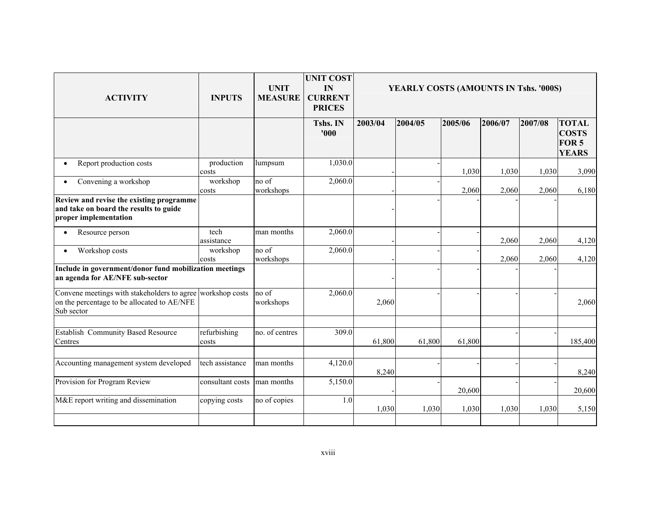| <b>ACTIVITY</b>                                                                                                         | <b>INPUTS</b>         | <b>UNIT</b><br><b>MEASURE</b> | <b>UNIT COST</b><br>IN<br><b>CURRENT</b><br><b>PRICES</b> | YEARLY COSTS (AMOUNTS IN Tshs. '000S) |         |         |         |         |                                                                  |  |
|-------------------------------------------------------------------------------------------------------------------------|-----------------------|-------------------------------|-----------------------------------------------------------|---------------------------------------|---------|---------|---------|---------|------------------------------------------------------------------|--|
|                                                                                                                         |                       |                               | Tshs. IN<br>'000                                          | 2003/04                               | 2004/05 | 2005/06 | 2006/07 | 2007/08 | <b>TOTAL</b><br><b>COSTS</b><br>FOR <sub>5</sub><br><b>YEARS</b> |  |
| Report production costs                                                                                                 | production<br>costs   | lumpsum                       | 1,030.0                                                   |                                       |         | 1,030   | 1,030   | 1,030   | 3,090                                                            |  |
| Convening a workshop                                                                                                    | workshop<br>costs     | no of<br>workshops            | 2,060.0                                                   |                                       |         | 2,060   | 2,060   | 2,060   | 6,180                                                            |  |
| Review and revise the existing programme<br>and take on board the results to guide<br>proper implementation             |                       |                               |                                                           |                                       |         |         |         |         |                                                                  |  |
| Resource person                                                                                                         | tech<br>assistance    | man months                    | 2,060.0                                                   |                                       |         |         | 2,060   | 2,060   | 4,120                                                            |  |
| Workshop costs<br>$\bullet$                                                                                             | workshop<br>costs     | no of<br>workshops            | 2,060.0                                                   |                                       |         |         | 2,060   | 2,060   | 4,120                                                            |  |
| Include in government/donor fund mobilization meetings<br>an agenda for AE/NFE sub-sector                               |                       |                               |                                                           |                                       |         |         |         |         |                                                                  |  |
| Convene meetings with stakeholders to agree workshop costs<br>on the percentage to be allocated to AE/NFE<br>Sub sector |                       | no of<br>workshops            | 2,060.0                                                   | 2,060                                 |         |         |         |         | 2,060                                                            |  |
| <b>Establish Community Based Resource</b><br>Centres                                                                    | refurbishing<br>costs | no. of centres                | 309.0                                                     | 61,800                                | 61,800  | 61,800  |         |         | 185,400                                                          |  |
| Accounting management system developed                                                                                  | tech assistance       | man months                    | 4,120.0                                                   | 8,240                                 |         |         |         |         | 8,240                                                            |  |
| Provision for Program Review                                                                                            | consultant costs      | man months                    | 5,150.0                                                   |                                       |         | 20,600  |         |         | 20,600                                                           |  |
| M&E report writing and dissemination                                                                                    | copying costs         | no of copies                  | 1.0                                                       | 1,030                                 | 1,030   | 1,030   | 1,030   | 1,030   | 5,150                                                            |  |
|                                                                                                                         |                       |                               |                                                           |                                       |         |         |         |         |                                                                  |  |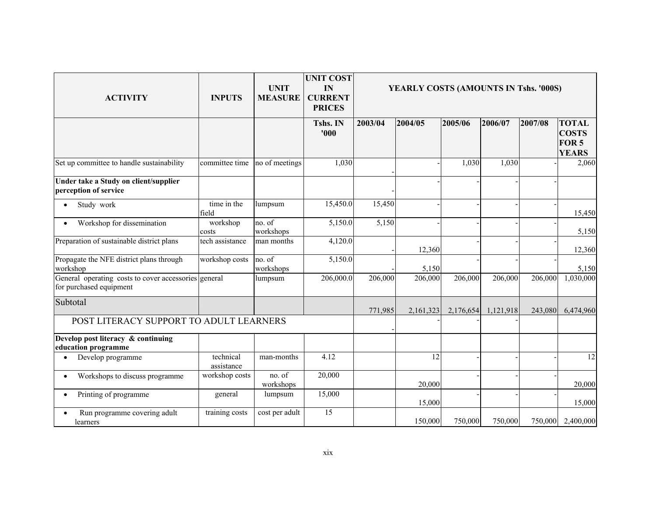| <b>ACTIVITY</b>                                                                 | <b>INPUTS</b>           | <b>UNIT</b><br><b>MEASURE</b> | <b>UNIT COST</b><br>IN<br><b>CURRENT</b><br><b>PRICES</b> |         | YEARLY COSTS (AMOUNTS IN Tshs. '000S) |           |           |         |                                                       |
|---------------------------------------------------------------------------------|-------------------------|-------------------------------|-----------------------------------------------------------|---------|---------------------------------------|-----------|-----------|---------|-------------------------------------------------------|
|                                                                                 |                         |                               | Tshs. IN<br>'000                                          | 2003/04 | 2004/05                               | 2005/06   | 2006/07   | 2007/08 | <b>TOTAL</b><br><b>COSTS</b><br>FOR 5<br><b>YEARS</b> |
| Set up committee to handle sustainability                                       | committee time          | no of meetings                | 1,030                                                     |         |                                       | 1,030     | 1,030     |         | 2,060                                                 |
| Under take a Study on client/supplier<br>perception of service                  |                         |                               |                                                           |         |                                       |           |           |         |                                                       |
| Study work                                                                      | time in the<br>field    | lumpsum                       | 15,450.0                                                  | 15,450  |                                       |           |           |         | 15,450                                                |
| Workshop for dissemination                                                      | workshop<br>costs       | no. of<br>workshops           | 5,150.0                                                   | 5,150   |                                       |           |           |         | 5,150                                                 |
| Preparation of sustainable district plans                                       | tech assistance         | man months                    | 4,120.0                                                   |         | 12,360                                |           |           |         | 12,360                                                |
| Propagate the NFE district plans through<br>workshop                            | workshop costs          | no. of<br>workshops           | 5,150.0                                                   |         | 5,150                                 |           |           |         | 5,150                                                 |
| General operating costs to cover accessories general<br>for purchased equipment |                         | lumpsum                       | 206,000.0                                                 | 206,000 | 206,000                               | 206,000   | 206,000   | 206,000 | 1,030,000                                             |
| Subtotal                                                                        |                         |                               |                                                           | 771,985 | 2,161,323                             | 2,176,654 | 1,121,918 | 243,080 | 6,474,960                                             |
| POST LITERACY SUPPORT TO ADULT LEARNERS                                         |                         |                               |                                                           |         |                                       |           |           |         |                                                       |
| Develop post literacy & continuing<br>education programme                       |                         |                               |                                                           |         |                                       |           |           |         |                                                       |
| Develop programme                                                               | technical<br>assistance | man-months                    | 4.12                                                      |         | 12                                    |           |           |         | 12                                                    |
| Workshops to discuss programme                                                  | workshop costs          | no. of<br>workshops           | 20,000                                                    |         | 20,000                                |           |           |         | 20,000                                                |
| Printing of programme                                                           | general                 | lumpsum                       | 15,000                                                    |         | 15,000                                |           |           |         | 15,000                                                |
| Run programme covering adult<br>learners                                        | training costs          | cost per adult                | $\overline{15}$                                           |         | 150,000                               | 750,000   | 750,000   | 750,000 | 2,400,000                                             |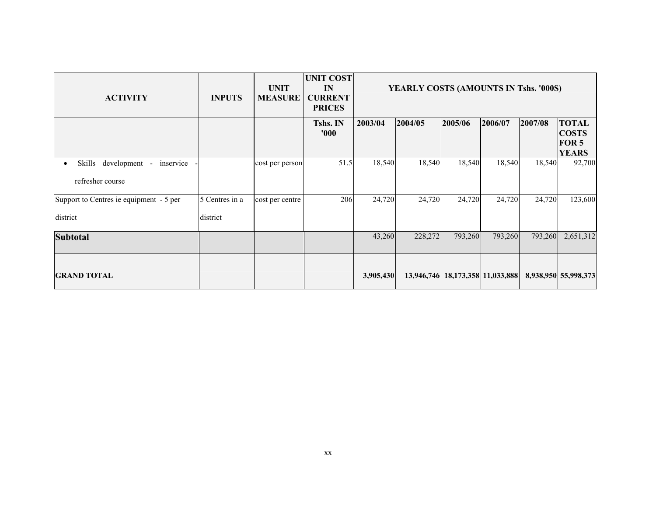| <b>ACTIVITY</b>                                                       | <b>INPUTS</b>              | <b>UNIT</b><br><b>MEASURE</b> | <b>UNIT COST</b><br>IN<br><b>CURRENT</b><br><b>PRICES</b> | YEARLY COSTS (AMOUNTS IN Tshs. '000S) |         |                                  |         |         |                                                                  |
|-----------------------------------------------------------------------|----------------------------|-------------------------------|-----------------------------------------------------------|---------------------------------------|---------|----------------------------------|---------|---------|------------------------------------------------------------------|
|                                                                       |                            |                               | Tshs. IN<br>'000'                                         | 2003/04                               | 2004/05 | 2005/06                          | 2006/07 | 2007/08 | <b>TOTAL</b><br><b>COSTS</b><br>FOR <sub>5</sub><br><b>YEARS</b> |
| development -<br>inservice<br>Skills<br>$\bullet$<br>refresher course |                            | cost per person               | 51.5                                                      | 18,540                                | 18,540  | 18,540                           | 18,540  | 18,540  | 92,700                                                           |
| Support to Centres ie equipment - 5 per<br>district                   | 5 Centres in a<br>district | cost per centre               | 206                                                       | 24,720                                | 24,720  | 24,720                           | 24,720  | 24,720  | 123,600                                                          |
| <b>Subtotal</b>                                                       |                            |                               |                                                           | 43,260                                | 228,272 | 793,260                          | 793,260 | 793,260 | 2,651,312                                                        |
| <b>GRAND TOTAL</b>                                                    |                            |                               |                                                           | 3,905,430                             |         | 13,946,746 18,173,358 11,033,888 |         |         | 8,938,950 55,998,373                                             |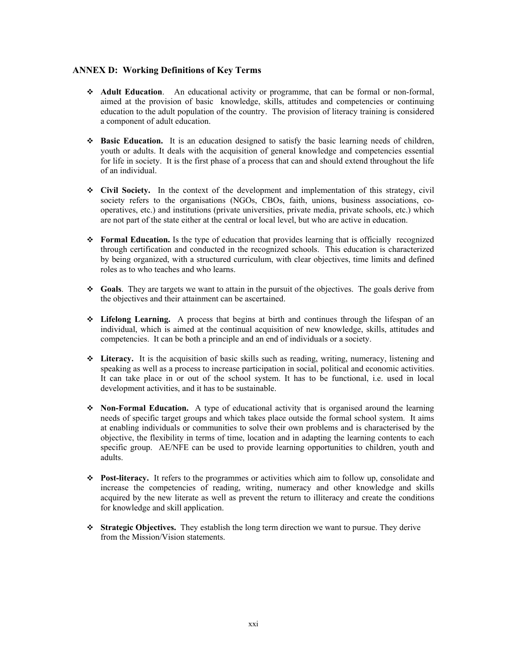#### **ANNEX D: Working Definitions of Key Terms**

- \* **Adult Education**. An educational activity or programme, that can be formal or non-formal, aimed at the provision of basic knowledge, skills, attitudes and competencies or continuing education to the adult population of the country. The provision of literacy training is considered a component of adult education.
- **Basic Education.** It is an education designed to satisfy the basic learning needs of children, youth or adults. It deals with the acquisition of general knowledge and competencies essential for life in society. It is the first phase of a process that can and should extend throughout the life of an individual.
- **Civil Society.** In the context of the development and implementation of this strategy, civil society refers to the organisations (NGOs, CBOs, faith, unions, business associations, cooperatives, etc.) and institutions (private universities, private media, private schools, etc.) which are not part of the state either at the central or local level, but who are active in education.
- ◆ **Formal Education.** Is the type of education that provides learning that is officially recognized through certification and conducted in the recognized schools. This education is characterized by being organized, with a structured curriculum, with clear objectives, time limits and defined roles as to who teaches and who learns.
- **Goals**. They are targets we want to attain in the pursuit of the objectives. The goals derive from the objectives and their attainment can be ascertained.
- **Lifelong Learning.** A process that begins at birth and continues through the lifespan of an individual, which is aimed at the continual acquisition of new knowledge, skills, attitudes and competencies. It can be both a principle and an end of individuals or a society.
- **Literacy.** It is the acquisition of basic skills such as reading, writing, numeracy, listening and speaking as well as a process to increase participation in social, political and economic activities. It can take place in or out of the school system. It has to be functional, i.e. used in local development activities, and it has to be sustainable.
- **→ Non-Formal Education.** A type of educational activity that is organised around the learning needs of specific target groups and which takes place outside the formal school system. It aims at enabling individuals or communities to solve their own problems and is characterised by the objective, the flexibility in terms of time, location and in adapting the learning contents to each specific group. AE/NFE can be used to provide learning opportunities to children, youth and adults.
- ◆ **Post-literacy.** It refers to the programmes or activities which aim to follow up, consolidate and increase the competencies of reading, writing, numeracy and other knowledge and skills acquired by the new literate as well as prevent the return to illiteracy and create the conditions for knowledge and skill application.
- **Strategic Objectives.** They establish the long term direction we want to pursue. They derive from the Mission/Vision statements.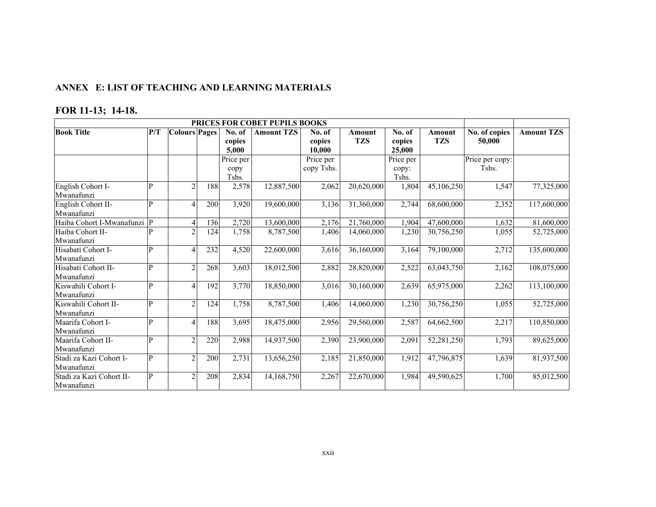#### **ANNEX E: LIST OF TEACHING AND LEARNING MATERIALS**

# **FOR 11-13; 14-18.**

|                             |     |                          | PRICES FOR COBET PUPILS BOOKS |                  |                   |                  |                      |                  |                      |                         |                   |
|-----------------------------|-----|--------------------------|-------------------------------|------------------|-------------------|------------------|----------------------|------------------|----------------------|-------------------------|-------------------|
| <b>Book Title</b>           | P/T | <b>Colours Pages</b>     |                               | No. of<br>copies | <b>Amount TZS</b> | No. of<br>copies | Amount<br><b>TZS</b> | No. of<br>copies | Amount<br><b>TZS</b> | No. of copies<br>50,000 | <b>Amount TZS</b> |
|                             |     |                          |                               | 5,000            |                   | 10.000           |                      | 25,000           |                      |                         |                   |
|                             |     |                          |                               | Price per        |                   | Price per        |                      | Price per        |                      | Price per copy:         |                   |
|                             |     |                          |                               | copy             |                   | copy Tshs.       |                      | copy:            |                      | Tshs.                   |                   |
|                             |     |                          |                               | Tshs.            |                   |                  |                      | Tshs.            |                      |                         |                   |
| English Cohort I-           | P   | $\mathcal{L}$            | 188                           | 2,578            | 12,887,500        | 2,062            | 20,620,000           | 1,804            | 45,106,250           | 1,547                   | 77,325,000        |
| Mwanafunzi                  |     |                          |                               |                  |                   |                  |                      |                  |                      |                         |                   |
| English Cohort II-          | P   | Δ                        | 200                           | 3,920            | 19,600,000        | 3,136            | 31,360,000           | 2,744            | 68,600,000           | 2,352                   | 117,600,000       |
| Mwanafunzi                  |     |                          |                               |                  |                   |                  |                      |                  |                      |                         |                   |
| Haiba Cohort I-Mwanafunzi P |     | $\overline{4}$           | 136                           | 2,720            | 13,600,000        | 2,176            | 21,760,000           | 1,904            | 47,600,000           | 1,632                   | 81,600,000        |
| Haiba Cohort II-            | D   |                          | 124                           | 1,758            | 8,787,500         | 1,406            | 14,060,000           | 1,230            | 30,756,250           | 1,055                   | 52,725,000        |
| Mwanafunzi                  |     |                          |                               |                  |                   |                  |                      |                  |                      |                         |                   |
| Hisabati Cohort I-          | P   | $\overline{\mathcal{A}}$ | 232                           | 4,520            | 22,600,000        | 3,616            | 36,160,000           | 3,164            | 79,100,000           | 2,712                   | 135,600,000       |
| Mwanafunzi                  |     |                          |                               |                  |                   |                  |                      |                  |                      |                         |                   |
| Hisabati Cohort II-         | P   | $\mathfrak{D}$           | 268                           | 3,603            | 18,012,500        | 2,882            | 28,820,000           | 2,522            | 63,043,750           | 2,162                   | 108,075,000       |
| Mwanafunzi                  |     |                          |                               |                  |                   |                  |                      |                  |                      |                         |                   |
| Kiswahili Cohort I-         | P   | $\overline{\mathcal{A}}$ | 192                           | 3,770            | 18,850,000        | 3,016            | 30,160,000           | 2,639            | 65,975,000           | 2,262                   | 113,100,000       |
| Mwanafunzi                  |     |                          |                               |                  |                   |                  |                      |                  |                      |                         |                   |
| Kiswahili Cohort II-        | P   | $\mathfrak{D}$           | 124                           | 1,758            | 8,787,500         | 1,406            | 14,060,000           | 1,230            | 30,756,250           | 1,055                   | 52,725,000        |
| Mwanafunzi                  |     |                          |                               |                  |                   |                  |                      |                  |                      |                         |                   |
| Maarifa Cohort I-           | P   | 4                        | 188                           | 3,695            | 18,475,000        | 2,956            | 29,560,000           | 2,587            | 64,662,500           | 2,217                   | 110,850,000       |
| Mwanafunzi                  |     |                          |                               |                  |                   |                  |                      |                  |                      |                         |                   |
| Maarifa Cohort II-          | P   | $\mathfrak{D}$           | 220                           | 2,988            | 14,937,500        | 2,390            | 23,900,000           | 2,091            | 52,281,250           | 1,793                   | 89,625,000        |
| Mwanafunzi                  |     |                          |                               |                  |                   |                  |                      |                  |                      |                         |                   |
| Stadi za Kazi Cohort I-     | P   | $\mathfrak{D}$           | 200                           | 2,731            | 13,656,250        | 2,185            | 21,850,000           | 1,912            | 47,796,875           | 1,639                   | 81,937,500        |
| Mwanafunzi                  |     |                          |                               |                  |                   |                  |                      |                  |                      |                         |                   |
| Stadi za Kazi Cohort II-    | P   | $\Omega$                 | 208                           | 2,834            | 14,168,750        | 2,267            | 22,670,000           | 1,984            | 49,590,625           | 1,700                   | 85,012,500        |
| Mwanafunzi                  |     |                          |                               |                  |                   |                  |                      |                  |                      |                         |                   |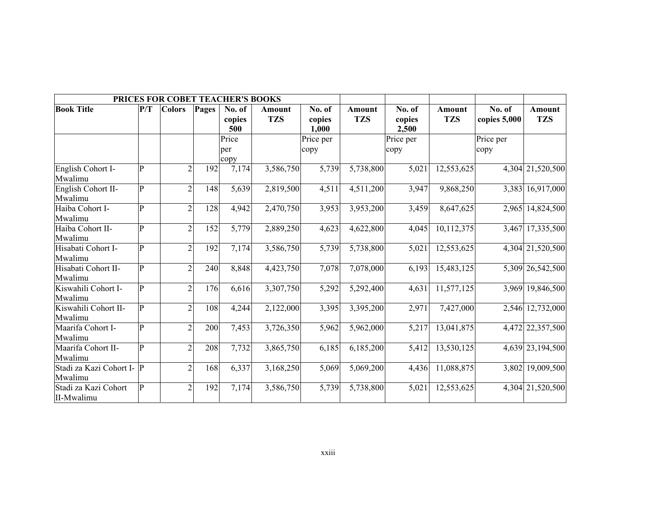|                                      |              | PRICES FOR COBET TEACHER'S BOOKS |       |                         |                      |                           |                             |                           |                             |                        |                             |
|--------------------------------------|--------------|----------------------------------|-------|-------------------------|----------------------|---------------------------|-----------------------------|---------------------------|-----------------------------|------------------------|-----------------------------|
| <b>Book Title</b>                    | P/T          | <b>Colors</b>                    | Pages | No. of<br>copies<br>500 | Amount<br><b>TZS</b> | No. of<br>copies<br>1,000 | <b>Amount</b><br><b>TZS</b> | No. of<br>copies<br>2,500 | <b>Amount</b><br><b>TZS</b> | No. of<br>copies 5,000 | <b>Amount</b><br><b>TZS</b> |
|                                      |              |                                  |       | Price<br>per<br>copy    |                      | Price per<br>copy         |                             | Price per<br>copy         |                             | Price per<br>copy      |                             |
| English Cohort I-<br>Mwalimu         | P            | $\overline{2}$                   | 192   | 7,174                   | 3,586,750            | 5,739                     | 5,738,800                   | 5,021                     | 12,553,625                  |                        | 4,304 21,520,500            |
| English Cohort II-<br>Mwalimu        | $\mathbf{P}$ | $\overline{2}$                   | 148   | 5,639                   | 2,819,500            | 4,511                     | 4,511,200                   | 3,947                     | 9,868,250                   |                        | 3,383 16,917,000            |
| Haiba Cohort I-<br>Mwalimu           | P            | $\overline{2}$                   | 128   | 4,942                   | 2,470,750            | 3,953                     | 3,953,200                   | 3,459                     | 8,647,625                   |                        | 2,965 14,824,500            |
| Haiba Cohort II-<br>Mwalimu          | P            | $\overline{2}$                   | 152   | 5,779                   | 2,889,250            | 4,623                     | 4,622,800                   | 4,045                     | 10,112,375                  |                        | 3,467 17,335,500            |
| Hisabati Cohort I-<br>Mwalimu        | P            | $\overline{2}$                   | 192   | 7,174                   | 3,586,750            | 5,739                     | 5,738,800                   | 5,021                     | 12,553,625                  |                        | 4,304 21,520,500            |
| Hisabati Cohort II-<br>Mwalimu       | P            | $\overline{2}$                   | 240   | 8,848                   | 4,423,750            | 7,078                     | 7,078,000                   | 6,193                     | 15,483,125                  |                        | 5,309 26,542,500            |
| Kiswahili Cohort I-<br>Mwalimu       | $\mathbf{p}$ | $\overline{2}$                   | 176   | 6,616                   | 3,307,750            | 5,292                     | 5,292,400                   | 4,631                     | 11,577,125                  |                        | 3,969 19,846,500            |
| Kiswahili Cohort II-<br>Mwalimu      | P            | $\overline{2}$                   | 108   | 4,244                   | 2,122,000            | 3,395                     | 3,395,200                   | 2,971                     | 7,427,000                   |                        | 2,546 12,732,000            |
| Maarifa Cohort I-<br>Mwalimu         | P            | $\overline{2}$                   | 200   | 7,453                   | 3,726,350            | 5,962                     | 5,962,000                   | 5,217                     | 13,041,875                  |                        | 4,472 22,357,500            |
| Maarifa Cohort II-<br>Mwalimu        | P            | $\overline{2}$                   | 208   | 7,732                   | 3,865,750            | 6,185                     | 6,185,200                   | 5,412                     | 13,530,125                  |                        | 4,639 23,194,500            |
| Stadi za Kazi Cohort I- P<br>Mwalimu |              | $\overline{2}$                   | 168   | 6,337                   | 3,168,250            | 5,069                     | 5,069,200                   | 4,436                     | 11,088,875                  |                        | 3,802 19,009,500            |
| Stadi za Kazi Cohort<br>II-Mwalimu   | $\mathbf{p}$ | $\overline{2}$                   | 192   | 7,174                   | 3,586,750            | 5,739                     | 5,738,800                   | 5,021                     | 12,553,625                  |                        | 4,304 21,520,500            |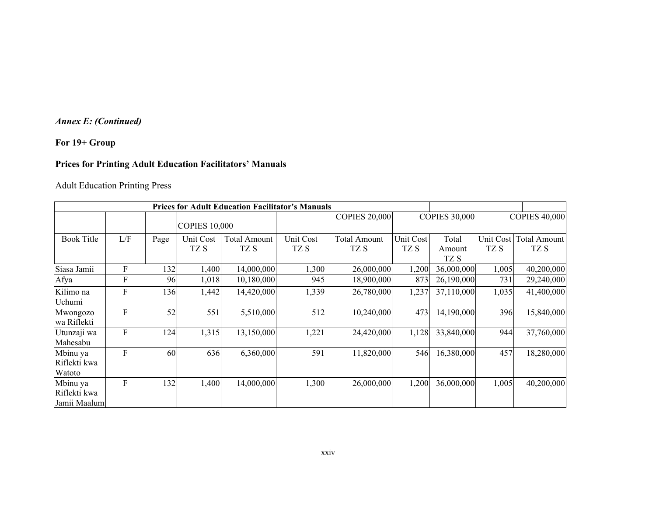### *Annex E: (Continued)*

### **For 19+ Group**

### **Prices for Printing Adult Education Facilitators' Manuals**

### Adult Education Printing Press

|                                          |                           |      |                      | <b>Prices for Adult Education Facilitator's Manuals</b> |                   |                             |                          |                         |                   |                             |
|------------------------------------------|---------------------------|------|----------------------|---------------------------------------------------------|-------------------|-----------------------------|--------------------------|-------------------------|-------------------|-----------------------------|
|                                          |                           |      | <b>COPIES 10,000</b> |                                                         |                   | <b>COPIES 20,000</b>        |                          | <b>COPIES 30,000</b>    |                   | <b>COPIES 40,000</b>        |
| <b>Book Title</b>                        | L/F                       | Page | Unit Cost<br>TZ S    | <b>Total Amount</b><br>TZ S                             | Unit Cost<br>TZ S | <b>Total Amount</b><br>TZ S | <b>Unit Cost</b><br>TZ S | Total<br>Amount<br>TZ S | Unit Cost<br>TZ S | <b>Total Amount</b><br>TZ S |
| Siasa Jamii                              | $\boldsymbol{\mathrm{F}}$ | 132  | 1,400                | 14,000,000                                              | 1,300             | 26,000,000                  | 1,200                    | 36,000,000              | 1,005             | 40,200,000                  |
| Afya                                     | F                         | 96   | 1,018                | 10,180,000                                              | 945               | 18,900,000                  | 873                      | 26,190,000              | 731               | 29,240,000                  |
| Kilimo na<br>Uchumi                      | $\mathbf F$               | 136  | 1,442                | 14,420,000                                              | 1,339             | 26,780,000                  | 1,237                    | 37,110,000              | 1,035             | 41,400,000                  |
| Mwongozo<br>wa Riflekti                  | F                         | 52   | 551                  | 5,510,000                                               | 512               | 10,240,000                  | 473                      | 14,190,000              | 396               | 15,840,000                  |
| Utunzaji wa<br>Mahesabu                  | $\boldsymbol{\mathrm{F}}$ | 124  | 1,315                | 13,150,000                                              | 1,221             | 24,420,000                  | 1,128                    | 33,840,000              | 944               | 37,760,000                  |
| Mbinu ya<br>Riflekti kwa<br>Watoto       | F                         | 60   | 636                  | 6,360,000                                               | 591               | 11,820,000                  | 546                      | 16,380,000              | 457               | 18,280,000                  |
| Mbinu ya<br>Riflekti kwa<br>Jamii Maalum | $\boldsymbol{F}$          | 132  | 1,400                | 14,000,000                                              | 1,300             | 26,000,000                  | 1,200                    | 36,000,000              | 1,005             | 40,200,000                  |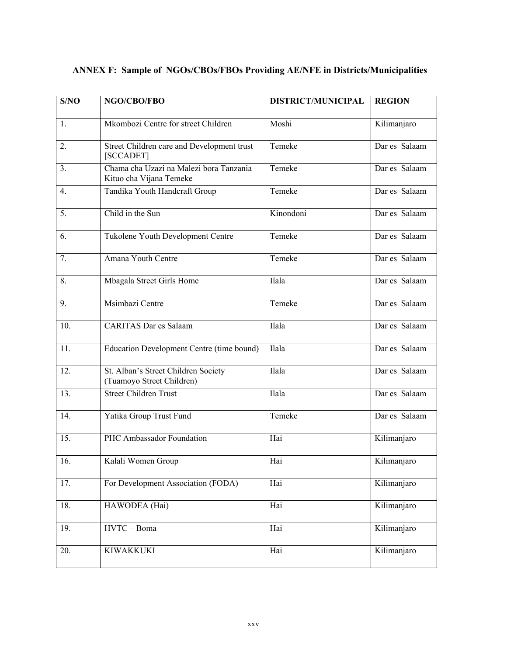| S/NO           | NGO/CBO/FBO                                                          | <b>DISTRICT/MUNICIPAL</b> | <b>REGION</b> |
|----------------|----------------------------------------------------------------------|---------------------------|---------------|
| 1.             | Mkombozi Centre for street Children                                  | Moshi                     | Kilimanjaro   |
| 2.             | Street Children care and Development trust<br>[SCCADET]              | Temeke                    | Dar es Salaam |
| 3 <sub>1</sub> | Chama cha Uzazi na Malezi bora Tanzania -<br>Kituo cha Vijana Temeke | Temeke                    | Dar es Salaam |
| 4.             | Tandika Youth Handcraft Group                                        | Temeke                    | Dar es Salaam |
| 5.             | Child in the Sun                                                     | Kinondoni                 | Dar es Salaam |
| 6.             | Tukolene Youth Development Centre                                    | Temeke                    | Dar es Salaam |
| 7.             | Amana Youth Centre                                                   | Temeke                    | Dar es Salaam |
| 8.             | Mbagala Street Girls Home                                            | Ilala                     | Dar es Salaam |
| 9.             | Msimbazi Centre                                                      | Temeke                    | Dar es Salaam |
| 10.            | <b>CARITAS Dar es Salaam</b>                                         | Ilala                     | Dar es Salaam |
| 11.            | Education Development Centre (time bound)                            | Ilala                     | Dar es Salaam |
| 12.            | St. Alban's Street Children Society<br>(Tuamoyo Street Children)     | Ilala                     | Dar es Salaam |
| 13.            | <b>Street Children Trust</b>                                         | Ilala                     | Dar es Salaam |
| 14.            | Yatika Group Trust Fund                                              | Temeke                    | Dar es Salaam |
| 15.            | PHC Ambassador Foundation                                            | Hai                       | Kilimanjaro   |
| 16.            | Kalali Women Group                                                   | Hai                       | Kilimanjaro   |
| 17.            | For Development Association (FODA)                                   | Hai                       | Kilimanjaro   |
| 18.            | HAWODEA (Hai)                                                        | Hai                       | Kilimanjaro   |
| 19.            | HVTC - Boma                                                          | Hai                       | Kilimanjaro   |
| 20.            | <b>KIWAKKUKI</b>                                                     | Hai                       | Kilimanjaro   |

# **ANNEX F: Sample of NGOs/CBOs/FBOs Providing AE/NFE in Districts/Municipalities**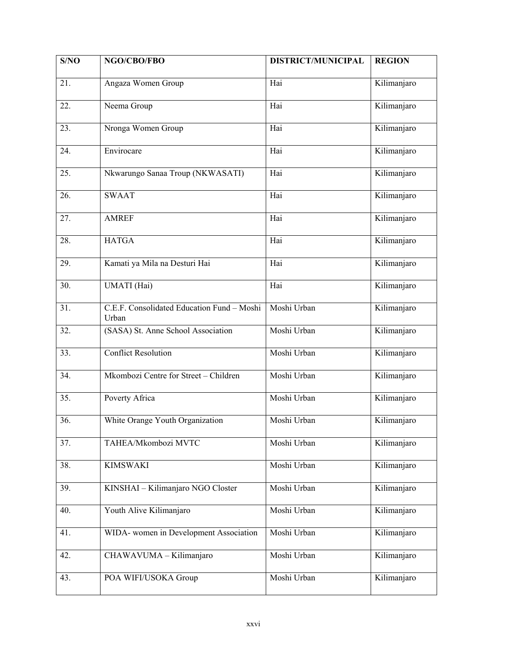| S/NO | NGO/CBO/FBO                                         | <b>DISTRICT/MUNICIPAL</b> | <b>REGION</b> |
|------|-----------------------------------------------------|---------------------------|---------------|
| 21.  | Angaza Women Group                                  | Hai                       | Kilimanjaro   |
| 22.  | Neema Group                                         | Hai                       | Kilimanjaro   |
| 23.  | Nronga Women Group                                  | Hai                       | Kilimanjaro   |
| 24.  | Envirocare                                          | Hai                       | Kilimanjaro   |
| 25.  | Nkwarungo Sanaa Troup (NKWASATI)                    | Hai                       | Kilimanjaro   |
| 26.  | <b>SWAAT</b>                                        | Hai                       | Kilimanjaro   |
| 27.  | <b>AMREF</b>                                        | Hai                       | Kilimanjaro   |
| 28.  | <b>HATGA</b>                                        | Hai                       | Kilimanjaro   |
| 29.  | Kamati ya Mila na Desturi Hai                       | Hai                       | Kilimanjaro   |
| 30.  | UMATI (Hai)                                         | Hai                       | Kilimanjaro   |
| 31.  | C.E.F. Consolidated Education Fund - Moshi<br>Urban | Moshi Urban               | Kilimanjaro   |
| 32.  | (SASA) St. Anne School Association                  | Moshi Urban               | Kilimanjaro   |
| 33.  | <b>Conflict Resolution</b>                          | Moshi Urban               | Kilimanjaro   |
| 34.  | Mkombozi Centre for Street - Children               | Moshi Urban               | Kilimanjaro   |
| 35.  | Poverty Africa                                      | Moshi Urban               | Kilimanjaro   |
| 36.  | White Orange Youth Organization                     | Moshi Urban               | Kilimanjaro   |
| 37.  | TAHEA/Mkombozi MVTC                                 | Moshi Urban               | Kilimanjaro   |
| 38.  | <b>KIMSWAKI</b>                                     | Moshi Urban               | Kilimanjaro   |
| 39.  | KINSHAI - Kilimanjaro NGO Closter                   | Moshi Urban               | Kilimanjaro   |
| 40.  | Youth Alive Kilimanjaro                             | Moshi Urban               | Kilimanjaro   |
| 41.  | WIDA- women in Development Association              | Moshi Urban               | Kilimanjaro   |
| 42.  | CHAWAVUMA - Kilimanjaro                             | Moshi Urban               | Kilimanjaro   |
| 43.  | POA WIFI/USOKA Group                                | Moshi Urban               | Kilimanjaro   |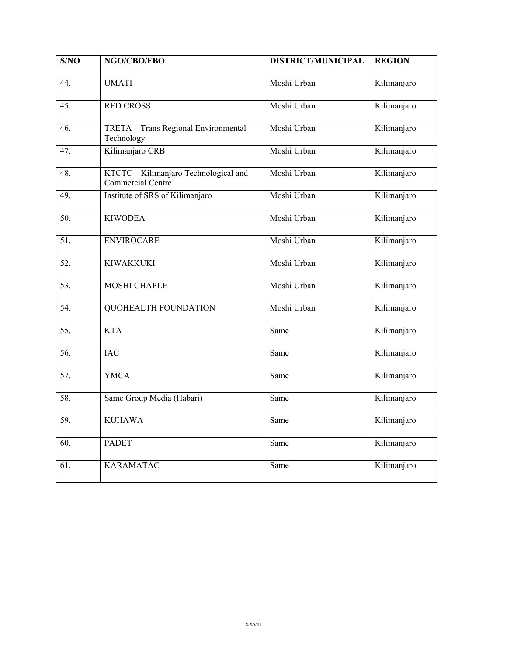| S/NO              | NGO/CBO/FBO                                                | <b>DISTRICT/MUNICIPAL</b> | <b>REGION</b> |
|-------------------|------------------------------------------------------------|---------------------------|---------------|
| 44.               | <b>UMATI</b>                                               | Moshi Urban               | Kilimanjaro   |
| 45.               | <b>RED CROSS</b>                                           | Moshi Urban               | Kilimanjaro   |
| 46.               | TRETA - Trans Regional Environmental<br>Technology         | Moshi Urban               | Kilimanjaro   |
| 47.               | Kilimanjaro CRB                                            | Moshi Urban               | Kilimanjaro   |
| 48.               | KTCTC - Kilimanjaro Technological and<br>Commercial Centre | Moshi Urban               | Kilimanjaro   |
| 49.               | Institute of SRS of Kilimanjaro                            | Moshi Urban               | Kilimanjaro   |
| 50.               | <b>KIWODEA</b>                                             | Moshi Urban               | Kilimanjaro   |
| 51.               | <b>ENVIROCARE</b>                                          | Moshi Urban               | Kilimanjaro   |
| $\overline{52}$ . | <b>KIWAKKUKI</b>                                           | Moshi Urban               | Kilimanjaro   |
| 53.               | <b>MOSHI CHAPLE</b>                                        | Moshi Urban               | Kilimanjaro   |
| 54.               | <b>QUOHEALTH FOUNDATION</b>                                | Moshi Urban               | Kilimanjaro   |
| $\overline{55}$ . | <b>KTA</b>                                                 | Same                      | Kilimanjaro   |
| 56.               | <b>IAC</b>                                                 | Same                      | Kilimanjaro   |
| 57.               | <b>YMCA</b>                                                | Same                      | Kilimanjaro   |
| 58.               | Same Group Media (Habari)                                  | Same                      | Kilimanjaro   |
| 59.               | <b>KUHAWA</b>                                              | Same                      | Kilimanjaro   |
| 60.               | <b>PADET</b>                                               | Same                      | Kilimanjaro   |
| 61.               | <b>KARAMATAC</b>                                           | Same                      | Kilimanjaro   |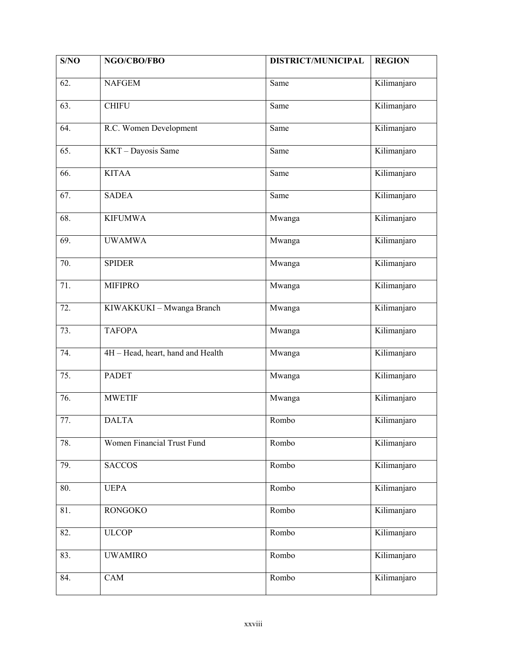| S/NO | NGO/CBO/FBO                       | <b>DISTRICT/MUNICIPAL</b> | <b>REGION</b> |
|------|-----------------------------------|---------------------------|---------------|
| 62.  | <b>NAFGEM</b>                     | Same                      | Kilimanjaro   |
| 63.  | <b>CHIFU</b>                      | Same                      | Kilimanjaro   |
| 64.  | R.C. Women Development            | Same                      | Kilimanjaro   |
| 65.  | KKT - Dayosis Same                | Same                      | Kilimanjaro   |
| 66.  | <b>KITAA</b>                      | Same                      | Kilimanjaro   |
| 67.  | <b>SADEA</b>                      | Same                      | Kilimanjaro   |
| 68.  | <b>KIFUMWA</b>                    | Mwanga                    | Kilimanjaro   |
| 69.  | <b>UWAMWA</b>                     | Mwanga                    | Kilimanjaro   |
| 70.  | <b>SPIDER</b>                     | Mwanga                    | Kilimanjaro   |
| 71.  | <b>MIFIPRO</b>                    | Mwanga                    | Kilimanjaro   |
| 72.  | KIWAKKUKI - Mwanga Branch         | Mwanga                    | Kilimanjaro   |
| 73.  | <b>TAFOPA</b>                     | Mwanga                    | Kilimanjaro   |
| 74.  | 4H - Head, heart, hand and Health | Mwanga                    | Kilimanjaro   |
| 75.  | <b>PADET</b>                      | Mwanga                    | Kilimanjaro   |
| 76.  | <b>MWETIF</b>                     | Mwanga                    | Kilimanjaro   |
| 77.  | <b>DALTA</b>                      | Rombo                     | Kilimanjaro   |
| 78.  | Women Financial Trust Fund        | Rombo                     | Kilimanjaro   |
| 79.  | <b>SACCOS</b>                     | Rombo                     | Kilimanjaro   |
| 80.  | <b>UEPA</b>                       | Rombo                     | Kilimanjaro   |
| 81.  | <b>RONGOKO</b>                    | Rombo                     | Kilimanjaro   |
| 82.  | <b>ULCOP</b>                      | Rombo                     | Kilimanjaro   |
| 83.  | <b>UWAMIRO</b>                    | Rombo                     | Kilimanjaro   |
| 84.  | CAM                               | Rombo                     | Kilimanjaro   |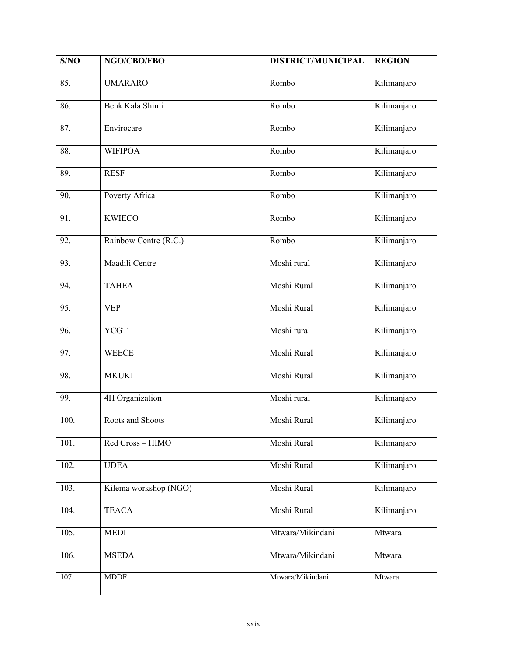| S/NO | NGO/CBO/FBO           | <b>DISTRICT/MUNICIPAL</b> | <b>REGION</b> |
|------|-----------------------|---------------------------|---------------|
| 85.  | <b>UMARARO</b>        | Rombo                     | Kilimanjaro   |
| 86.  | Benk Kala Shimi       | Rombo                     | Kilimanjaro   |
| 87.  | Envirocare            | Rombo                     | Kilimanjaro   |
| 88.  | <b>WIFIPOA</b>        | Rombo                     | Kilimanjaro   |
| 89.  | <b>RESF</b>           | Rombo                     | Kilimanjaro   |
| 90.  | Poverty Africa        | Rombo                     | Kilimanjaro   |
| 91.  | <b>KWIECO</b>         | Rombo                     | Kilimanjaro   |
| 92.  | Rainbow Centre (R.C.) | Rombo                     | Kilimanjaro   |
| 93.  | Maadili Centre        | Moshi rural               | Kilimanjaro   |
| 94.  | <b>TAHEA</b>          | Moshi Rural               | Kilimanjaro   |
| 95.  | <b>VEP</b>            | Moshi Rural               | Kilimanjaro   |
| 96.  | <b>YCGT</b>           | Moshi rural               | Kilimanjaro   |
| 97.  | <b>WEECE</b>          | Moshi Rural               | Kilimanjaro   |
| 98.  | <b>MKUKI</b>          | Moshi Rural               | Kilimanjaro   |
| 99.  | 4H Organization       | Moshi rural               | Kilimanjaro   |
| 100. | Roots and Shoots      | Moshi Rural               | Kilimanjaro   |
| 101. | Red Cross-HIMO        | Moshi Rural               | Kilimanjaro   |
| 102. | <b>UDEA</b>           | Moshi Rural               | Kilimanjaro   |
| 103. | Kilema workshop (NGO) | Moshi Rural               | Kilimanjaro   |
| 104. | <b>TEACA</b>          | Moshi Rural               | Kilimanjaro   |
| 105. | <b>MEDI</b>           | Mtwara/Mikindani          | Mtwara        |
| 106. | <b>MSEDA</b>          | Mtwara/Mikindani          | Mtwara        |
| 107. | <b>MDDF</b>           | Mtwara/Mikindani          | Mtwara        |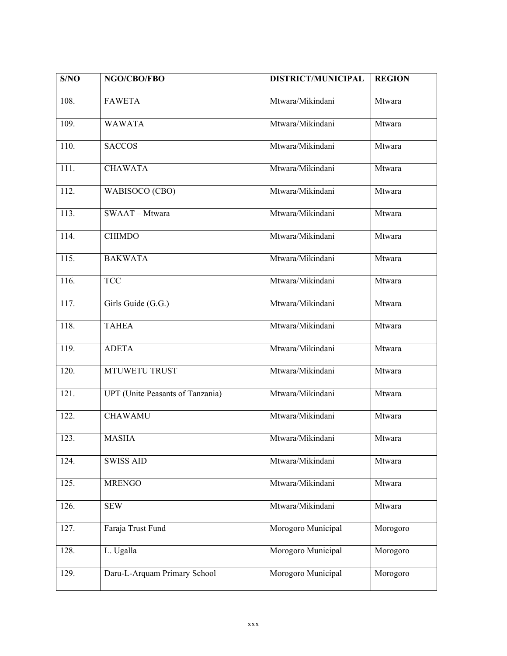| S/NO | NGO/CBO/FBO                             | DISTRICT/MUNICIPAL | <b>REGION</b> |
|------|-----------------------------------------|--------------------|---------------|
| 108. | <b>FAWETA</b>                           | Mtwara/Mikindani   | Mtwara        |
| 109. | <b>WAWATA</b>                           | Mtwara/Mikindani   | Mtwara        |
| 110. | <b>SACCOS</b>                           | Mtwara/Mikindani   | Mtwara        |
| 111. | <b>CHAWATA</b>                          | Mtwara/Mikindani   | Mtwara        |
| 112. | WABISOCO (CBO)                          | Mtwara/Mikindani   | Mtwara        |
| 113. | SWAAT-Mtwara                            | Mtwara/Mikindani   | Mtwara        |
| 114. | <b>CHIMDO</b>                           | Mtwara/Mikindani   | Mtwara        |
| 115. | <b>BAKWATA</b>                          | Mtwara/Mikindani   | Mtwara        |
| 116. | <b>TCC</b>                              | Mtwara/Mikindani   | Mtwara        |
| 117. | Girls Guide (G.G.)                      | Mtwara/Mikindani   | Mtwara        |
| 118. | <b>TAHEA</b>                            | Mtwara/Mikindani   | Mtwara        |
| 119. | <b>ADETA</b>                            | Mtwara/Mikindani   | Mtwara        |
| 120. | MTUWETU TRUST                           | Mtwara/Mikindani   | Mtwara        |
| 121. | <b>UPT</b> (Unite Peasants of Tanzania) | Mtwara/Mikindani   | Mtwara        |
| 122. | <b>CHAWAMU</b>                          | Mtwara/Mikindani   | Mtwara        |
| 123. | <b>MASHA</b>                            | Mtwara/Mikindani   | Mtwara        |
| 124. | <b>SWISS AID</b>                        | Mtwara/Mikindani   | Mtwara        |
| 125. | <b>MRENGO</b>                           | Mtwara/Mikindani   | Mtwara        |
| 126. | <b>SEW</b>                              | Mtwara/Mikindani   | Mtwara        |
| 127. | Faraja Trust Fund                       | Morogoro Municipal | Morogoro      |
| 128. | L. Ugalla                               | Morogoro Municipal | Morogoro      |
| 129. | Daru-L-Arquam Primary School            | Morogoro Municipal | Morogoro      |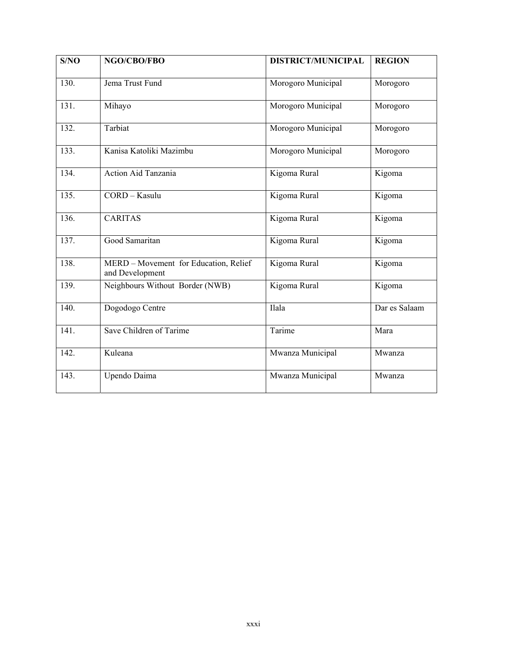| S/NO | NGO/CBO/FBO                                              | <b>DISTRICT/MUNICIPAL</b> | <b>REGION</b> |
|------|----------------------------------------------------------|---------------------------|---------------|
| 130. | Jema Trust Fund                                          | Morogoro Municipal        | Morogoro      |
| 131. | Mihayo                                                   | Morogoro Municipal        | Morogoro      |
| 132. | Tarbiat                                                  | Morogoro Municipal        | Morogoro      |
| 133. | Kanisa Katoliki Mazimbu                                  | Morogoro Municipal        | Morogoro      |
| 134. | Action Aid Tanzania                                      | Kigoma Rural              | Kigoma        |
| 135. | CORD - Kasulu                                            | Kigoma Rural              | Kigoma        |
| 136. | <b>CARITAS</b>                                           | Kigoma Rural              | Kigoma        |
| 137. | Good Samaritan                                           | Kigoma Rural              | Kigoma        |
| 138. | MERD - Movement for Education, Relief<br>and Development | Kigoma Rural              | Kigoma        |
| 139. | Neighbours Without Border (NWB)                          | Kigoma Rural              | Kigoma        |
| 140. | Dogodogo Centre                                          | Ilala                     | Dar es Salaam |
| 141. | Save Children of Tarime                                  | Tarime                    | Mara          |
| 142. | Kuleana                                                  | Mwanza Municipal          | Mwanza        |
| 143. | Upendo Daima                                             | Mwanza Municipal          | Mwanza        |